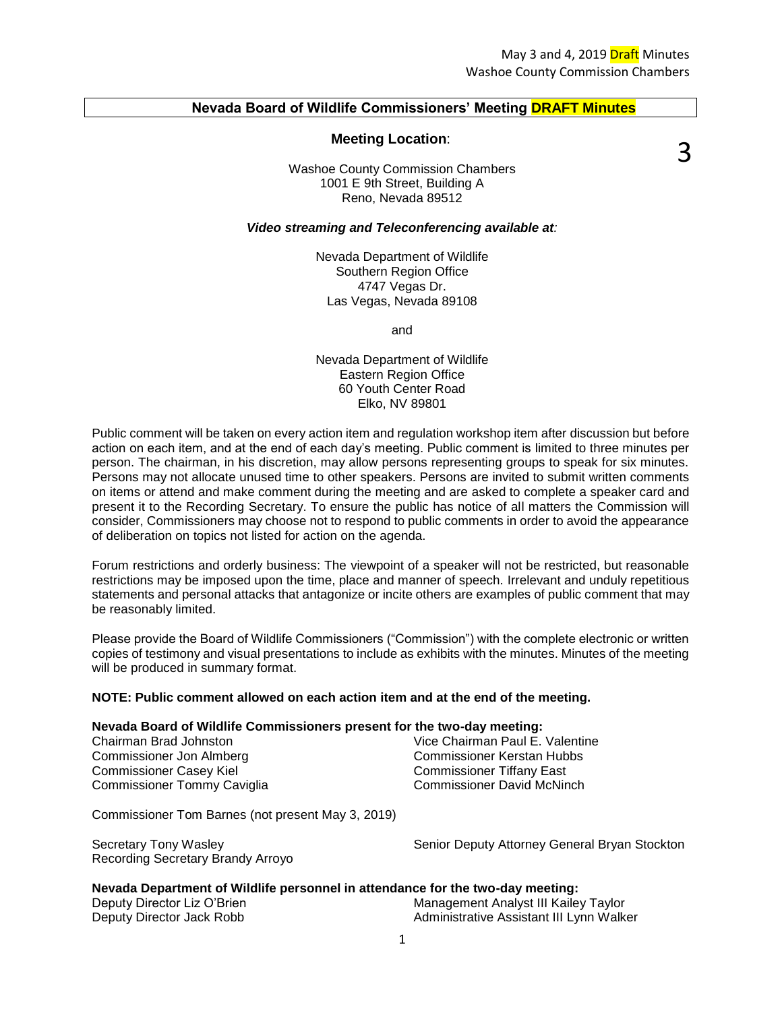#### **Nevada Board of Wildlife Commissioners' Meeting DRAFT Minutes**

#### **Meeting Location**:

3

Washoe County Commission Chambers 1001 E 9th Street, Building A Reno, Nevada 89512

#### *Video streaming and Teleconferencing available at:*

Nevada Department of Wildlife Southern Region Office 4747 Vegas Dr. Las Vegas, Nevada 89108

and

Nevada Department of Wildlife Eastern Region Office 60 Youth Center Road Elko, NV 89801

Public comment will be taken on every action item and regulation workshop item after discussion but before action on each item, and at the end of each day's meeting. Public comment is limited to three minutes per person. The chairman, in his discretion, may allow persons representing groups to speak for six minutes. Persons may not allocate unused time to other speakers. Persons are invited to submit written comments on items or attend and make comment during the meeting and are asked to complete a speaker card and present it to the Recording Secretary. To ensure the public has notice of all matters the Commission will consider, Commissioners may choose not to respond to public comments in order to avoid the appearance of deliberation on topics not listed for action on the agenda.

Forum restrictions and orderly business: The viewpoint of a speaker will not be restricted, but reasonable restrictions may be imposed upon the time, place and manner of speech. Irrelevant and unduly repetitious statements and personal attacks that antagonize or incite others are examples of public comment that may be reasonably limited.

Please provide the Board of Wildlife Commissioners ("Commission") with the complete electronic or written copies of testimony and visual presentations to include as exhibits with the minutes. Minutes of the meeting will be produced in summary format.

#### **NOTE: Public comment allowed on each action item and at the end of the meeting.**

#### **Nevada Board of Wildlife Commissioners present for the two-day meeting:**

| Chairman Brad Johnston         | Vice Chairman Paul E. Valentine   |
|--------------------------------|-----------------------------------|
| Commissioner Jon Almberg       | Commissioner Kerstan Hubbs        |
| <b>Commissioner Casey Kiel</b> | <b>Commissioner Tiffany East</b>  |
| Commissioner Tommy Caviglia    | <b>Commissioner David McNinch</b> |

Commissioner Tom Barnes (not present May 3, 2019)

Recording Secretary Brandy Arroyo

Secretary Tony Wasley Senior Deputy Attorney General Bryan Stockton

#### **Nevada Department of Wildlife personnel in attendance for the two-day meeting:**

Deputy Director Liz O'Brien Management Analyst III Kailey Taylor Deputy Director Jack Robb **Administrative Assistant III Lynn Walker** Computer Assistant III Lynn Walker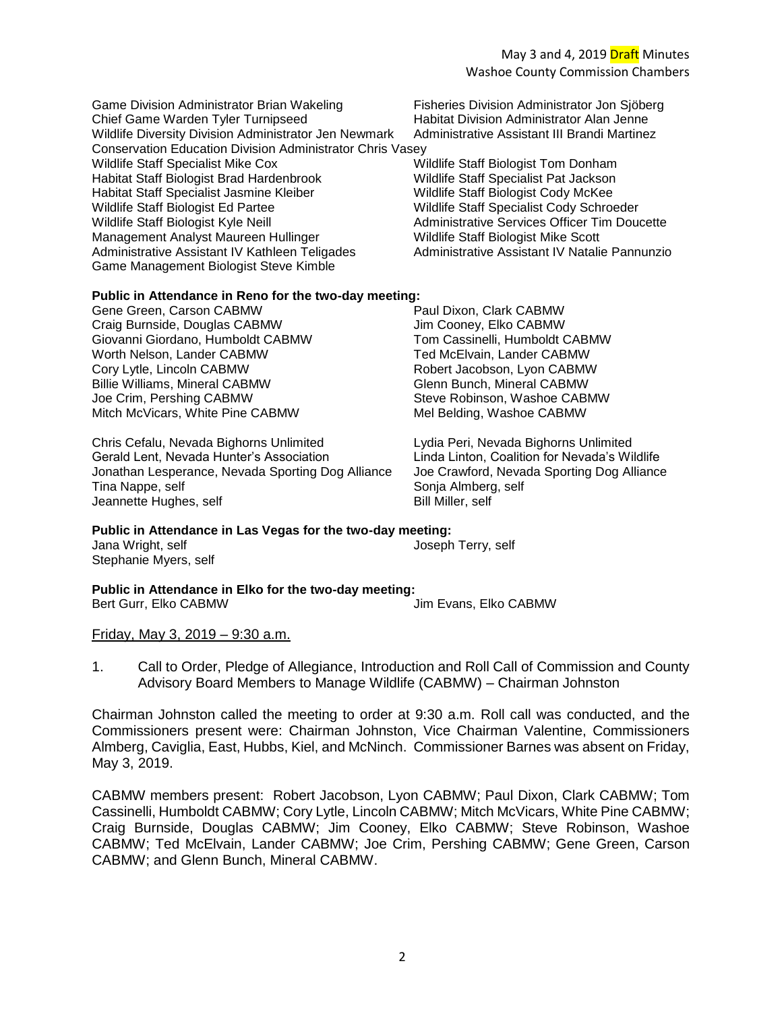Game Division Administrator Brian Wakeling Fisheries Division Administrator Jon Sjöberg<br>Chief Game Warden Tyler Turnipseed Fisher Habitat Division Administrator Alan Jenne Chief Game Warden Tyler Turnipseed Wildlife Diversity Division Administrator Jen Newmark Administrative Assistant III Brandi Martinez Conservation Education Division Administrator Chris Vasey Wildlife Staff Specialist Mike Cox Wildlife Staff Biologist Tom Donham Habitat Staff Biologist Brad Hardenbrook Wildlife Staff Specialist Pat Jackson Habitat Staff Specialist Jasmine Kleiber Wildlife Staff Biologist Cody McKee Wildlife Staff Biologist Ed Partee Wildlife Staff Specialist Cody Schroeder Wildlife Staff Biologist Kyle Neill **Acknowledge Services Officer Tim Doucette** Administrative Services Officer Tim Doucette Management Analyst Maureen Hullinger Wildlife Staff Biologist Mike Scott Administrative Assistant IV Kathleen Teligades Administrative Assistant IV Natalie Pannunzio Game Management Biologist Steve Kimble

### **Public in Attendance in Reno for the two-day meeting:**

Gene Green, Carson CABMW Paul Dixon, Clark CABMW Craig Burnside, Douglas CABMW Jim Cooney, Elko CABMW Giovanni Giordano, Humboldt CABMW Tom Cassinelli, Humboldt CABMW Worth Nelson, Lander CABMW Ted McElvain, Lander CABMW Cory Lytle, Lincoln CABMW Robert Jacobson, Lyon CABMW Billie Williams, Mineral CABMW Glenn Bunch, Mineral CABMW Joe Crim, Pershing CABMW Steve Robinson, Washoe CABMW Mitch McVicars, White Pine CABMW Mel Belding, Washoe CABMW

Chris Cefalu, Nevada Bighorns Unlimited<br>
Gerald Lent, Nevada Hunter's Association<br>
Linda Linton, Coalition for Nevada's Wil Jonathan Lesperance, Nevada Sporting Dog Alliance Joe Crawford, Nevada Sporting Dog Alliance Tina Nappe, self Sonja Almberg, self Jeannette Hughes, self Bill Miller, self

Linda Linton, Coalition for Nevada's Wildlife

#### **Public in Attendance in Las Vegas for the two-day meeting:** Jana Wright, self **Joseph Terry**, self Stephanie Myers, self

**Public in Attendance in Elko for the two-day meeting:** Bert Gurr, Elko CABMW Jim Evans, Elko CABMW

Friday, May 3, 2019 – 9:30 a.m.

1. Call to Order, Pledge of Allegiance, Introduction and Roll Call of Commission and County Advisory Board Members to Manage Wildlife (CABMW) – Chairman Johnston

Chairman Johnston called the meeting to order at 9:30 a.m. Roll call was conducted, and the Commissioners present were: Chairman Johnston, Vice Chairman Valentine, Commissioners Almberg, Caviglia, East, Hubbs, Kiel, and McNinch. Commissioner Barnes was absent on Friday, May 3, 2019.

CABMW members present: Robert Jacobson, Lyon CABMW; Paul Dixon, Clark CABMW; Tom Cassinelli, Humboldt CABMW; Cory Lytle, Lincoln CABMW; Mitch McVicars, White Pine CABMW; Craig Burnside, Douglas CABMW; Jim Cooney, Elko CABMW; Steve Robinson, Washoe CABMW; Ted McElvain, Lander CABMW; Joe Crim, Pershing CABMW; Gene Green, Carson CABMW; and Glenn Bunch, Mineral CABMW.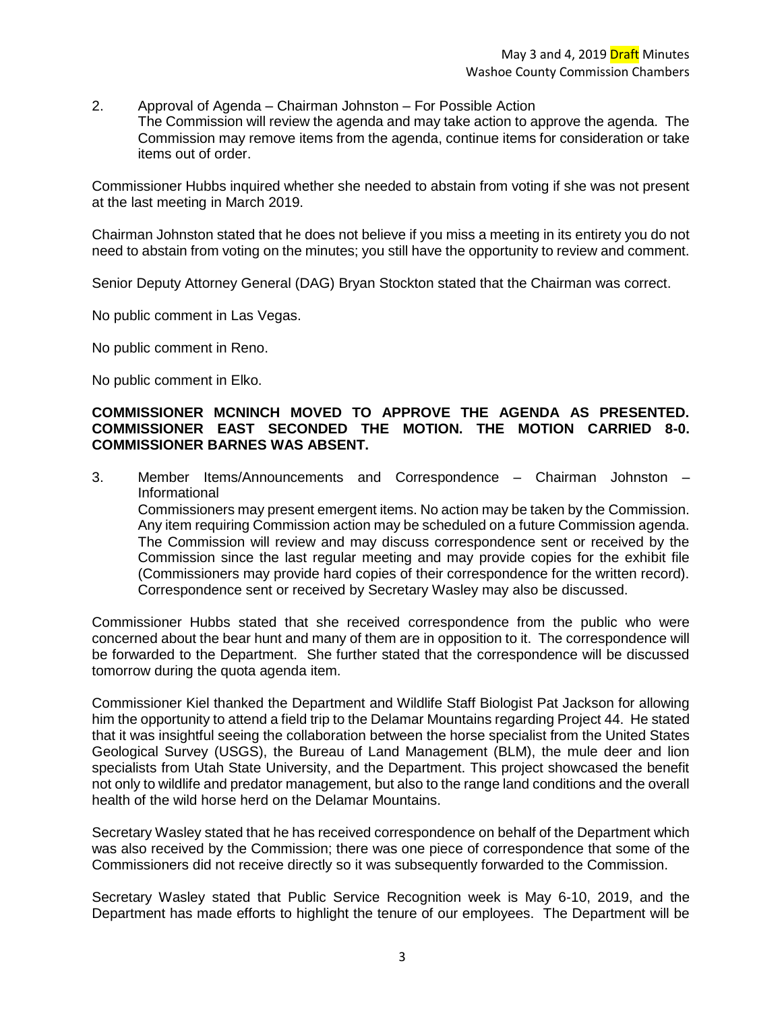- 2. Approval of Agenda Chairman Johnston For Possible Action
	- The Commission will review the agenda and may take action to approve the agenda. The Commission may remove items from the agenda, continue items for consideration or take items out of order.

Commissioner Hubbs inquired whether she needed to abstain from voting if she was not present at the last meeting in March 2019.

Chairman Johnston stated that he does not believe if you miss a meeting in its entirety you do not need to abstain from voting on the minutes; you still have the opportunity to review and comment.

Senior Deputy Attorney General (DAG) Bryan Stockton stated that the Chairman was correct.

No public comment in Las Vegas.

No public comment in Reno.

No public comment in Elko.

### **COMMISSIONER MCNINCH MOVED TO APPROVE THE AGENDA AS PRESENTED. COMMISSIONER EAST SECONDED THE MOTION. THE MOTION CARRIED 8-0. COMMISSIONER BARNES WAS ABSENT.**

3. Member Items/Announcements and Correspondence – Chairman Johnston – Informational

Commissioners may present emergent items. No action may be taken by the Commission. Any item requiring Commission action may be scheduled on a future Commission agenda. The Commission will review and may discuss correspondence sent or received by the Commission since the last regular meeting and may provide copies for the exhibit file (Commissioners may provide hard copies of their correspondence for the written record). Correspondence sent or received by Secretary Wasley may also be discussed.

Commissioner Hubbs stated that she received correspondence from the public who were concerned about the bear hunt and many of them are in opposition to it. The correspondence will be forwarded to the Department. She further stated that the correspondence will be discussed tomorrow during the quota agenda item.

Commissioner Kiel thanked the Department and Wildlife Staff Biologist Pat Jackson for allowing him the opportunity to attend a field trip to the Delamar Mountains regarding Project 44. He stated that it was insightful seeing the collaboration between the horse specialist from the United States Geological Survey (USGS), the Bureau of Land Management (BLM), the mule deer and lion specialists from Utah State University, and the Department. This project showcased the benefit not only to wildlife and predator management, but also to the range land conditions and the overall health of the wild horse herd on the Delamar Mountains.

Secretary Wasley stated that he has received correspondence on behalf of the Department which was also received by the Commission; there was one piece of correspondence that some of the Commissioners did not receive directly so it was subsequently forwarded to the Commission.

Secretary Wasley stated that Public Service Recognition week is May 6-10, 2019, and the Department has made efforts to highlight the tenure of our employees. The Department will be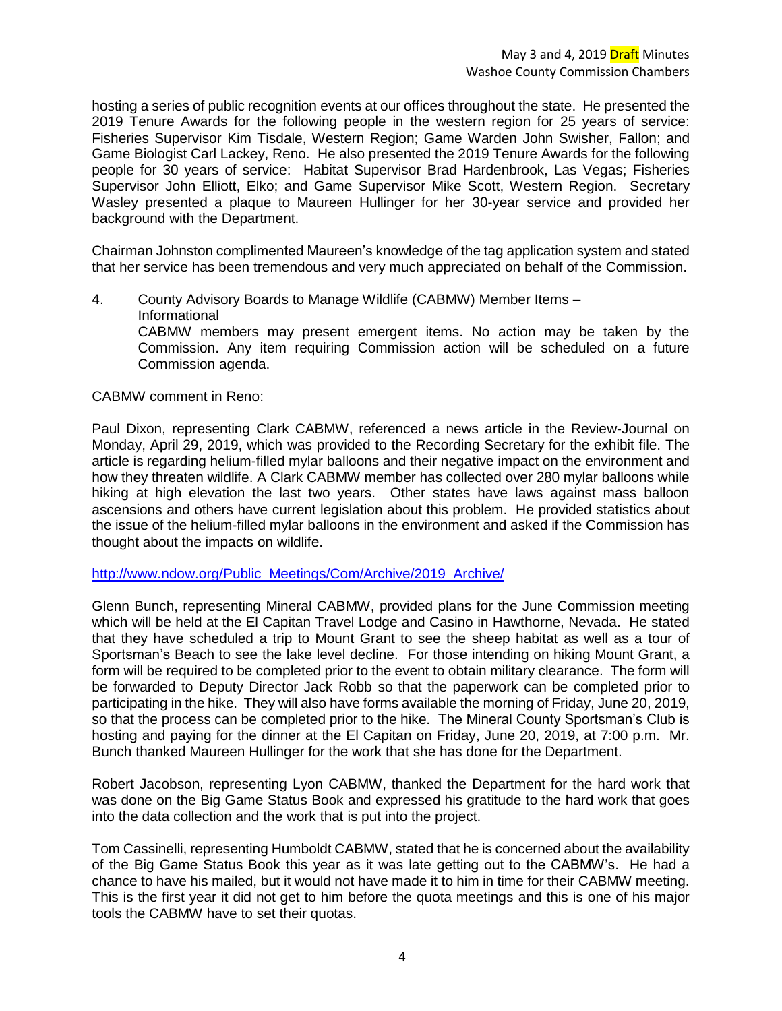hosting a series of public recognition events at our offices throughout the state. He presented the 2019 Tenure Awards for the following people in the western region for 25 years of service: Fisheries Supervisor Kim Tisdale, Western Region; Game Warden John Swisher, Fallon; and Game Biologist Carl Lackey, Reno. He also presented the 2019 Tenure Awards for the following people for 30 years of service: Habitat Supervisor Brad Hardenbrook, Las Vegas; Fisheries Supervisor John Elliott, Elko; and Game Supervisor Mike Scott, Western Region. Secretary Wasley presented a plaque to Maureen Hullinger for her 30-year service and provided her background with the Department.

Chairman Johnston complimented Maureen's knowledge of the tag application system and stated that her service has been tremendous and very much appreciated on behalf of the Commission.

4. County Advisory Boards to Manage Wildlife (CABMW) Member Items – Informational CABMW members may present emergent items. No action may be taken by the Commission. Any item requiring Commission action will be scheduled on a future Commission agenda.

### CABMW comment in Reno:

Paul Dixon, representing Clark CABMW, referenced a news article in the Review-Journal on Monday, April 29, 2019, which was provided to the Recording Secretary for the exhibit file. The article is regarding helium-filled mylar balloons and their negative impact on the environment and how they threaten wildlife. A Clark CABMW member has collected over 280 mylar balloons while hiking at high elevation the last two years. Other states have laws against mass balloon ascensions and others have current legislation about this problem. He provided statistics about the issue of the helium-filled mylar balloons in the environment and asked if the Commission has thought about the impacts on wildlife.

### [http://www.ndow.org/Public\\_Meetings/Com/Archive/2019\\_Archive/](http://www.ndow.org/Public_Meetings/Com/Archive/2019_Archive/)

Glenn Bunch, representing Mineral CABMW, provided plans for the June Commission meeting which will be held at the El Capitan Travel Lodge and Casino in Hawthorne, Nevada. He stated that they have scheduled a trip to Mount Grant to see the sheep habitat as well as a tour of Sportsman's Beach to see the lake level decline. For those intending on hiking Mount Grant, a form will be required to be completed prior to the event to obtain military clearance. The form will be forwarded to Deputy Director Jack Robb so that the paperwork can be completed prior to participating in the hike. They will also have forms available the morning of Friday, June 20, 2019, so that the process can be completed prior to the hike. The Mineral County Sportsman's Club is hosting and paying for the dinner at the El Capitan on Friday, June 20, 2019, at 7:00 p.m. Mr. Bunch thanked Maureen Hullinger for the work that she has done for the Department.

Robert Jacobson, representing Lyon CABMW, thanked the Department for the hard work that was done on the Big Game Status Book and expressed his gratitude to the hard work that goes into the data collection and the work that is put into the project.

Tom Cassinelli, representing Humboldt CABMW, stated that he is concerned about the availability of the Big Game Status Book this year as it was late getting out to the CABMW's. He had a chance to have his mailed, but it would not have made it to him in time for their CABMW meeting. This is the first year it did not get to him before the quota meetings and this is one of his major tools the CABMW have to set their quotas.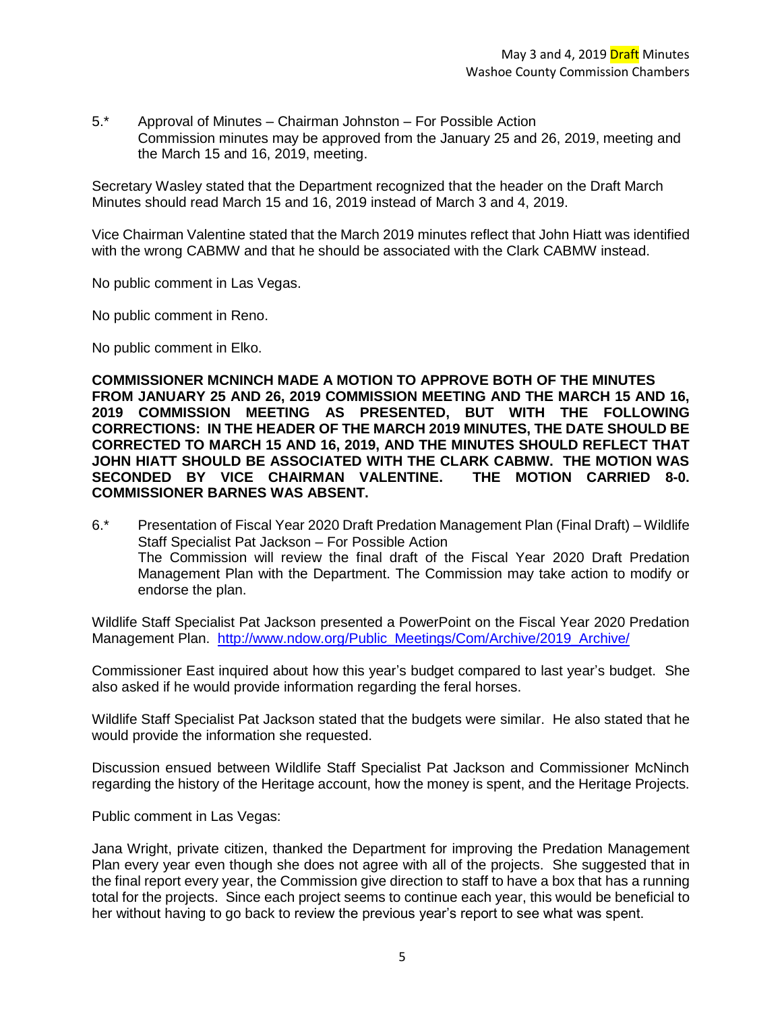5.\* Approval of Minutes – Chairman Johnston – For Possible Action Commission minutes may be approved from the January 25 and 26, 2019, meeting and the March 15 and 16, 2019, meeting.

Secretary Wasley stated that the Department recognized that the header on the Draft March Minutes should read March 15 and 16, 2019 instead of March 3 and 4, 2019.

Vice Chairman Valentine stated that the March 2019 minutes reflect that John Hiatt was identified with the wrong CABMW and that he should be associated with the Clark CABMW instead.

No public comment in Las Vegas.

No public comment in Reno.

No public comment in Elko.

**COMMISSIONER MCNINCH MADE A MOTION TO APPROVE BOTH OF THE MINUTES FROM JANUARY 25 AND 26, 2019 COMMISSION MEETING AND THE MARCH 15 AND 16, 2019 COMMISSION MEETING AS PRESENTED, BUT WITH THE FOLLOWING CORRECTIONS: IN THE HEADER OF THE MARCH 2019 MINUTES, THE DATE SHOULD BE CORRECTED TO MARCH 15 AND 16, 2019, AND THE MINUTES SHOULD REFLECT THAT JOHN HIATT SHOULD BE ASSOCIATED WITH THE CLARK CABMW. THE MOTION WAS SECONDED BY VICE CHAIRMAN VALENTINE. THE MOTION CARRIED 8-0. COMMISSIONER BARNES WAS ABSENT.** 

6.\* Presentation of Fiscal Year 2020 Draft Predation Management Plan (Final Draft) – Wildlife Staff Specialist Pat Jackson – For Possible Action The Commission will review the final draft of the Fiscal Year 2020 Draft Predation Management Plan with the Department. The Commission may take action to modify or endorse the plan.

Wildlife Staff Specialist Pat Jackson presented a PowerPoint on the Fiscal Year 2020 Predation Management Plan. [http://www.ndow.org/Public\\_Meetings/Com/Archive/2019\\_Archive/](http://www.ndow.org/Public_Meetings/Com/Archive/2019_Archive/)

Commissioner East inquired about how this year's budget compared to last year's budget. She also asked if he would provide information regarding the feral horses.

Wildlife Staff Specialist Pat Jackson stated that the budgets were similar. He also stated that he would provide the information she requested.

Discussion ensued between Wildlife Staff Specialist Pat Jackson and Commissioner McNinch regarding the history of the Heritage account, how the money is spent, and the Heritage Projects.

Public comment in Las Vegas:

Jana Wright, private citizen, thanked the Department for improving the Predation Management Plan every year even though she does not agree with all of the projects. She suggested that in the final report every year, the Commission give direction to staff to have a box that has a running total for the projects. Since each project seems to continue each year, this would be beneficial to her without having to go back to review the previous year's report to see what was spent.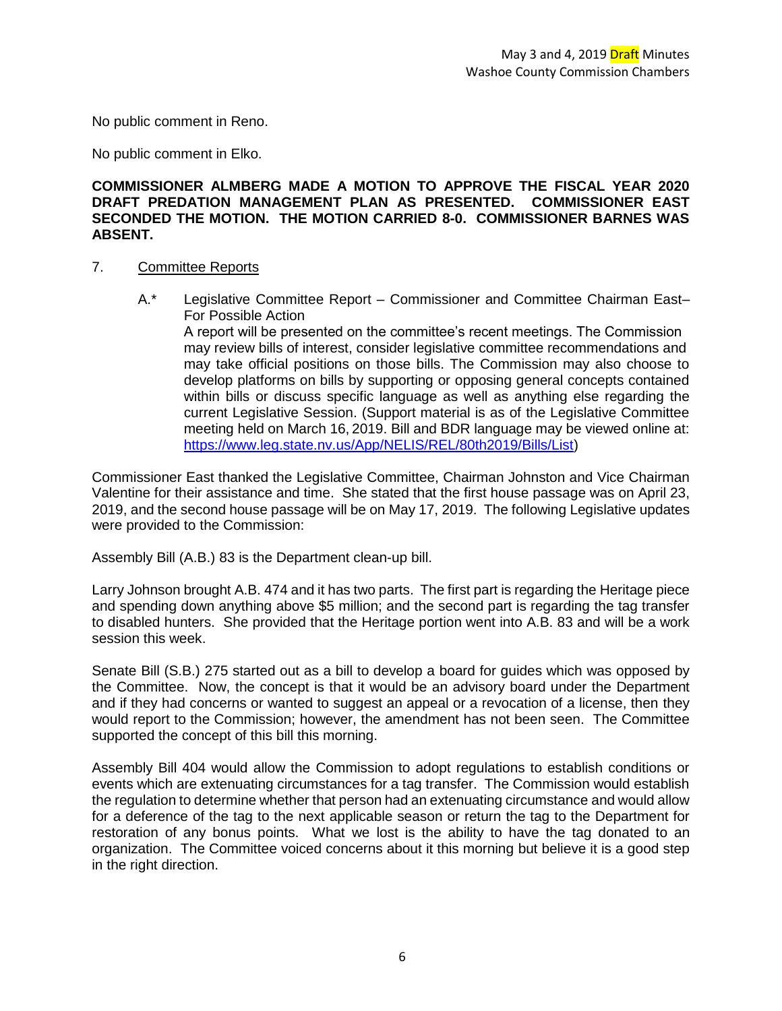No public comment in Reno.

No public comment in Elko.

### **COMMISSIONER ALMBERG MADE A MOTION TO APPROVE THE FISCAL YEAR 2020 DRAFT PREDATION MANAGEMENT PLAN AS PRESENTED. COMMISSIONER EAST SECONDED THE MOTION. THE MOTION CARRIED 8-0. COMMISSIONER BARNES WAS ABSENT.**

### 7. Committee Reports

A.\* Legislative Committee Report – Commissioner and Committee Chairman East– For Possible Action

A report will be presented on the committee's recent meetings. The Commission may review bills of interest, consider legislative committee recommendations and may take official positions on those bills. The Commission may also choose to develop platforms on bills by supporting or opposing general concepts contained within bills or discuss specific language as well as anything else regarding the current Legislative Session. (Support material is as of the Legislative Committee meeting held on March 16, 2019. Bill and BDR language may be viewed online at: [https://www.leg.state.nv.us/App/NELIS/REL/80th2019/Bills/List\)](https://www.leg.state.nv.us/App/NELIS/REL/80th2019/Bills/List)

Commissioner East thanked the Legislative Committee, Chairman Johnston and Vice Chairman Valentine for their assistance and time. She stated that the first house passage was on April 23, 2019, and the second house passage will be on May 17, 2019. The following Legislative updates were provided to the Commission:

Assembly Bill (A.B.) 83 is the Department clean-up bill.

Larry Johnson brought A.B. 474 and it has two parts. The first part is regarding the Heritage piece and spending down anything above \$5 million; and the second part is regarding the tag transfer to disabled hunters. She provided that the Heritage portion went into A.B. 83 and will be a work session this week.

Senate Bill (S.B.) 275 started out as a bill to develop a board for guides which was opposed by the Committee. Now, the concept is that it would be an advisory board under the Department and if they had concerns or wanted to suggest an appeal or a revocation of a license, then they would report to the Commission; however, the amendment has not been seen. The Committee supported the concept of this bill this morning.

Assembly Bill 404 would allow the Commission to adopt regulations to establish conditions or events which are extenuating circumstances for a tag transfer. The Commission would establish the regulation to determine whether that person had an extenuating circumstance and would allow for a deference of the tag to the next applicable season or return the tag to the Department for restoration of any bonus points. What we lost is the ability to have the tag donated to an organization. The Committee voiced concerns about it this morning but believe it is a good step in the right direction.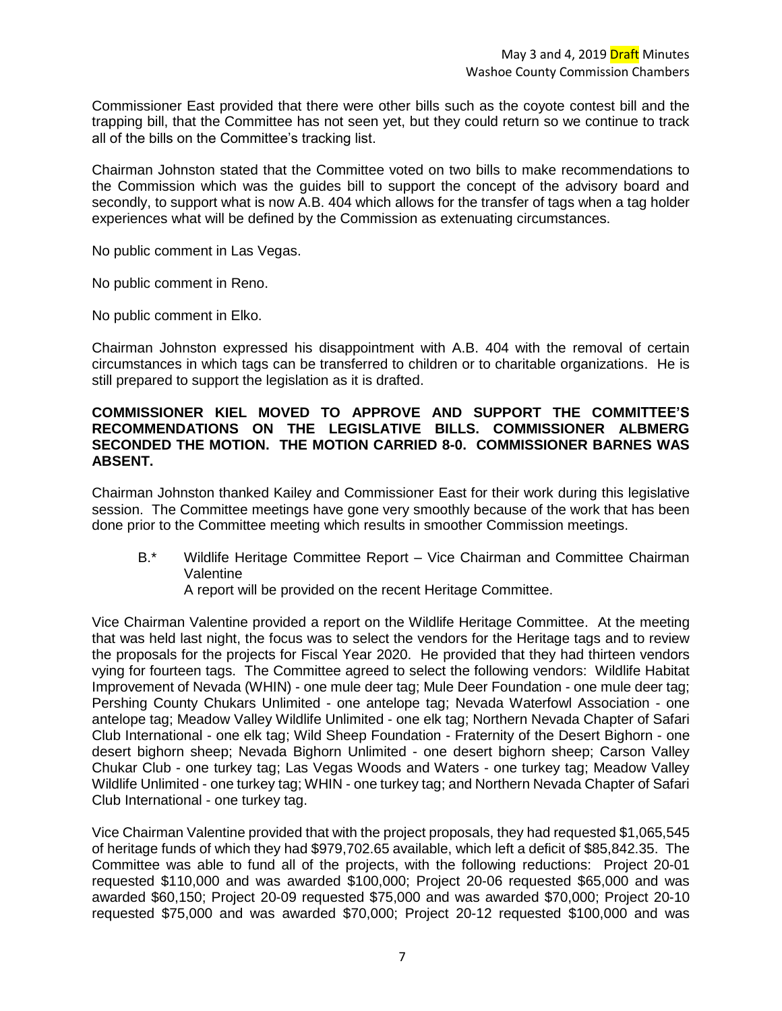Commissioner East provided that there were other bills such as the coyote contest bill and the trapping bill, that the Committee has not seen yet, but they could return so we continue to track all of the bills on the Committee's tracking list.

Chairman Johnston stated that the Committee voted on two bills to make recommendations to the Commission which was the guides bill to support the concept of the advisory board and secondly, to support what is now A.B. 404 which allows for the transfer of tags when a tag holder experiences what will be defined by the Commission as extenuating circumstances.

No public comment in Las Vegas.

No public comment in Reno.

No public comment in Elko.

Chairman Johnston expressed his disappointment with A.B. 404 with the removal of certain circumstances in which tags can be transferred to children or to charitable organizations. He is still prepared to support the legislation as it is drafted.

### **COMMISSIONER KIEL MOVED TO APPROVE AND SUPPORT THE COMMITTEE'S RECOMMENDATIONS ON THE LEGISLATIVE BILLS. COMMISSIONER ALBMERG SECONDED THE MOTION. THE MOTION CARRIED 8-0. COMMISSIONER BARNES WAS ABSENT.**

Chairman Johnston thanked Kailey and Commissioner East for their work during this legislative session. The Committee meetings have gone very smoothly because of the work that has been done prior to the Committee meeting which results in smoother Commission meetings.

- B.\* Wildlife Heritage Committee Report Vice Chairman and Committee Chairman Valentine
	- A report will be provided on the recent Heritage Committee.

Vice Chairman Valentine provided a report on the Wildlife Heritage Committee. At the meeting that was held last night, the focus was to select the vendors for the Heritage tags and to review the proposals for the projects for Fiscal Year 2020. He provided that they had thirteen vendors vying for fourteen tags. The Committee agreed to select the following vendors: Wildlife Habitat Improvement of Nevada (WHIN) - one mule deer tag; Mule Deer Foundation - one mule deer tag; Pershing County Chukars Unlimited - one antelope tag; Nevada Waterfowl Association - one antelope tag; Meadow Valley Wildlife Unlimited - one elk tag; Northern Nevada Chapter of Safari Club International - one elk tag; Wild Sheep Foundation - Fraternity of the Desert Bighorn - one desert bighorn sheep; Nevada Bighorn Unlimited - one desert bighorn sheep; Carson Valley Chukar Club - one turkey tag; Las Vegas Woods and Waters - one turkey tag; Meadow Valley Wildlife Unlimited - one turkey tag; WHIN - one turkey tag; and Northern Nevada Chapter of Safari Club International - one turkey tag.

Vice Chairman Valentine provided that with the project proposals, they had requested \$1,065,545 of heritage funds of which they had \$979,702.65 available, which left a deficit of \$85,842.35. The Committee was able to fund all of the projects, with the following reductions: Project 20-01 requested \$110,000 and was awarded \$100,000; Project 20-06 requested \$65,000 and was awarded \$60,150; Project 20-09 requested \$75,000 and was awarded \$70,000; Project 20-10 requested \$75,000 and was awarded \$70,000; Project 20-12 requested \$100,000 and was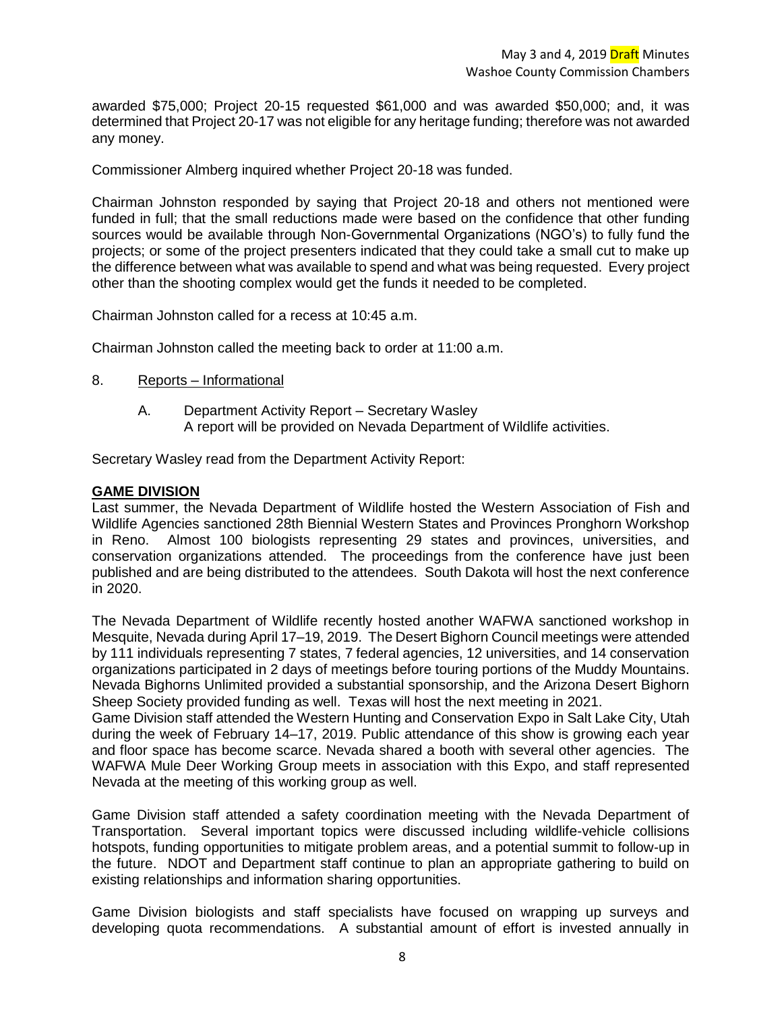awarded \$75,000; Project 20-15 requested \$61,000 and was awarded \$50,000; and, it was determined that Project 20-17 was not eligible for any heritage funding; therefore was not awarded any money.

Commissioner Almberg inquired whether Project 20-18 was funded.

Chairman Johnston responded by saying that Project 20-18 and others not mentioned were funded in full; that the small reductions made were based on the confidence that other funding sources would be available through Non-Governmental Organizations (NGO's) to fully fund the projects; or some of the project presenters indicated that they could take a small cut to make up the difference between what was available to spend and what was being requested. Every project other than the shooting complex would get the funds it needed to be completed.

Chairman Johnston called for a recess at 10:45 a.m.

Chairman Johnston called the meeting back to order at 11:00 a.m.

- 8. Reports Informational
	- A. Department Activity Report Secretary Wasley A report will be provided on Nevada Department of Wildlife activities.

Secretary Wasley read from the Department Activity Report:

### **GAME DIVISION**

Last summer, the Nevada Department of Wildlife hosted the Western Association of Fish and Wildlife Agencies sanctioned 28th Biennial Western States and Provinces Pronghorn Workshop in Reno. Almost 100 biologists representing 29 states and provinces, universities, and conservation organizations attended. The proceedings from the conference have just been published and are being distributed to the attendees. South Dakota will host the next conference in 2020.

The Nevada Department of Wildlife recently hosted another WAFWA sanctioned workshop in Mesquite, Nevada during April 17–19, 2019. The Desert Bighorn Council meetings were attended by 111 individuals representing 7 states, 7 federal agencies, 12 universities, and 14 conservation organizations participated in 2 days of meetings before touring portions of the Muddy Mountains. Nevada Bighorns Unlimited provided a substantial sponsorship, and the Arizona Desert Bighorn Sheep Society provided funding as well. Texas will host the next meeting in 2021.

Game Division staff attended the Western Hunting and Conservation Expo in Salt Lake City, Utah during the week of February 14–17, 2019. Public attendance of this show is growing each year and floor space has become scarce. Nevada shared a booth with several other agencies. The WAFWA Mule Deer Working Group meets in association with this Expo, and staff represented Nevada at the meeting of this working group as well.

Game Division staff attended a safety coordination meeting with the Nevada Department of Transportation. Several important topics were discussed including wildlife-vehicle collisions hotspots, funding opportunities to mitigate problem areas, and a potential summit to follow-up in the future. NDOT and Department staff continue to plan an appropriate gathering to build on existing relationships and information sharing opportunities.

Game Division biologists and staff specialists have focused on wrapping up surveys and developing quota recommendations. A substantial amount of effort is invested annually in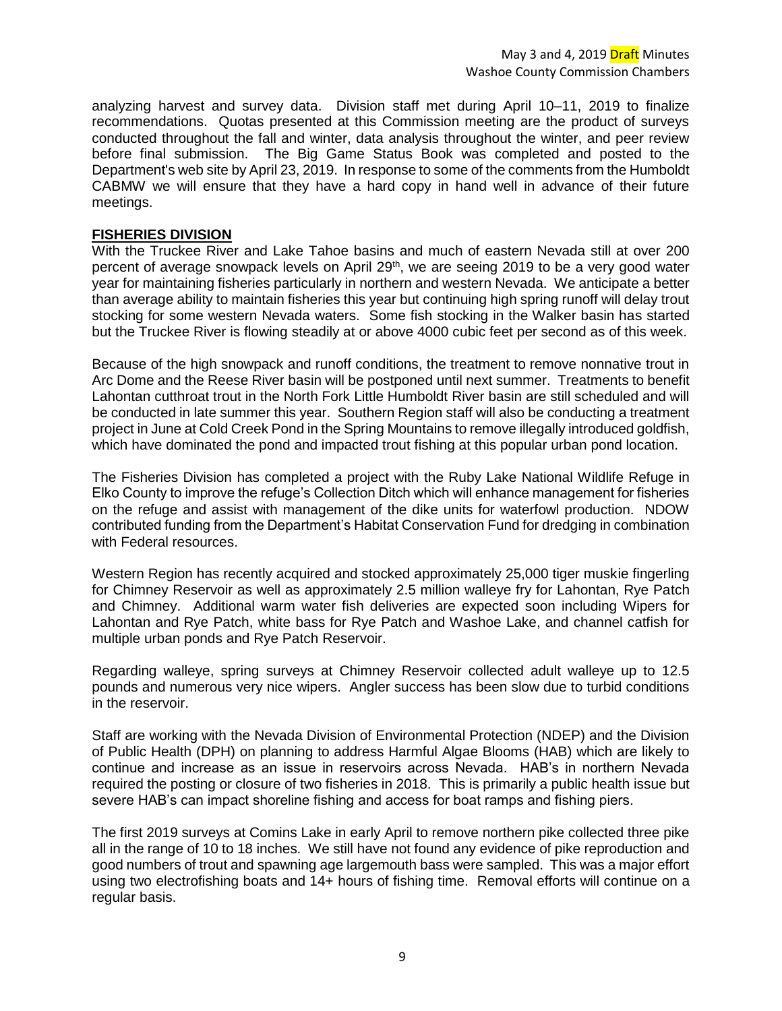analyzing harvest and survey data. Division staff met during April 10–11, 2019 to finalize recommendations. Quotas presented at this Commission meeting are the product of surveys conducted throughout the fall and winter, data analysis throughout the winter, and peer review before final submission. The Big Game Status Book was completed and posted to the Department's web site by April 23, 2019. In response to some of the comments from the Humboldt CABMW we will ensure that they have a hard copy in hand well in advance of their future meetings.

### **FISHERIES DIVISION**

With the Truckee River and Lake Tahoe basins and much of eastern Nevada still at over 200 percent of average snowpack levels on April 29<sup>th</sup>, we are seeing 2019 to be a very good water year for maintaining fisheries particularly in northern and western Nevada. We anticipate a better than average ability to maintain fisheries this year but continuing high spring runoff will delay trout stocking for some western Nevada waters. Some fish stocking in the Walker basin has started but the Truckee River is flowing steadily at or above 4000 cubic feet per second as of this week.

Because of the high snowpack and runoff conditions, the treatment to remove nonnative trout in Arc Dome and the Reese River basin will be postponed until next summer. Treatments to benefit Lahontan cutthroat trout in the North Fork Little Humboldt River basin are still scheduled and will be conducted in late summer this year. Southern Region staff will also be conducting a treatment project in June at Cold Creek Pond in the Spring Mountains to remove illegally introduced goldfish, which have dominated the pond and impacted trout fishing at this popular urban pond location.

The Fisheries Division has completed a project with the Ruby Lake National Wildlife Refuge in Elko County to improve the refuge's Collection Ditch which will enhance management for fisheries on the refuge and assist with management of the dike units for waterfowl production. NDOW contributed funding from the Department's Habitat Conservation Fund for dredging in combination with Federal resources.

Western Region has recently acquired and stocked approximately 25,000 tiger muskie fingerling for Chimney Reservoir as well as approximately 2.5 million walleye fry for Lahontan, Rye Patch and Chimney. Additional warm water fish deliveries are expected soon including Wipers for Lahontan and Rye Patch, white bass for Rye Patch and Washoe Lake, and channel catfish for multiple urban ponds and Rye Patch Reservoir.

Regarding walleye, spring surveys at Chimney Reservoir collected adult walleye up to 12.5 pounds and numerous very nice wipers. Angler success has been slow due to turbid conditions in the reservoir.

Staff are working with the Nevada Division of Environmental Protection (NDEP) and the Division of Public Health (DPH) on planning to address Harmful Algae Blooms (HAB) which are likely to continue and increase as an issue in reservoirs across Nevada. HAB's in northern Nevada required the posting or closure of two fisheries in 2018. This is primarily a public health issue but severe HAB's can impact shoreline fishing and access for boat ramps and fishing piers.

The first 2019 surveys at Comins Lake in early April to remove northern pike collected three pike all in the range of 10 to 18 inches. We still have not found any evidence of pike reproduction and good numbers of trout and spawning age largemouth bass were sampled. This was a major effort using two electrofishing boats and 14+ hours of fishing time. Removal efforts will continue on a regular basis.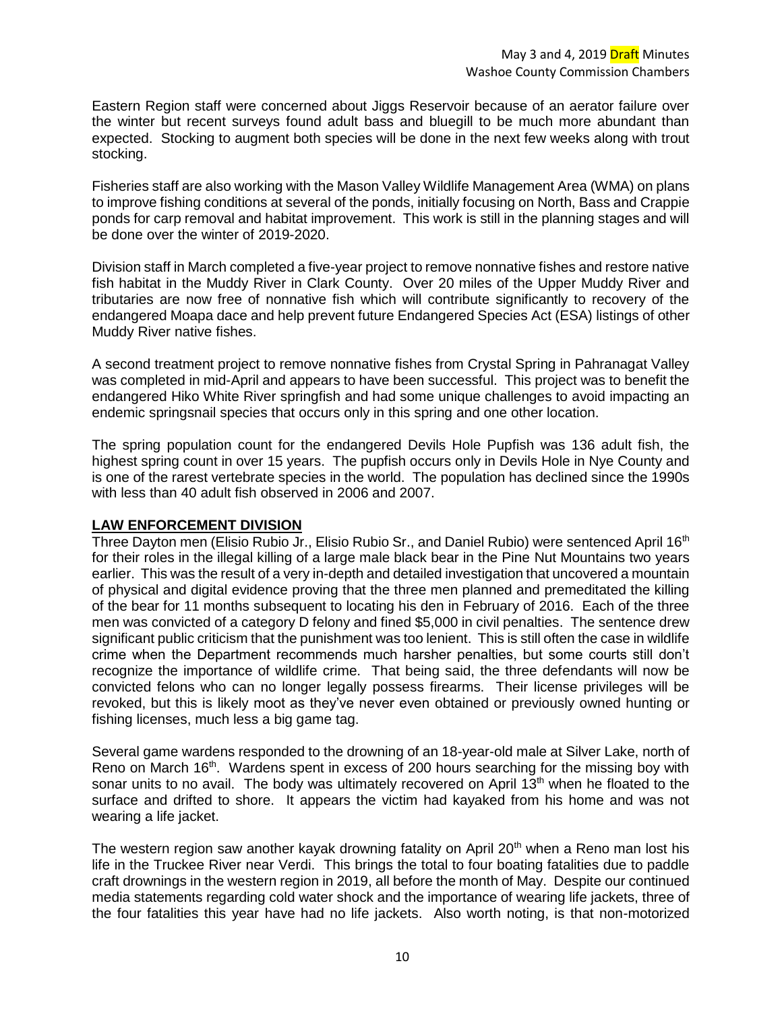Eastern Region staff were concerned about Jiggs Reservoir because of an aerator failure over the winter but recent surveys found adult bass and bluegill to be much more abundant than expected. Stocking to augment both species will be done in the next few weeks along with trout stocking.

Fisheries staff are also working with the Mason Valley Wildlife Management Area (WMA) on plans to improve fishing conditions at several of the ponds, initially focusing on North, Bass and Crappie ponds for carp removal and habitat improvement. This work is still in the planning stages and will be done over the winter of 2019-2020.

Division staff in March completed a five-year project to remove nonnative fishes and restore native fish habitat in the Muddy River in Clark County. Over 20 miles of the Upper Muddy River and tributaries are now free of nonnative fish which will contribute significantly to recovery of the endangered Moapa dace and help prevent future Endangered Species Act (ESA) listings of other Muddy River native fishes.

A second treatment project to remove nonnative fishes from Crystal Spring in Pahranagat Valley was completed in mid-April and appears to have been successful. This project was to benefit the endangered Hiko White River springfish and had some unique challenges to avoid impacting an endemic springsnail species that occurs only in this spring and one other location.

The spring population count for the endangered Devils Hole Pupfish was 136 adult fish, the highest spring count in over 15 years. The pupfish occurs only in Devils Hole in Nye County and is one of the rarest vertebrate species in the world. The population has declined since the 1990s with less than 40 adult fish observed in 2006 and 2007.

# **LAW ENFORCEMENT DIVISION**

Three Dayton men (Elisio Rubio Jr., Elisio Rubio Sr., and Daniel Rubio) were sentenced April 16<sup>th</sup> for their roles in the illegal killing of a large male black bear in the Pine Nut Mountains two years earlier. This was the result of a very in-depth and detailed investigation that uncovered a mountain of physical and digital evidence proving that the three men planned and premeditated the killing of the bear for 11 months subsequent to locating his den in February of 2016. Each of the three men was convicted of a category D felony and fined \$5,000 in civil penalties. The sentence drew significant public criticism that the punishment was too lenient. This is still often the case in wildlife crime when the Department recommends much harsher penalties, but some courts still don't recognize the importance of wildlife crime. That being said, the three defendants will now be convicted felons who can no longer legally possess firearms. Their license privileges will be revoked, but this is likely moot as they've never even obtained or previously owned hunting or fishing licenses, much less a big game tag.

Several game wardens responded to the drowning of an 18-year-old male at Silver Lake, north of Reno on March 16th. Wardens spent in excess of 200 hours searching for the missing boy with sonar units to no avail. The body was ultimately recovered on April 13<sup>th</sup> when he floated to the surface and drifted to shore. It appears the victim had kayaked from his home and was not wearing a life jacket.

The western region saw another kayak drowning fatality on April  $20<sup>th</sup>$  when a Reno man lost his life in the Truckee River near Verdi. This brings the total to four boating fatalities due to paddle craft drownings in the western region in 2019, all before the month of May. Despite our continued media statements regarding cold water shock and the importance of wearing life jackets, three of the four fatalities this year have had no life jackets. Also worth noting, is that non-motorized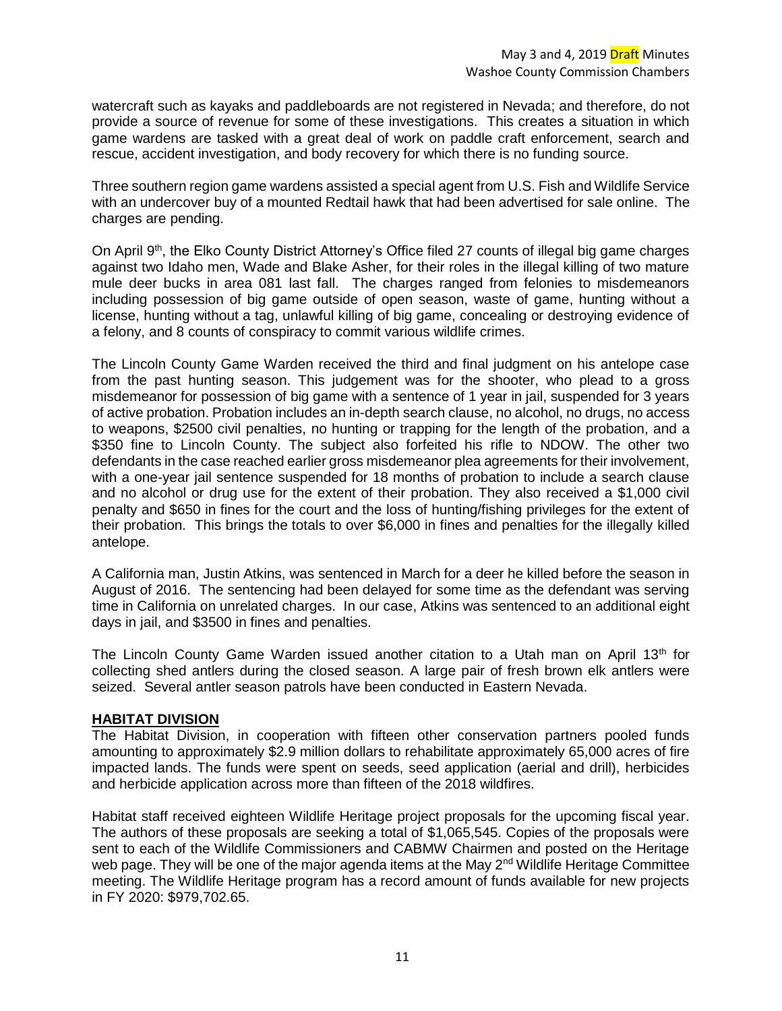watercraft such as kayaks and paddleboards are not registered in Nevada; and therefore, do not provide a source of revenue for some of these investigations. This creates a situation in which game wardens are tasked with a great deal of work on paddle craft enforcement, search and rescue, accident investigation, and body recovery for which there is no funding source.

Three southern region game wardens assisted a special agent from U.S. Fish and Wildlife Service with an undercover buy of a mounted Redtail hawk that had been advertised for sale online. The charges are pending.

On April 9th, the Elko County District Attorney's Office filed 27 counts of illegal big game charges against two Idaho men, Wade and Blake Asher, for their roles in the illegal killing of two mature mule deer bucks in area 081 last fall. The charges ranged from felonies to misdemeanors including possession of big game outside of open season, waste of game, hunting without a license, hunting without a tag, unlawful killing of big game, concealing or destroying evidence of a felony, and 8 counts of conspiracy to commit various wildlife crimes.

The Lincoln County Game Warden received the third and final judgment on his antelope case from the past hunting season. This judgement was for the shooter, who plead to a gross misdemeanor for possession of big game with a sentence of 1 year in jail, suspended for 3 years of active probation. Probation includes an in-depth search clause, no alcohol, no drugs, no access to weapons, \$2500 civil penalties, no hunting or trapping for the length of the probation, and a \$350 fine to Lincoln County. The subject also forfeited his rifle to NDOW. The other two defendants in the case reached earlier gross misdemeanor plea agreements for their involvement, with a one-year jail sentence suspended for 18 months of probation to include a search clause and no alcohol or drug use for the extent of their probation. They also received a \$1,000 civil penalty and \$650 in fines for the court and the loss of hunting/fishing privileges for the extent of their probation. This brings the totals to over \$6,000 in fines and penalties for the illegally killed antelope.

A California man, Justin Atkins, was sentenced in March for a deer he killed before the season in August of 2016. The sentencing had been delayed for some time as the defendant was serving time in California on unrelated charges. In our case, Atkins was sentenced to an additional eight days in jail, and \$3500 in fines and penalties.

The Lincoln County Game Warden issued another citation to a Utah man on April 13<sup>th</sup> for collecting shed antlers during the closed season. A large pair of fresh brown elk antlers were seized. Several antler season patrols have been conducted in Eastern Nevada.

# **HABITAT DIVISION**

The Habitat Division, in cooperation with fifteen other conservation partners pooled funds amounting to approximately \$2.9 million dollars to rehabilitate approximately 65,000 acres of fire impacted lands. The funds were spent on seeds, seed application (aerial and drill), herbicides and herbicide application across more than fifteen of the 2018 wildfires.

Habitat staff received eighteen Wildlife Heritage project proposals for the upcoming fiscal year. The authors of these proposals are seeking a total of \$1,065,545. Copies of the proposals were sent to each of the Wildlife Commissioners and CABMW Chairmen and posted on the Heritage web page. They will be one of the major agenda items at the May  $2^{nd}$  Wildlife Heritage Committee meeting. The Wildlife Heritage program has a record amount of funds available for new projects in FY 2020: \$979,702.65.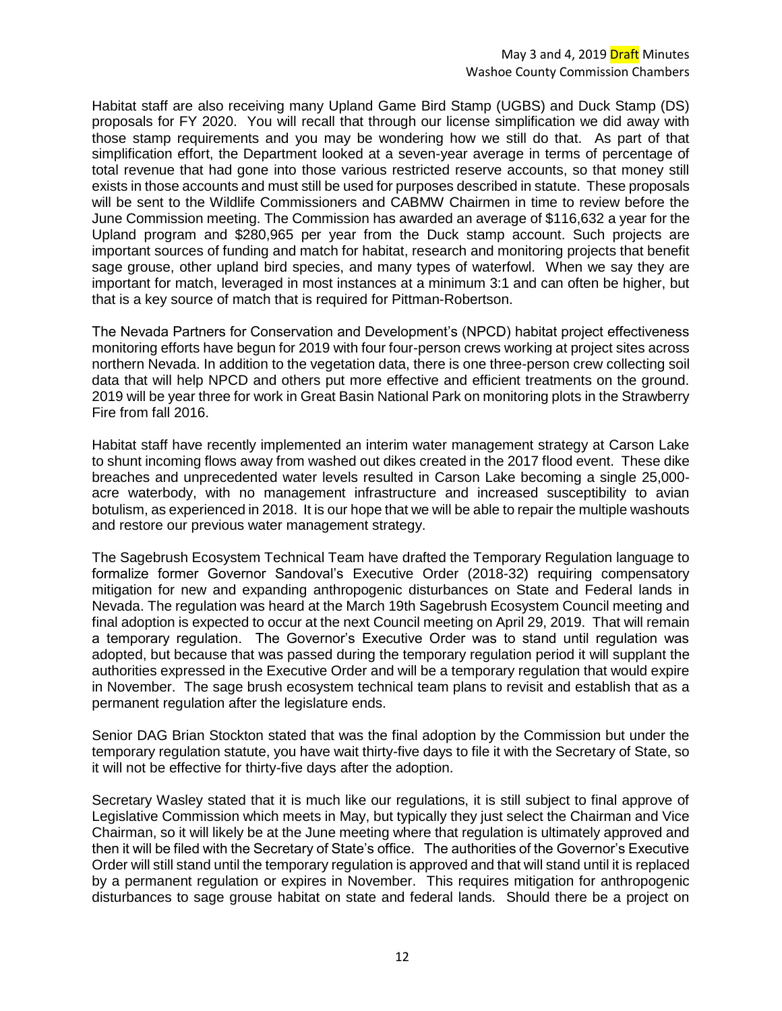Habitat staff are also receiving many Upland Game Bird Stamp (UGBS) and Duck Stamp (DS) proposals for FY 2020. You will recall that through our license simplification we did away with those stamp requirements and you may be wondering how we still do that. As part of that simplification effort, the Department looked at a seven-year average in terms of percentage of total revenue that had gone into those various restricted reserve accounts, so that money still exists in those accounts and must still be used for purposes described in statute. These proposals will be sent to the Wildlife Commissioners and CABMW Chairmen in time to review before the June Commission meeting. The Commission has awarded an average of \$116,632 a year for the Upland program and \$280,965 per year from the Duck stamp account. Such projects are important sources of funding and match for habitat, research and monitoring projects that benefit sage grouse, other upland bird species, and many types of waterfowl. When we say they are important for match, leveraged in most instances at a minimum 3:1 and can often be higher, but that is a key source of match that is required for Pittman-Robertson.

The Nevada Partners for Conservation and Development's (NPCD) habitat project effectiveness monitoring efforts have begun for 2019 with four four-person crews working at project sites across northern Nevada. In addition to the vegetation data, there is one three-person crew collecting soil data that will help NPCD and others put more effective and efficient treatments on the ground. 2019 will be year three for work in Great Basin National Park on monitoring plots in the Strawberry Fire from fall 2016.

Habitat staff have recently implemented an interim water management strategy at Carson Lake to shunt incoming flows away from washed out dikes created in the 2017 flood event. These dike breaches and unprecedented water levels resulted in Carson Lake becoming a single 25,000 acre waterbody, with no management infrastructure and increased susceptibility to avian botulism, as experienced in 2018. It is our hope that we will be able to repair the multiple washouts and restore our previous water management strategy.

The Sagebrush Ecosystem Technical Team have drafted the Temporary Regulation language to formalize former Governor Sandoval's Executive Order (2018-32) requiring compensatory mitigation for new and expanding anthropogenic disturbances on State and Federal lands in Nevada. The regulation was heard at the March 19th Sagebrush Ecosystem Council meeting and final adoption is expected to occur at the next Council meeting on April 29, 2019. That will remain a temporary regulation. The Governor's Executive Order was to stand until regulation was adopted, but because that was passed during the temporary regulation period it will supplant the authorities expressed in the Executive Order and will be a temporary regulation that would expire in November. The sage brush ecosystem technical team plans to revisit and establish that as a permanent regulation after the legislature ends.

Senior DAG Brian Stockton stated that was the final adoption by the Commission but under the temporary regulation statute, you have wait thirty-five days to file it with the Secretary of State, so it will not be effective for thirty-five days after the adoption.

Secretary Wasley stated that it is much like our regulations, it is still subject to final approve of Legislative Commission which meets in May, but typically they just select the Chairman and Vice Chairman, so it will likely be at the June meeting where that regulation is ultimately approved and then it will be filed with the Secretary of State's office. The authorities of the Governor's Executive Order will still stand until the temporary regulation is approved and that will stand until it is replaced by a permanent regulation or expires in November. This requires mitigation for anthropogenic disturbances to sage grouse habitat on state and federal lands. Should there be a project on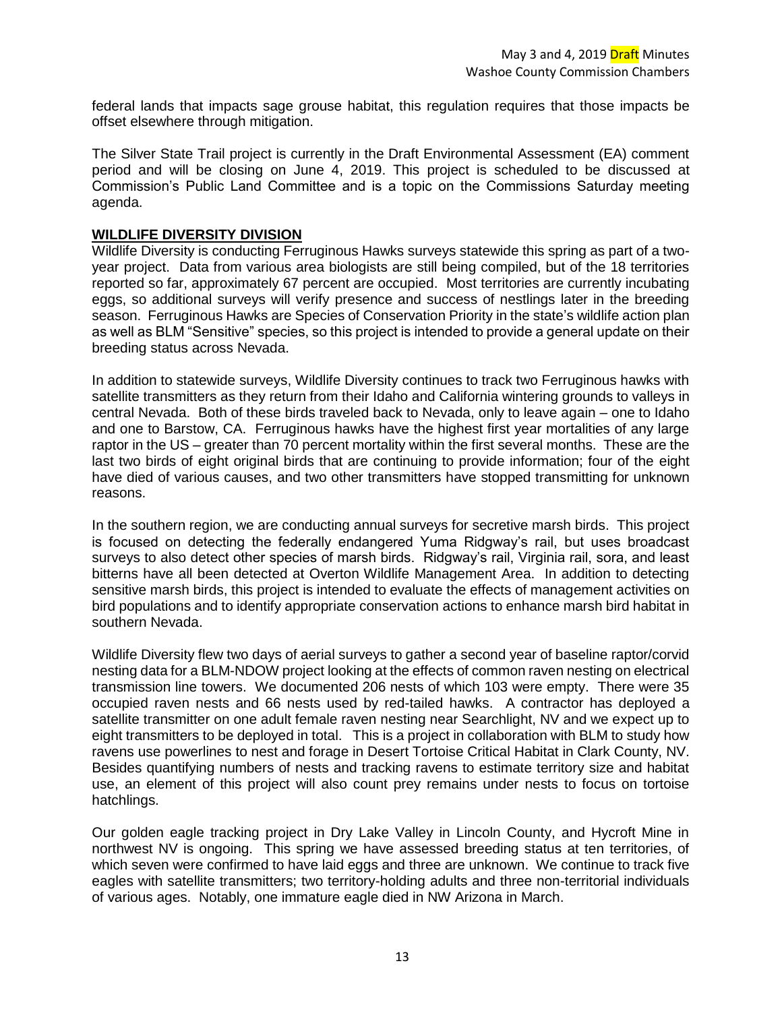federal lands that impacts sage grouse habitat, this regulation requires that those impacts be offset elsewhere through mitigation.

The Silver State Trail project is currently in the Draft Environmental Assessment (EA) comment period and will be closing on June 4, 2019. This project is scheduled to be discussed at Commission's Public Land Committee and is a topic on the Commissions Saturday meeting agenda.

### **WILDLIFE DIVERSITY DIVISION**

Wildlife Diversity is conducting Ferruginous Hawks surveys statewide this spring as part of a twoyear project. Data from various area biologists are still being compiled, but of the 18 territories reported so far, approximately 67 percent are occupied. Most territories are currently incubating eggs, so additional surveys will verify presence and success of nestlings later in the breeding season. Ferruginous Hawks are Species of Conservation Priority in the state's wildlife action plan as well as BLM "Sensitive" species, so this project is intended to provide a general update on their breeding status across Nevada.

In addition to statewide surveys, Wildlife Diversity continues to track two Ferruginous hawks with satellite transmitters as they return from their Idaho and California wintering grounds to valleys in central Nevada. Both of these birds traveled back to Nevada, only to leave again – one to Idaho and one to Barstow, CA. Ferruginous hawks have the highest first year mortalities of any large raptor in the US – greater than 70 percent mortality within the first several months. These are the last two birds of eight original birds that are continuing to provide information; four of the eight have died of various causes, and two other transmitters have stopped transmitting for unknown reasons.

In the southern region, we are conducting annual surveys for secretive marsh birds. This project is focused on detecting the federally endangered Yuma Ridgway's rail, but uses broadcast surveys to also detect other species of marsh birds. Ridgway's rail, Virginia rail, sora, and least bitterns have all been detected at Overton Wildlife Management Area. In addition to detecting sensitive marsh birds, this project is intended to evaluate the effects of management activities on bird populations and to identify appropriate conservation actions to enhance marsh bird habitat in southern Nevada.

Wildlife Diversity flew two days of aerial surveys to gather a second year of baseline raptor/corvid nesting data for a BLM-NDOW project looking at the effects of common raven nesting on electrical transmission line towers. We documented 206 nests of which 103 were empty. There were 35 occupied raven nests and 66 nests used by red-tailed hawks. A contractor has deployed a satellite transmitter on one adult female raven nesting near Searchlight, NV and we expect up to eight transmitters to be deployed in total. This is a project in collaboration with BLM to study how ravens use powerlines to nest and forage in Desert Tortoise Critical Habitat in Clark County, NV. Besides quantifying numbers of nests and tracking ravens to estimate territory size and habitat use, an element of this project will also count prey remains under nests to focus on tortoise hatchlings.

Our golden eagle tracking project in Dry Lake Valley in Lincoln County, and Hycroft Mine in northwest NV is ongoing. This spring we have assessed breeding status at ten territories, of which seven were confirmed to have laid eggs and three are unknown. We continue to track five eagles with satellite transmitters; two territory-holding adults and three non-territorial individuals of various ages. Notably, one immature eagle died in NW Arizona in March.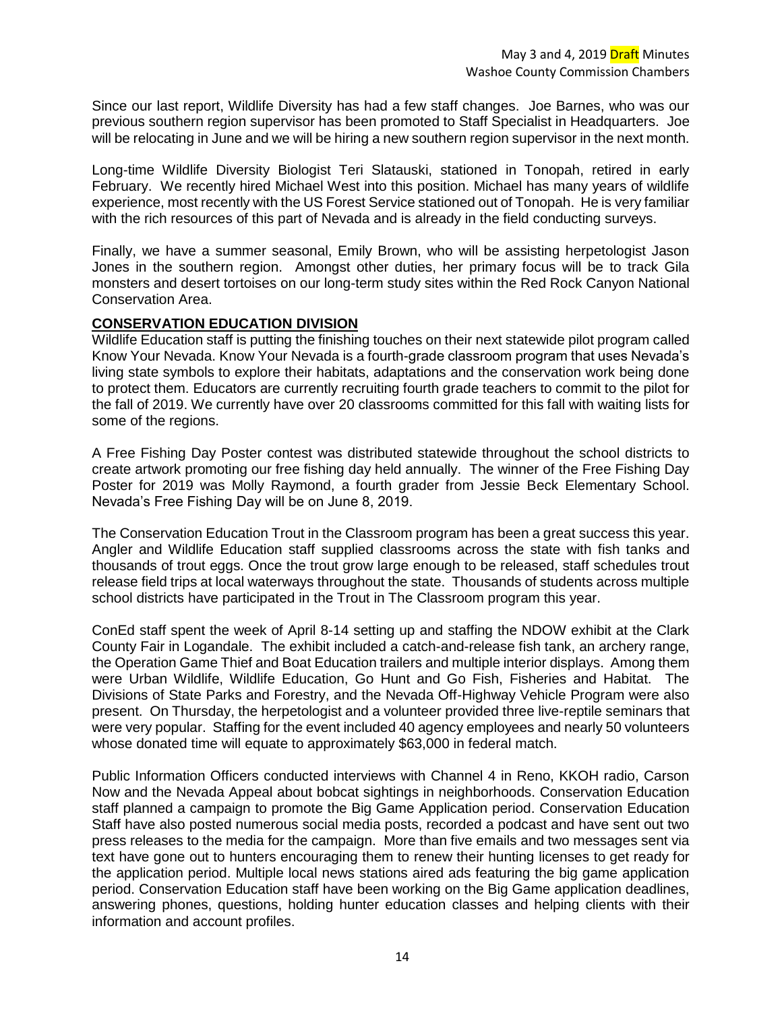Since our last report, Wildlife Diversity has had a few staff changes. Joe Barnes, who was our previous southern region supervisor has been promoted to Staff Specialist in Headquarters. Joe will be relocating in June and we will be hiring a new southern region supervisor in the next month.

Long-time Wildlife Diversity Biologist Teri Slatauski, stationed in Tonopah, retired in early February. We recently hired Michael West into this position. Michael has many years of wildlife experience, most recently with the US Forest Service stationed out of Tonopah. He is very familiar with the rich resources of this part of Nevada and is already in the field conducting surveys.

Finally, we have a summer seasonal, Emily Brown, who will be assisting herpetologist Jason Jones in the southern region. Amongst other duties, her primary focus will be to track Gila monsters and desert tortoises on our long-term study sites within the Red Rock Canyon National Conservation Area.

# **CONSERVATION EDUCATION DIVISION**

Wildlife Education staff is putting the finishing touches on their next statewide pilot program called Know Your Nevada. Know Your Nevada is a fourth-grade classroom program that uses Nevada's living state symbols to explore their habitats, adaptations and the conservation work being done to protect them. Educators are currently recruiting fourth grade teachers to commit to the pilot for the fall of 2019. We currently have over 20 classrooms committed for this fall with waiting lists for some of the regions.

A Free Fishing Day Poster contest was distributed statewide throughout the school districts to create artwork promoting our free fishing day held annually. The winner of the Free Fishing Day Poster for 2019 was Molly Raymond, a fourth grader from Jessie Beck Elementary School. Nevada's Free Fishing Day will be on June 8, 2019.

The Conservation Education Trout in the Classroom program has been a great success this year. Angler and Wildlife Education staff supplied classrooms across the state with fish tanks and thousands of trout eggs. Once the trout grow large enough to be released, staff schedules trout release field trips at local waterways throughout the state. Thousands of students across multiple school districts have participated in the Trout in The Classroom program this year.

ConEd staff spent the week of April 8-14 setting up and staffing the NDOW exhibit at the Clark County Fair in Logandale. The exhibit included a catch-and-release fish tank, an archery range, the Operation Game Thief and Boat Education trailers and multiple interior displays. Among them were Urban Wildlife, Wildlife Education, Go Hunt and Go Fish, Fisheries and Habitat. The Divisions of State Parks and Forestry, and the Nevada Off-Highway Vehicle Program were also present. On Thursday, the herpetologist and a volunteer provided three live-reptile seminars that were very popular. Staffing for the event included 40 agency employees and nearly 50 volunteers whose donated time will equate to approximately \$63,000 in federal match.

Public Information Officers conducted interviews with Channel 4 in Reno, KKOH radio, Carson Now and the Nevada Appeal about bobcat sightings in neighborhoods. Conservation Education staff planned a campaign to promote the Big Game Application period. Conservation Education Staff have also posted numerous social media posts, recorded a podcast and have sent out two press releases to the media for the campaign. More than five emails and two messages sent via text have gone out to hunters encouraging them to renew their hunting licenses to get ready for the application period. Multiple local news stations aired ads featuring the big game application period. Conservation Education staff have been working on the Big Game application deadlines, answering phones, questions, holding hunter education classes and helping clients with their information and account profiles.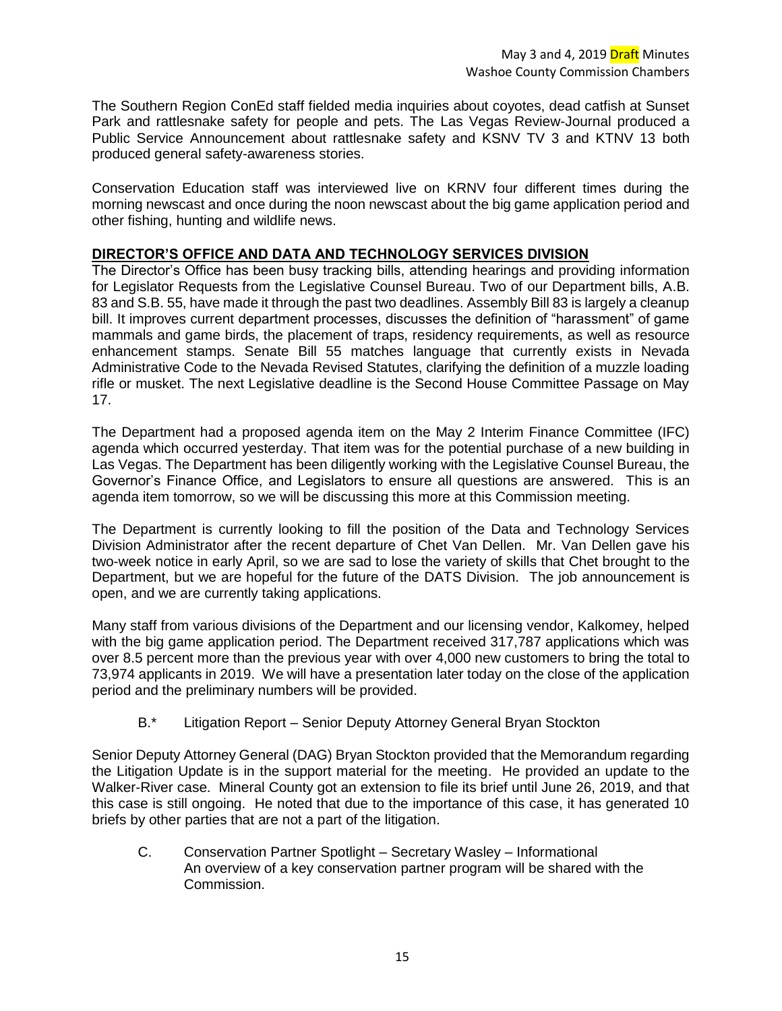The Southern Region ConEd staff fielded media inquiries about coyotes, dead catfish at Sunset Park and rattlesnake safety for people and pets. The Las Vegas Review-Journal produced a Public Service Announcement about rattlesnake safety and KSNV TV 3 and KTNV 13 both produced general safety-awareness stories.

Conservation Education staff was interviewed live on KRNV four different times during the morning newscast and once during the noon newscast about the big game application period and other fishing, hunting and wildlife news.

# **DIRECTOR'S OFFICE AND DATA AND TECHNOLOGY SERVICES DIVISION**

The Director's Office has been busy tracking bills, attending hearings and providing information for Legislator Requests from the Legislative Counsel Bureau. Two of our Department bills, A.B. 83 and S.B. 55, have made it through the past two deadlines. Assembly Bill 83 is largely a cleanup bill. It improves current department processes, discusses the definition of "harassment" of game mammals and game birds, the placement of traps, residency requirements, as well as resource enhancement stamps. Senate Bill 55 matches language that currently exists in Nevada Administrative Code to the Nevada Revised Statutes, clarifying the definition of a muzzle loading rifle or musket. The next Legislative deadline is the Second House Committee Passage on May 17.

The Department had a proposed agenda item on the May 2 Interim Finance Committee (IFC) agenda which occurred yesterday. That item was for the potential purchase of a new building in Las Vegas. The Department has been diligently working with the Legislative Counsel Bureau, the Governor's Finance Office, and Legislators to ensure all questions are answered. This is an agenda item tomorrow, so we will be discussing this more at this Commission meeting.

The Department is currently looking to fill the position of the Data and Technology Services Division Administrator after the recent departure of Chet Van Dellen. Mr. Van Dellen gave his two-week notice in early April, so we are sad to lose the variety of skills that Chet brought to the Department, but we are hopeful for the future of the DATS Division. The job announcement is open, and we are currently taking applications.

Many staff from various divisions of the Department and our licensing vendor, Kalkomey, helped with the big game application period. The Department received 317,787 applications which was over 8.5 percent more than the previous year with over 4,000 new customers to bring the total to 73,974 applicants in 2019. We will have a presentation later today on the close of the application period and the preliminary numbers will be provided.

B.\* Litigation Report – Senior Deputy Attorney General Bryan Stockton

Senior Deputy Attorney General (DAG) Bryan Stockton provided that the Memorandum regarding the Litigation Update is in the support material for the meeting. He provided an update to the Walker-River case. Mineral County got an extension to file its brief until June 26, 2019, and that this case is still ongoing. He noted that due to the importance of this case, it has generated 10 briefs by other parties that are not a part of the litigation.

C. Conservation Partner Spotlight – Secretary Wasley – Informational An overview of a key conservation partner program will be shared with the Commission.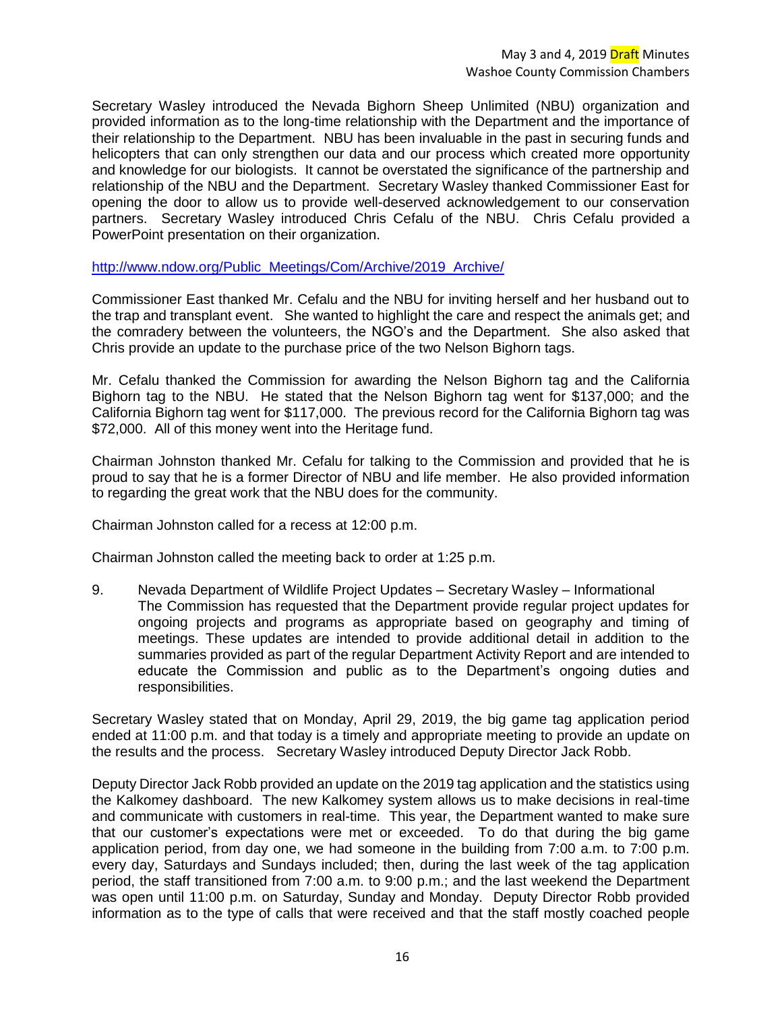Secretary Wasley introduced the Nevada Bighorn Sheep Unlimited (NBU) organization and provided information as to the long-time relationship with the Department and the importance of their relationship to the Department. NBU has been invaluable in the past in securing funds and helicopters that can only strengthen our data and our process which created more opportunity and knowledge for our biologists. It cannot be overstated the significance of the partnership and relationship of the NBU and the Department. Secretary Wasley thanked Commissioner East for opening the door to allow us to provide well-deserved acknowledgement to our conservation partners. Secretary Wasley introduced Chris Cefalu of the NBU. Chris Cefalu provided a PowerPoint presentation on their organization.

[http://www.ndow.org/Public\\_Meetings/Com/Archive/2019\\_Archive/](http://www.ndow.org/Public_Meetings/Com/Archive/2019_Archive/)

Commissioner East thanked Mr. Cefalu and the NBU for inviting herself and her husband out to the trap and transplant event. She wanted to highlight the care and respect the animals get; and the comradery between the volunteers, the NGO's and the Department. She also asked that Chris provide an update to the purchase price of the two Nelson Bighorn tags.

Mr. Cefalu thanked the Commission for awarding the Nelson Bighorn tag and the California Bighorn tag to the NBU. He stated that the Nelson Bighorn tag went for \$137,000; and the California Bighorn tag went for \$117,000. The previous record for the California Bighorn tag was \$72,000. All of this money went into the Heritage fund.

Chairman Johnston thanked Mr. Cefalu for talking to the Commission and provided that he is proud to say that he is a former Director of NBU and life member. He also provided information to regarding the great work that the NBU does for the community.

Chairman Johnston called for a recess at 12:00 p.m.

Chairman Johnston called the meeting back to order at 1:25 p.m.

9. Nevada Department of Wildlife Project Updates – Secretary Wasley – Informational The Commission has requested that the Department provide regular project updates for ongoing projects and programs as appropriate based on geography and timing of meetings. These updates are intended to provide additional detail in addition to the summaries provided as part of the regular Department Activity Report and are intended to educate the Commission and public as to the Department's ongoing duties and responsibilities.

Secretary Wasley stated that on Monday, April 29, 2019, the big game tag application period ended at 11:00 p.m. and that today is a timely and appropriate meeting to provide an update on the results and the process. Secretary Wasley introduced Deputy Director Jack Robb.

Deputy Director Jack Robb provided an update on the 2019 tag application and the statistics using the Kalkomey dashboard. The new Kalkomey system allows us to make decisions in real-time and communicate with customers in real-time. This year, the Department wanted to make sure that our customer's expectations were met or exceeded. To do that during the big game application period, from day one, we had someone in the building from 7:00 a.m. to 7:00 p.m. every day, Saturdays and Sundays included; then, during the last week of the tag application period, the staff transitioned from 7:00 a.m. to 9:00 p.m.; and the last weekend the Department was open until 11:00 p.m. on Saturday, Sunday and Monday. Deputy Director Robb provided information as to the type of calls that were received and that the staff mostly coached people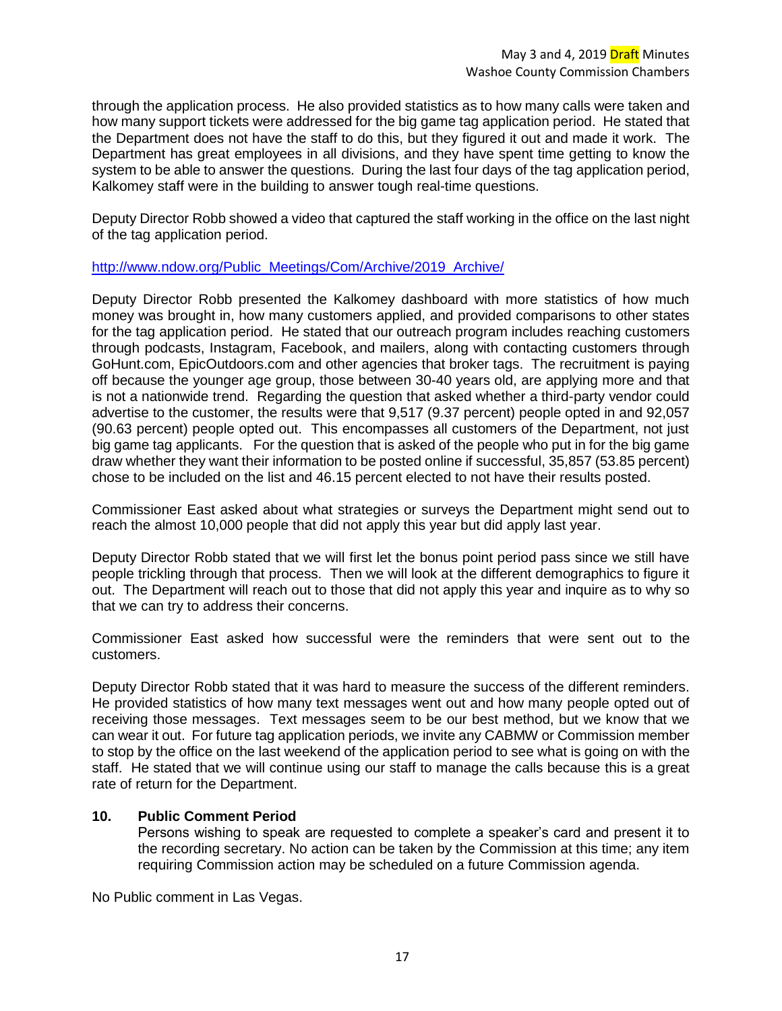through the application process. He also provided statistics as to how many calls were taken and how many support tickets were addressed for the big game tag application period. He stated that the Department does not have the staff to do this, but they figured it out and made it work. The Department has great employees in all divisions, and they have spent time getting to know the system to be able to answer the questions. During the last four days of the tag application period, Kalkomey staff were in the building to answer tough real-time questions.

Deputy Director Robb showed a video that captured the staff working in the office on the last night of the tag application period.

# [http://www.ndow.org/Public\\_Meetings/Com/Archive/2019\\_Archive/](http://www.ndow.org/Public_Meetings/Com/Archive/2019_Archive/)

Deputy Director Robb presented the Kalkomey dashboard with more statistics of how much money was brought in, how many customers applied, and provided comparisons to other states for the tag application period. He stated that our outreach program includes reaching customers through podcasts, Instagram, Facebook, and mailers, along with contacting customers through GoHunt.com, EpicOutdoors.com and other agencies that broker tags. The recruitment is paying off because the younger age group, those between 30-40 years old, are applying more and that is not a nationwide trend. Regarding the question that asked whether a third-party vendor could advertise to the customer, the results were that 9,517 (9.37 percent) people opted in and 92,057 (90.63 percent) people opted out. This encompasses all customers of the Department, not just big game tag applicants. For the question that is asked of the people who put in for the big game draw whether they want their information to be posted online if successful, 35,857 (53.85 percent) chose to be included on the list and 46.15 percent elected to not have their results posted.

Commissioner East asked about what strategies or surveys the Department might send out to reach the almost 10,000 people that did not apply this year but did apply last year.

Deputy Director Robb stated that we will first let the bonus point period pass since we still have people trickling through that process. Then we will look at the different demographics to figure it out. The Department will reach out to those that did not apply this year and inquire as to why so that we can try to address their concerns.

Commissioner East asked how successful were the reminders that were sent out to the customers.

Deputy Director Robb stated that it was hard to measure the success of the different reminders. He provided statistics of how many text messages went out and how many people opted out of receiving those messages. Text messages seem to be our best method, but we know that we can wear it out. For future tag application periods, we invite any CABMW or Commission member to stop by the office on the last weekend of the application period to see what is going on with the staff. He stated that we will continue using our staff to manage the calls because this is a great rate of return for the Department.

# **10. Public Comment Period**

Persons wishing to speak are requested to complete a speaker's card and present it to the recording secretary. No action can be taken by the Commission at this time; any item requiring Commission action may be scheduled on a future Commission agenda.

No Public comment in Las Vegas.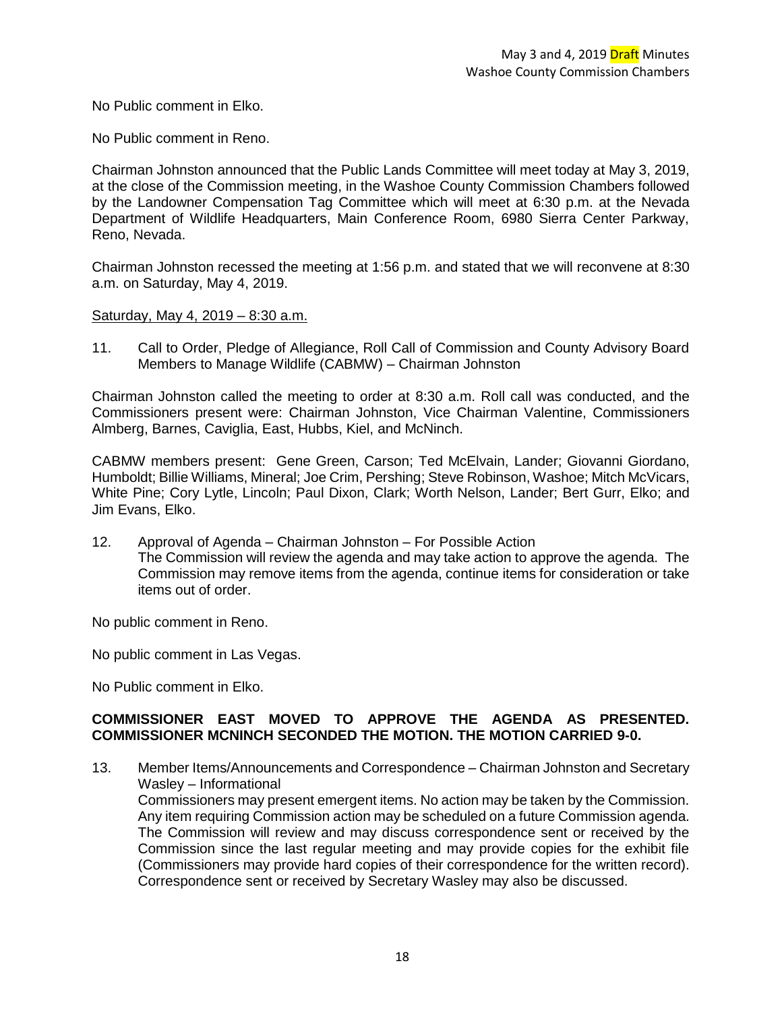No Public comment in Elko.

No Public comment in Reno.

Chairman Johnston announced that the Public Lands Committee will meet today at May 3, 2019, at the close of the Commission meeting, in the Washoe County Commission Chambers followed by the Landowner Compensation Tag Committee which will meet at 6:30 p.m. at the Nevada Department of Wildlife Headquarters, Main Conference Room, 6980 Sierra Center Parkway, Reno, Nevada.

Chairman Johnston recessed the meeting at 1:56 p.m. and stated that we will reconvene at 8:30 a.m. on Saturday, May 4, 2019.

### Saturday, May 4, 2019 – 8:30 a.m.

11. Call to Order, Pledge of Allegiance, Roll Call of Commission and County Advisory Board Members to Manage Wildlife (CABMW) – Chairman Johnston

Chairman Johnston called the meeting to order at 8:30 a.m. Roll call was conducted, and the Commissioners present were: Chairman Johnston, Vice Chairman Valentine, Commissioners Almberg, Barnes, Caviglia, East, Hubbs, Kiel, and McNinch.

CABMW members present: Gene Green, Carson; Ted McElvain, Lander; Giovanni Giordano, Humboldt; Billie Williams, Mineral; Joe Crim, Pershing; Steve Robinson, Washoe; Mitch McVicars, White Pine; Cory Lytle, Lincoln; Paul Dixon, Clark; Worth Nelson, Lander; Bert Gurr, Elko; and Jim Evans, Elko.

12. Approval of Agenda – Chairman Johnston – For Possible Action The Commission will review the agenda and may take action to approve the agenda. The Commission may remove items from the agenda, continue items for consideration or take items out of order.

No public comment in Reno.

No public comment in Las Vegas.

No Public comment in Elko.

### **COMMISSIONER EAST MOVED TO APPROVE THE AGENDA AS PRESENTED. COMMISSIONER MCNINCH SECONDED THE MOTION. THE MOTION CARRIED 9-0.**

13. Member Items/Announcements and Correspondence – Chairman Johnston and Secretary Wasley – Informational

Commissioners may present emergent items. No action may be taken by the Commission. Any item requiring Commission action may be scheduled on a future Commission agenda. The Commission will review and may discuss correspondence sent or received by the Commission since the last regular meeting and may provide copies for the exhibit file (Commissioners may provide hard copies of their correspondence for the written record). Correspondence sent or received by Secretary Wasley may also be discussed.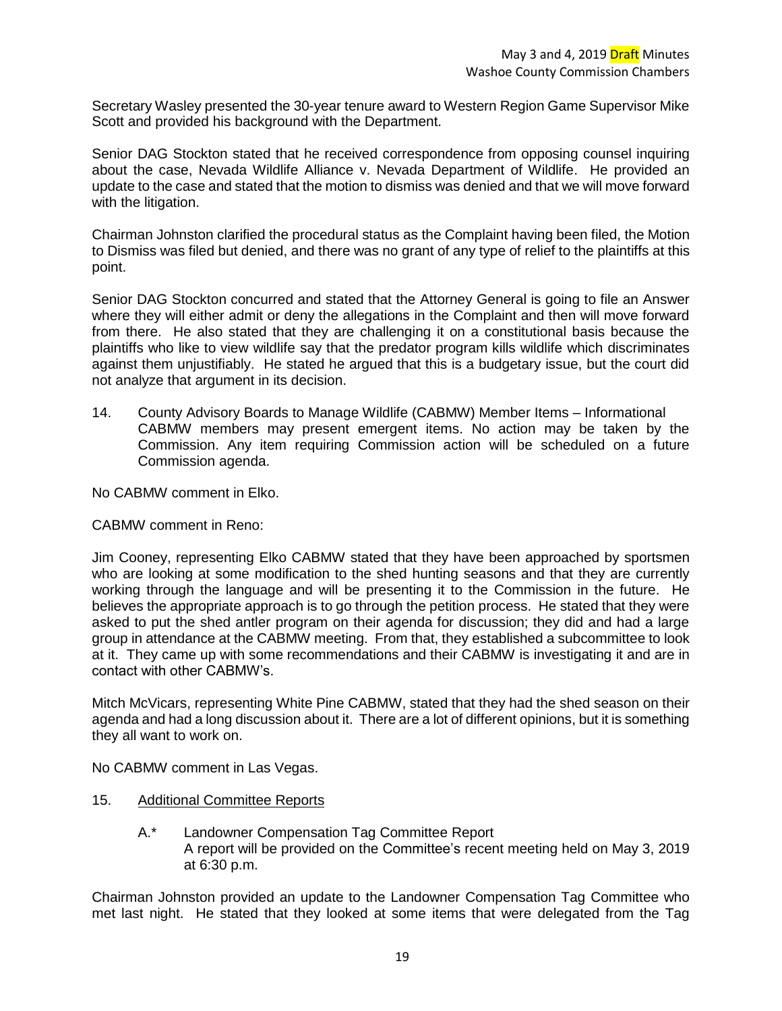Secretary Wasley presented the 30-year tenure award to Western Region Game Supervisor Mike Scott and provided his background with the Department.

Senior DAG Stockton stated that he received correspondence from opposing counsel inquiring about the case, Nevada Wildlife Alliance v. Nevada Department of Wildlife. He provided an update to the case and stated that the motion to dismiss was denied and that we will move forward with the litigation.

Chairman Johnston clarified the procedural status as the Complaint having been filed, the Motion to Dismiss was filed but denied, and there was no grant of any type of relief to the plaintiffs at this point.

Senior DAG Stockton concurred and stated that the Attorney General is going to file an Answer where they will either admit or deny the allegations in the Complaint and then will move forward from there. He also stated that they are challenging it on a constitutional basis because the plaintiffs who like to view wildlife say that the predator program kills wildlife which discriminates against them unjustifiably. He stated he argued that this is a budgetary issue, but the court did not analyze that argument in its decision.

14. County Advisory Boards to Manage Wildlife (CABMW) Member Items – Informational CABMW members may present emergent items. No action may be taken by the Commission. Any item requiring Commission action will be scheduled on a future Commission agenda.

No CABMW comment in Elko.

# CABMW comment in Reno:

Jim Cooney, representing Elko CABMW stated that they have been approached by sportsmen who are looking at some modification to the shed hunting seasons and that they are currently working through the language and will be presenting it to the Commission in the future. He believes the appropriate approach is to go through the petition process. He stated that they were asked to put the shed antler program on their agenda for discussion; they did and had a large group in attendance at the CABMW meeting. From that, they established a subcommittee to look at it. They came up with some recommendations and their CABMW is investigating it and are in contact with other CABMW's.

Mitch McVicars, representing White Pine CABMW, stated that they had the shed season on their agenda and had a long discussion about it. There are a lot of different opinions, but it is something they all want to work on.

No CABMW comment in Las Vegas.

- 15. Additional Committee Reports
	- A.\* Landowner Compensation Tag Committee Report A report will be provided on the Committee's recent meeting held on May 3, 2019 at 6:30 p.m.

Chairman Johnston provided an update to the Landowner Compensation Tag Committee who met last night. He stated that they looked at some items that were delegated from the Tag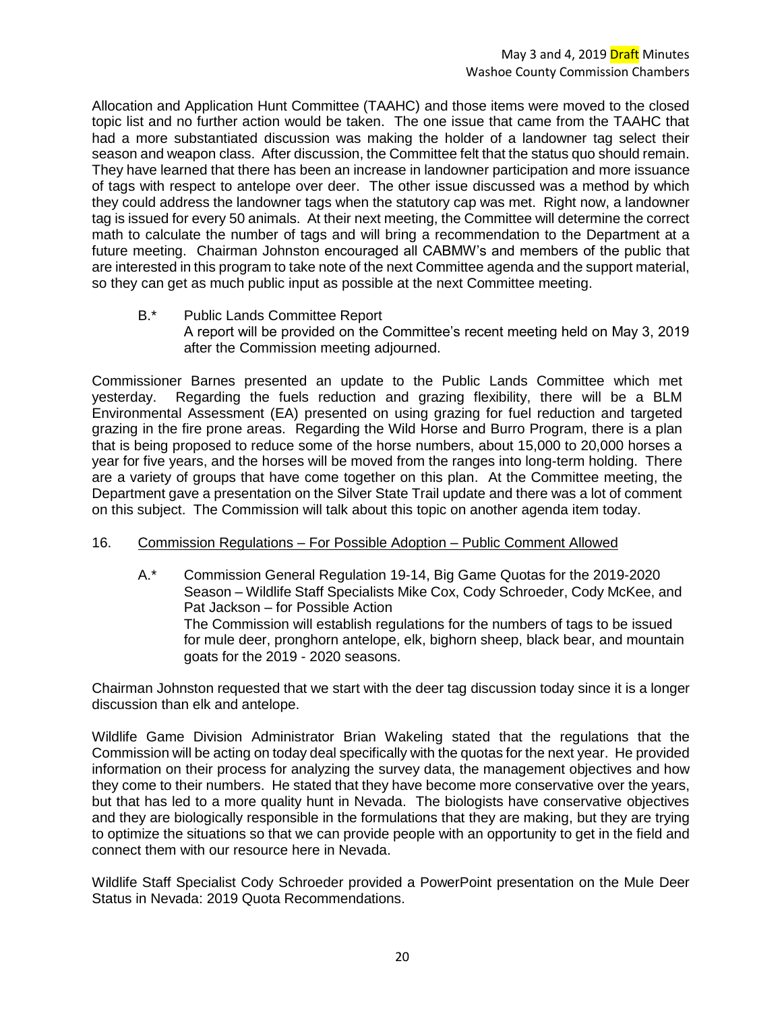Allocation and Application Hunt Committee (TAAHC) and those items were moved to the closed topic list and no further action would be taken. The one issue that came from the TAAHC that had a more substantiated discussion was making the holder of a landowner tag select their season and weapon class. After discussion, the Committee felt that the status quo should remain. They have learned that there has been an increase in landowner participation and more issuance of tags with respect to antelope over deer. The other issue discussed was a method by which they could address the landowner tags when the statutory cap was met. Right now, a landowner tag is issued for every 50 animals. At their next meeting, the Committee will determine the correct math to calculate the number of tags and will bring a recommendation to the Department at a future meeting. Chairman Johnston encouraged all CABMW's and members of the public that are interested in this program to take note of the next Committee agenda and the support material, so they can get as much public input as possible at the next Committee meeting.

B.\* Public Lands Committee Report A report will be provided on the Committee's recent meeting held on May 3, 2019 after the Commission meeting adjourned.

Commissioner Barnes presented an update to the Public Lands Committee which met yesterday. Regarding the fuels reduction and grazing flexibility, there will be a BLM Environmental Assessment (EA) presented on using grazing for fuel reduction and targeted grazing in the fire prone areas. Regarding the Wild Horse and Burro Program, there is a plan that is being proposed to reduce some of the horse numbers, about 15,000 to 20,000 horses a year for five years, and the horses will be moved from the ranges into long-term holding. There are a variety of groups that have come together on this plan. At the Committee meeting, the Department gave a presentation on the Silver State Trail update and there was a lot of comment on this subject. The Commission will talk about this topic on another agenda item today.

# 16. Commission Regulations – For Possible Adoption – Public Comment Allowed

A.\* Commission General Regulation 19-14, Big Game Quotas for the 2019-2020 Season – Wildlife Staff Specialists Mike Cox, Cody Schroeder, Cody McKee, and Pat Jackson – for Possible Action The Commission will establish regulations for the numbers of tags to be issued for mule deer, pronghorn antelope, elk, bighorn sheep, black bear, and mountain goats for the 2019 - 2020 seasons.

Chairman Johnston requested that we start with the deer tag discussion today since it is a longer discussion than elk and antelope.

Wildlife Game Division Administrator Brian Wakeling stated that the regulations that the Commission will be acting on today deal specifically with the quotas for the next year. He provided information on their process for analyzing the survey data, the management objectives and how they come to their numbers. He stated that they have become more conservative over the years, but that has led to a more quality hunt in Nevada. The biologists have conservative objectives and they are biologically responsible in the formulations that they are making, but they are trying to optimize the situations so that we can provide people with an opportunity to get in the field and connect them with our resource here in Nevada.

Wildlife Staff Specialist Cody Schroeder provided a PowerPoint presentation on the Mule Deer Status in Nevada: 2019 Quota Recommendations.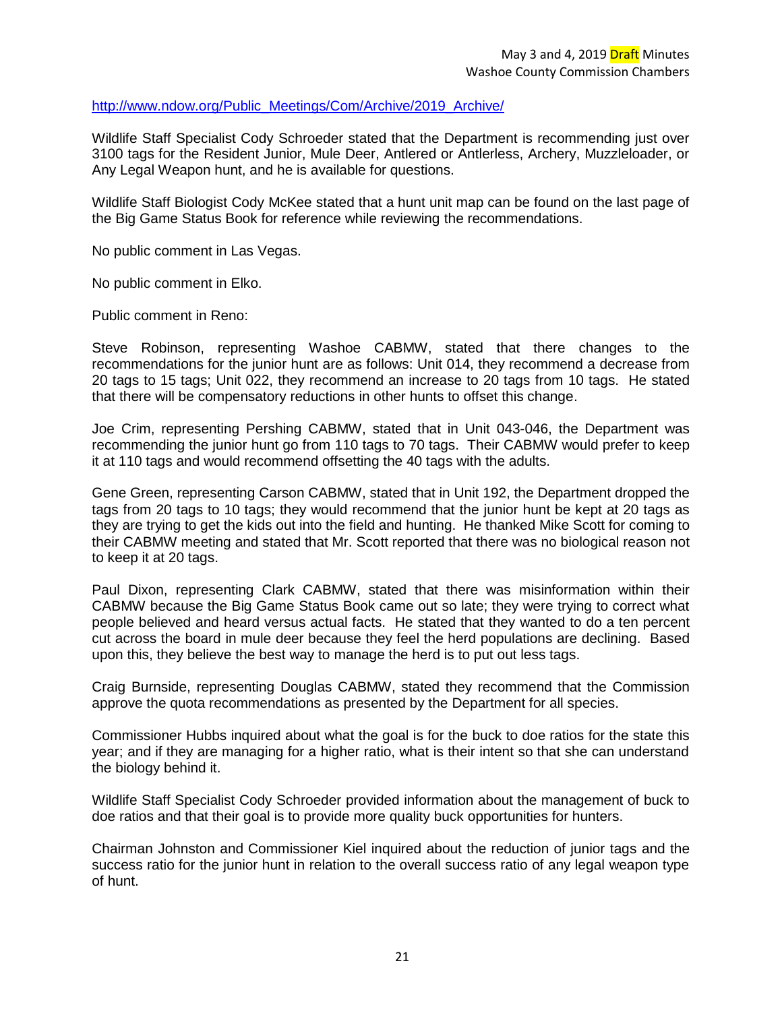### [http://www.ndow.org/Public\\_Meetings/Com/Archive/2019\\_Archive/](http://www.ndow.org/Public_Meetings/Com/Archive/2019_Archive/)

Wildlife Staff Specialist Cody Schroeder stated that the Department is recommending just over 3100 tags for the Resident Junior, Mule Deer, Antlered or Antlerless, Archery, Muzzleloader, or Any Legal Weapon hunt, and he is available for questions.

Wildlife Staff Biologist Cody McKee stated that a hunt unit map can be found on the last page of the Big Game Status Book for reference while reviewing the recommendations.

No public comment in Las Vegas.

No public comment in Elko.

Public comment in Reno:

Steve Robinson, representing Washoe CABMW, stated that there changes to the recommendations for the junior hunt are as follows: Unit 014, they recommend a decrease from 20 tags to 15 tags; Unit 022, they recommend an increase to 20 tags from 10 tags. He stated that there will be compensatory reductions in other hunts to offset this change.

Joe Crim, representing Pershing CABMW, stated that in Unit 043-046, the Department was recommending the junior hunt go from 110 tags to 70 tags. Their CABMW would prefer to keep it at 110 tags and would recommend offsetting the 40 tags with the adults.

Gene Green, representing Carson CABMW, stated that in Unit 192, the Department dropped the tags from 20 tags to 10 tags; they would recommend that the junior hunt be kept at 20 tags as they are trying to get the kids out into the field and hunting. He thanked Mike Scott for coming to their CABMW meeting and stated that Mr. Scott reported that there was no biological reason not to keep it at 20 tags.

Paul Dixon, representing Clark CABMW, stated that there was misinformation within their CABMW because the Big Game Status Book came out so late; they were trying to correct what people believed and heard versus actual facts. He stated that they wanted to do a ten percent cut across the board in mule deer because they feel the herd populations are declining. Based upon this, they believe the best way to manage the herd is to put out less tags.

Craig Burnside, representing Douglas CABMW, stated they recommend that the Commission approve the quota recommendations as presented by the Department for all species.

Commissioner Hubbs inquired about what the goal is for the buck to doe ratios for the state this year; and if they are managing for a higher ratio, what is their intent so that she can understand the biology behind it.

Wildlife Staff Specialist Cody Schroeder provided information about the management of buck to doe ratios and that their goal is to provide more quality buck opportunities for hunters.

Chairman Johnston and Commissioner Kiel inquired about the reduction of junior tags and the success ratio for the junior hunt in relation to the overall success ratio of any legal weapon type of hunt.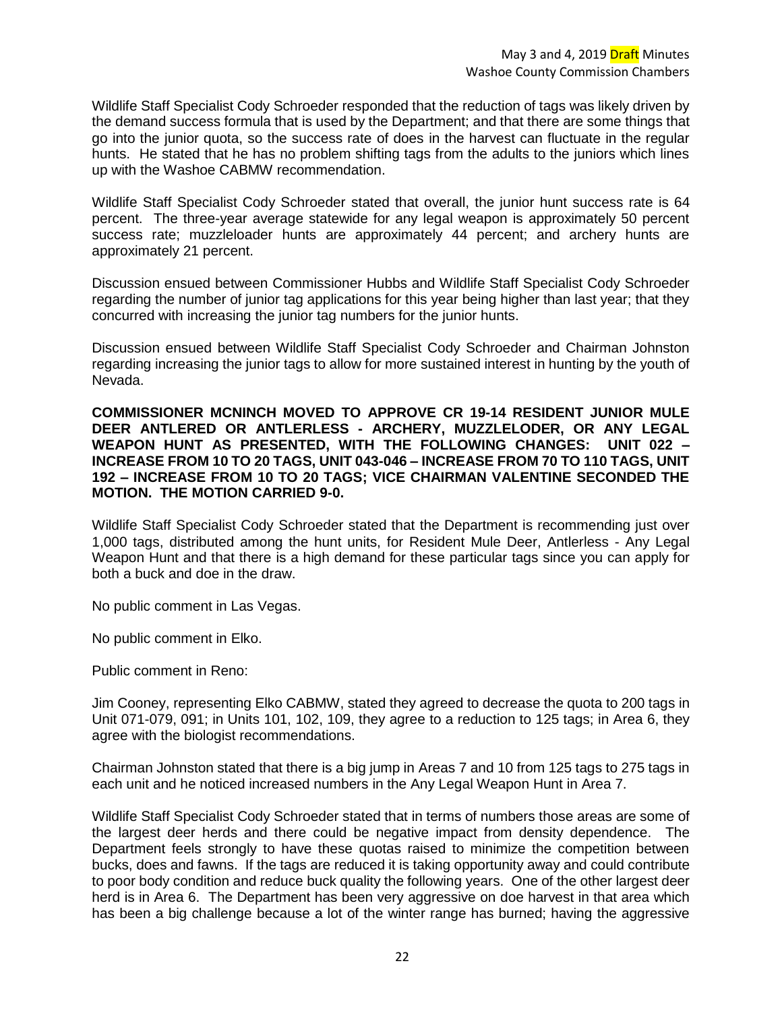Wildlife Staff Specialist Cody Schroeder responded that the reduction of tags was likely driven by the demand success formula that is used by the Department; and that there are some things that go into the junior quota, so the success rate of does in the harvest can fluctuate in the regular hunts. He stated that he has no problem shifting tags from the adults to the juniors which lines up with the Washoe CABMW recommendation.

Wildlife Staff Specialist Cody Schroeder stated that overall, the junior hunt success rate is 64 percent. The three-year average statewide for any legal weapon is approximately 50 percent success rate; muzzleloader hunts are approximately 44 percent; and archery hunts are approximately 21 percent.

Discussion ensued between Commissioner Hubbs and Wildlife Staff Specialist Cody Schroeder regarding the number of junior tag applications for this year being higher than last year; that they concurred with increasing the junior tag numbers for the junior hunts.

Discussion ensued between Wildlife Staff Specialist Cody Schroeder and Chairman Johnston regarding increasing the junior tags to allow for more sustained interest in hunting by the youth of Nevada.

**COMMISSIONER MCNINCH MOVED TO APPROVE CR 19-14 RESIDENT JUNIOR MULE DEER ANTLERED OR ANTLERLESS - ARCHERY, MUZZLELODER, OR ANY LEGAL WEAPON HUNT AS PRESENTED, WITH THE FOLLOWING CHANGES: UNIT 022 – INCREASE FROM 10 TO 20 TAGS, UNIT 043-046 – INCREASE FROM 70 TO 110 TAGS, UNIT 192 – INCREASE FROM 10 TO 20 TAGS; VICE CHAIRMAN VALENTINE SECONDED THE MOTION. THE MOTION CARRIED 9-0.**

Wildlife Staff Specialist Cody Schroeder stated that the Department is recommending just over 1,000 tags, distributed among the hunt units, for Resident Mule Deer, Antlerless - Any Legal Weapon Hunt and that there is a high demand for these particular tags since you can apply for both a buck and doe in the draw.

No public comment in Las Vegas.

No public comment in Elko.

Public comment in Reno:

Jim Cooney, representing Elko CABMW, stated they agreed to decrease the quota to 200 tags in Unit 071-079, 091; in Units 101, 102, 109, they agree to a reduction to 125 tags; in Area 6, they agree with the biologist recommendations.

Chairman Johnston stated that there is a big jump in Areas 7 and 10 from 125 tags to 275 tags in each unit and he noticed increased numbers in the Any Legal Weapon Hunt in Area 7.

Wildlife Staff Specialist Cody Schroeder stated that in terms of numbers those areas are some of the largest deer herds and there could be negative impact from density dependence. The Department feels strongly to have these quotas raised to minimize the competition between bucks, does and fawns. If the tags are reduced it is taking opportunity away and could contribute to poor body condition and reduce buck quality the following years. One of the other largest deer herd is in Area 6. The Department has been very aggressive on doe harvest in that area which has been a big challenge because a lot of the winter range has burned; having the aggressive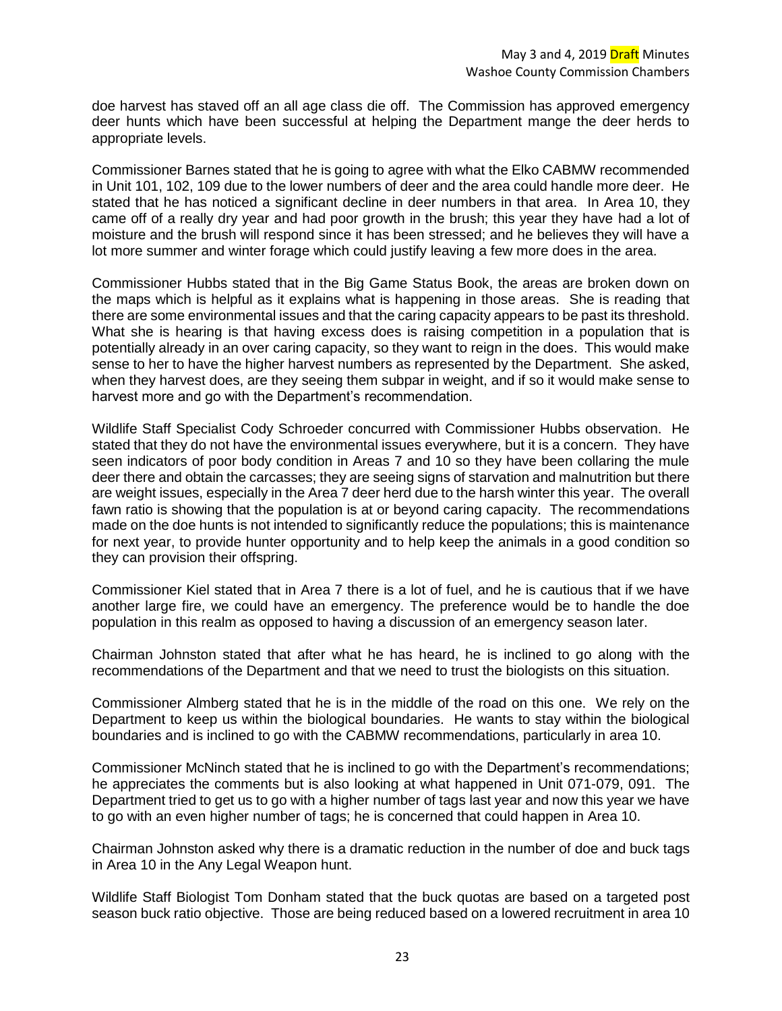doe harvest has staved off an all age class die off. The Commission has approved emergency deer hunts which have been successful at helping the Department mange the deer herds to appropriate levels.

Commissioner Barnes stated that he is going to agree with what the Elko CABMW recommended in Unit 101, 102, 109 due to the lower numbers of deer and the area could handle more deer. He stated that he has noticed a significant decline in deer numbers in that area. In Area 10, they came off of a really dry year and had poor growth in the brush; this year they have had a lot of moisture and the brush will respond since it has been stressed; and he believes they will have a lot more summer and winter forage which could justify leaving a few more does in the area.

Commissioner Hubbs stated that in the Big Game Status Book, the areas are broken down on the maps which is helpful as it explains what is happening in those areas. She is reading that there are some environmental issues and that the caring capacity appears to be past its threshold. What she is hearing is that having excess does is raising competition in a population that is potentially already in an over caring capacity, so they want to reign in the does. This would make sense to her to have the higher harvest numbers as represented by the Department. She asked, when they harvest does, are they seeing them subpar in weight, and if so it would make sense to harvest more and go with the Department's recommendation.

Wildlife Staff Specialist Cody Schroeder concurred with Commissioner Hubbs observation. He stated that they do not have the environmental issues everywhere, but it is a concern. They have seen indicators of poor body condition in Areas 7 and 10 so they have been collaring the mule deer there and obtain the carcasses; they are seeing signs of starvation and malnutrition but there are weight issues, especially in the Area 7 deer herd due to the harsh winter this year. The overall fawn ratio is showing that the population is at or beyond caring capacity. The recommendations made on the doe hunts is not intended to significantly reduce the populations; this is maintenance for next year, to provide hunter opportunity and to help keep the animals in a good condition so they can provision their offspring.

Commissioner Kiel stated that in Area 7 there is a lot of fuel, and he is cautious that if we have another large fire, we could have an emergency. The preference would be to handle the doe population in this realm as opposed to having a discussion of an emergency season later.

Chairman Johnston stated that after what he has heard, he is inclined to go along with the recommendations of the Department and that we need to trust the biologists on this situation.

Commissioner Almberg stated that he is in the middle of the road on this one. We rely on the Department to keep us within the biological boundaries. He wants to stay within the biological boundaries and is inclined to go with the CABMW recommendations, particularly in area 10.

Commissioner McNinch stated that he is inclined to go with the Department's recommendations; he appreciates the comments but is also looking at what happened in Unit 071-079, 091. The Department tried to get us to go with a higher number of tags last year and now this year we have to go with an even higher number of tags; he is concerned that could happen in Area 10.

Chairman Johnston asked why there is a dramatic reduction in the number of doe and buck tags in Area 10 in the Any Legal Weapon hunt.

Wildlife Staff Biologist Tom Donham stated that the buck quotas are based on a targeted post season buck ratio objective. Those are being reduced based on a lowered recruitment in area 10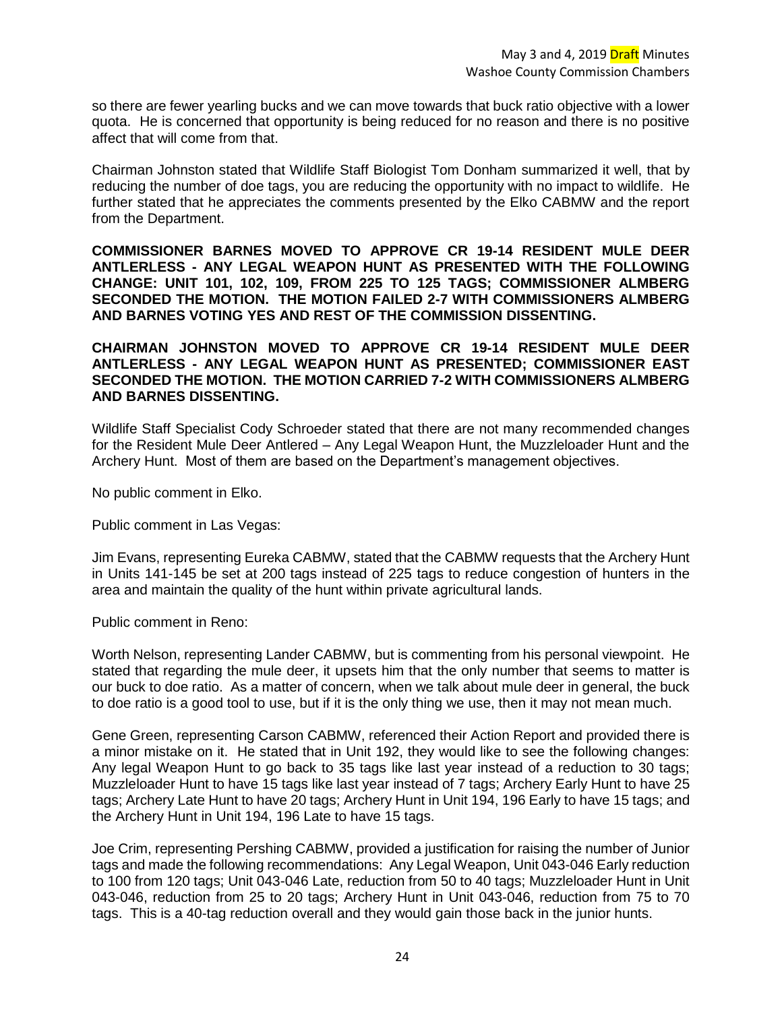so there are fewer yearling bucks and we can move towards that buck ratio objective with a lower quota. He is concerned that opportunity is being reduced for no reason and there is no positive affect that will come from that.

Chairman Johnston stated that Wildlife Staff Biologist Tom Donham summarized it well, that by reducing the number of doe tags, you are reducing the opportunity with no impact to wildlife. He further stated that he appreciates the comments presented by the Elko CABMW and the report from the Department.

**COMMISSIONER BARNES MOVED TO APPROVE CR 19-14 RESIDENT MULE DEER ANTLERLESS - ANY LEGAL WEAPON HUNT AS PRESENTED WITH THE FOLLOWING CHANGE: UNIT 101, 102, 109, FROM 225 TO 125 TAGS; COMMISSIONER ALMBERG SECONDED THE MOTION. THE MOTION FAILED 2-7 WITH COMMISSIONERS ALMBERG AND BARNES VOTING YES AND REST OF THE COMMISSION DISSENTING.**

### **CHAIRMAN JOHNSTON MOVED TO APPROVE CR 19-14 RESIDENT MULE DEER ANTLERLESS - ANY LEGAL WEAPON HUNT AS PRESENTED; COMMISSIONER EAST SECONDED THE MOTION. THE MOTION CARRIED 7-2 WITH COMMISSIONERS ALMBERG AND BARNES DISSENTING.**

Wildlife Staff Specialist Cody Schroeder stated that there are not many recommended changes for the Resident Mule Deer Antlered – Any Legal Weapon Hunt, the Muzzleloader Hunt and the Archery Hunt. Most of them are based on the Department's management objectives.

No public comment in Elko.

Public comment in Las Vegas:

Jim Evans, representing Eureka CABMW, stated that the CABMW requests that the Archery Hunt in Units 141-145 be set at 200 tags instead of 225 tags to reduce congestion of hunters in the area and maintain the quality of the hunt within private agricultural lands.

Public comment in Reno:

Worth Nelson, representing Lander CABMW, but is commenting from his personal viewpoint. He stated that regarding the mule deer, it upsets him that the only number that seems to matter is our buck to doe ratio. As a matter of concern, when we talk about mule deer in general, the buck to doe ratio is a good tool to use, but if it is the only thing we use, then it may not mean much.

Gene Green, representing Carson CABMW, referenced their Action Report and provided there is a minor mistake on it. He stated that in Unit 192, they would like to see the following changes: Any legal Weapon Hunt to go back to 35 tags like last year instead of a reduction to 30 tags; Muzzleloader Hunt to have 15 tags like last year instead of 7 tags; Archery Early Hunt to have 25 tags; Archery Late Hunt to have 20 tags; Archery Hunt in Unit 194, 196 Early to have 15 tags; and the Archery Hunt in Unit 194, 196 Late to have 15 tags.

Joe Crim, representing Pershing CABMW, provided a justification for raising the number of Junior tags and made the following recommendations: Any Legal Weapon, Unit 043-046 Early reduction to 100 from 120 tags; Unit 043-046 Late, reduction from 50 to 40 tags; Muzzleloader Hunt in Unit 043-046, reduction from 25 to 20 tags; Archery Hunt in Unit 043-046, reduction from 75 to 70 tags. This is a 40-tag reduction overall and they would gain those back in the junior hunts.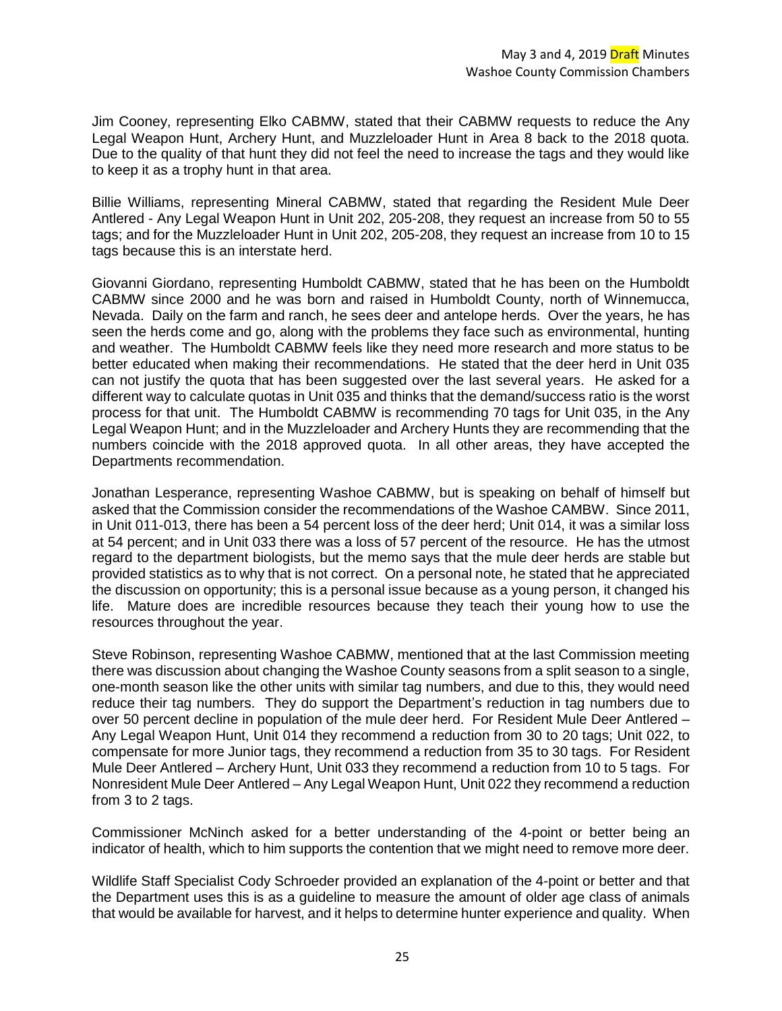Jim Cooney, representing Elko CABMW, stated that their CABMW requests to reduce the Any Legal Weapon Hunt, Archery Hunt, and Muzzleloader Hunt in Area 8 back to the 2018 quota. Due to the quality of that hunt they did not feel the need to increase the tags and they would like to keep it as a trophy hunt in that area.

Billie Williams, representing Mineral CABMW, stated that regarding the Resident Mule Deer Antlered - Any Legal Weapon Hunt in Unit 202, 205-208, they request an increase from 50 to 55 tags; and for the Muzzleloader Hunt in Unit 202, 205-208, they request an increase from 10 to 15 tags because this is an interstate herd.

Giovanni Giordano, representing Humboldt CABMW, stated that he has been on the Humboldt CABMW since 2000 and he was born and raised in Humboldt County, north of Winnemucca, Nevada. Daily on the farm and ranch, he sees deer and antelope herds. Over the years, he has seen the herds come and go, along with the problems they face such as environmental, hunting and weather. The Humboldt CABMW feels like they need more research and more status to be better educated when making their recommendations. He stated that the deer herd in Unit 035 can not justify the quota that has been suggested over the last several years. He asked for a different way to calculate quotas in Unit 035 and thinks that the demand/success ratio is the worst process for that unit. The Humboldt CABMW is recommending 70 tags for Unit 035, in the Any Legal Weapon Hunt; and in the Muzzleloader and Archery Hunts they are recommending that the numbers coincide with the 2018 approved quota. In all other areas, they have accepted the Departments recommendation.

Jonathan Lesperance, representing Washoe CABMW, but is speaking on behalf of himself but asked that the Commission consider the recommendations of the Washoe CAMBW. Since 2011, in Unit 011-013, there has been a 54 percent loss of the deer herd; Unit 014, it was a similar loss at 54 percent; and in Unit 033 there was a loss of 57 percent of the resource. He has the utmost regard to the department biologists, but the memo says that the mule deer herds are stable but provided statistics as to why that is not correct. On a personal note, he stated that he appreciated the discussion on opportunity; this is a personal issue because as a young person, it changed his life. Mature does are incredible resources because they teach their young how to use the resources throughout the year.

Steve Robinson, representing Washoe CABMW, mentioned that at the last Commission meeting there was discussion about changing the Washoe County seasons from a split season to a single, one-month season like the other units with similar tag numbers, and due to this, they would need reduce their tag numbers. They do support the Department's reduction in tag numbers due to over 50 percent decline in population of the mule deer herd. For Resident Mule Deer Antlered – Any Legal Weapon Hunt, Unit 014 they recommend a reduction from 30 to 20 tags; Unit 022, to compensate for more Junior tags, they recommend a reduction from 35 to 30 tags. For Resident Mule Deer Antlered – Archery Hunt, Unit 033 they recommend a reduction from 10 to 5 tags. For Nonresident Mule Deer Antlered – Any Legal Weapon Hunt, Unit 022 they recommend a reduction from 3 to 2 tags.

Commissioner McNinch asked for a better understanding of the 4-point or better being an indicator of health, which to him supports the contention that we might need to remove more deer.

Wildlife Staff Specialist Cody Schroeder provided an explanation of the 4-point or better and that the Department uses this is as a guideline to measure the amount of older age class of animals that would be available for harvest, and it helps to determine hunter experience and quality. When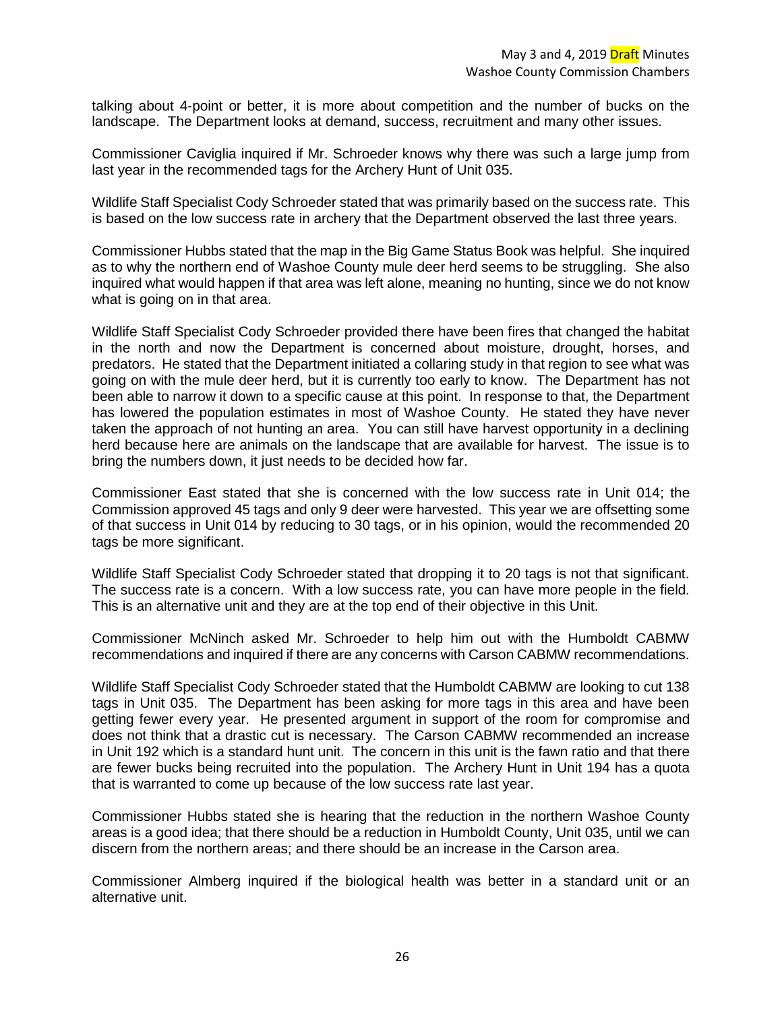talking about 4-point or better, it is more about competition and the number of bucks on the landscape. The Department looks at demand, success, recruitment and many other issues.

Commissioner Caviglia inquired if Mr. Schroeder knows why there was such a large jump from last year in the recommended tags for the Archery Hunt of Unit 035.

Wildlife Staff Specialist Cody Schroeder stated that was primarily based on the success rate. This is based on the low success rate in archery that the Department observed the last three years.

Commissioner Hubbs stated that the map in the Big Game Status Book was helpful. She inquired as to why the northern end of Washoe County mule deer herd seems to be struggling. She also inquired what would happen if that area was left alone, meaning no hunting, since we do not know what is going on in that area.

Wildlife Staff Specialist Cody Schroeder provided there have been fires that changed the habitat in the north and now the Department is concerned about moisture, drought, horses, and predators. He stated that the Department initiated a collaring study in that region to see what was going on with the mule deer herd, but it is currently too early to know. The Department has not been able to narrow it down to a specific cause at this point. In response to that, the Department has lowered the population estimates in most of Washoe County. He stated they have never taken the approach of not hunting an area. You can still have harvest opportunity in a declining herd because here are animals on the landscape that are available for harvest. The issue is to bring the numbers down, it just needs to be decided how far.

Commissioner East stated that she is concerned with the low success rate in Unit 014; the Commission approved 45 tags and only 9 deer were harvested. This year we are offsetting some of that success in Unit 014 by reducing to 30 tags, or in his opinion, would the recommended 20 tags be more significant.

Wildlife Staff Specialist Cody Schroeder stated that dropping it to 20 tags is not that significant. The success rate is a concern. With a low success rate, you can have more people in the field. This is an alternative unit and they are at the top end of their objective in this Unit.

Commissioner McNinch asked Mr. Schroeder to help him out with the Humboldt CABMW recommendations and inquired if there are any concerns with Carson CABMW recommendations.

Wildlife Staff Specialist Cody Schroeder stated that the Humboldt CABMW are looking to cut 138 tags in Unit 035. The Department has been asking for more tags in this area and have been getting fewer every year. He presented argument in support of the room for compromise and does not think that a drastic cut is necessary. The Carson CABMW recommended an increase in Unit 192 which is a standard hunt unit. The concern in this unit is the fawn ratio and that there are fewer bucks being recruited into the population. The Archery Hunt in Unit 194 has a quota that is warranted to come up because of the low success rate last year.

Commissioner Hubbs stated she is hearing that the reduction in the northern Washoe County areas is a good idea; that there should be a reduction in Humboldt County, Unit 035, until we can discern from the northern areas; and there should be an increase in the Carson area.

Commissioner Almberg inquired if the biological health was better in a standard unit or an alternative unit.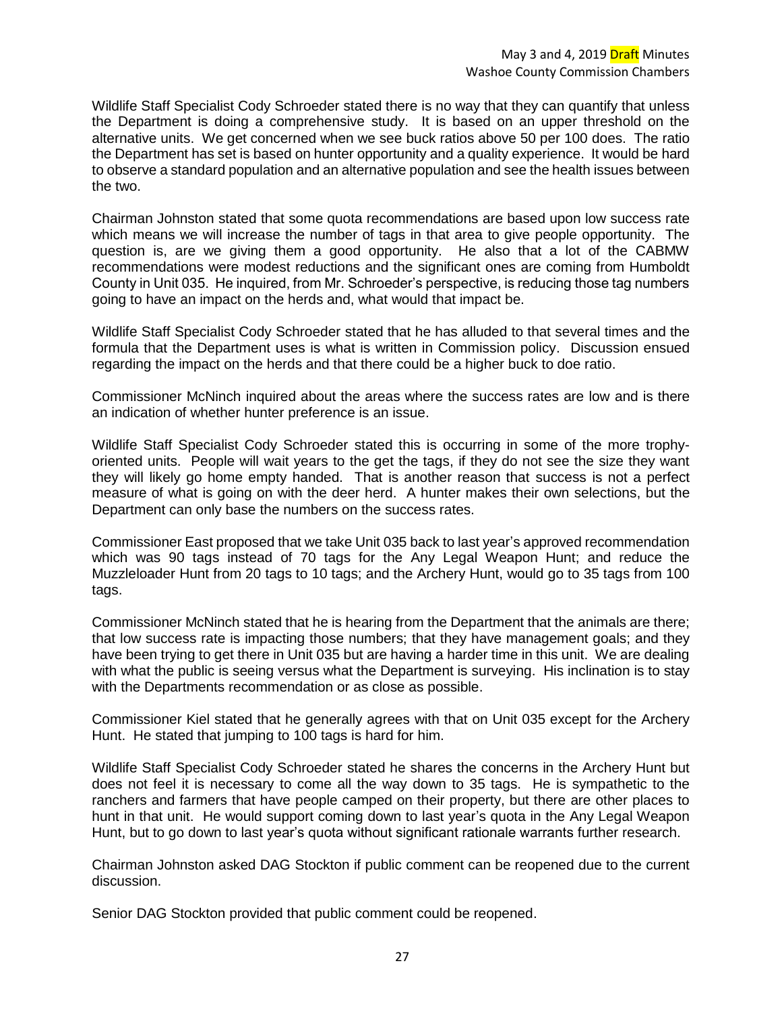Wildlife Staff Specialist Cody Schroeder stated there is no way that they can quantify that unless the Department is doing a comprehensive study. It is based on an upper threshold on the alternative units. We get concerned when we see buck ratios above 50 per 100 does. The ratio the Department has set is based on hunter opportunity and a quality experience. It would be hard to observe a standard population and an alternative population and see the health issues between the two.

Chairman Johnston stated that some quota recommendations are based upon low success rate which means we will increase the number of tags in that area to give people opportunity. The question is, are we giving them a good opportunity. He also that a lot of the CABMW recommendations were modest reductions and the significant ones are coming from Humboldt County in Unit 035. He inquired, from Mr. Schroeder's perspective, is reducing those tag numbers going to have an impact on the herds and, what would that impact be.

Wildlife Staff Specialist Cody Schroeder stated that he has alluded to that several times and the formula that the Department uses is what is written in Commission policy. Discussion ensued regarding the impact on the herds and that there could be a higher buck to doe ratio.

Commissioner McNinch inquired about the areas where the success rates are low and is there an indication of whether hunter preference is an issue.

Wildlife Staff Specialist Cody Schroeder stated this is occurring in some of the more trophyoriented units. People will wait years to the get the tags, if they do not see the size they want they will likely go home empty handed. That is another reason that success is not a perfect measure of what is going on with the deer herd. A hunter makes their own selections, but the Department can only base the numbers on the success rates.

Commissioner East proposed that we take Unit 035 back to last year's approved recommendation which was 90 tags instead of 70 tags for the Any Legal Weapon Hunt; and reduce the Muzzleloader Hunt from 20 tags to 10 tags; and the Archery Hunt, would go to 35 tags from 100 tags.

Commissioner McNinch stated that he is hearing from the Department that the animals are there; that low success rate is impacting those numbers; that they have management goals; and they have been trying to get there in Unit 035 but are having a harder time in this unit. We are dealing with what the public is seeing versus what the Department is surveying. His inclination is to stay with the Departments recommendation or as close as possible.

Commissioner Kiel stated that he generally agrees with that on Unit 035 except for the Archery Hunt. He stated that jumping to 100 tags is hard for him.

Wildlife Staff Specialist Cody Schroeder stated he shares the concerns in the Archery Hunt but does not feel it is necessary to come all the way down to 35 tags. He is sympathetic to the ranchers and farmers that have people camped on their property, but there are other places to hunt in that unit. He would support coming down to last year's quota in the Any Legal Weapon Hunt, but to go down to last year's quota without significant rationale warrants further research.

Chairman Johnston asked DAG Stockton if public comment can be reopened due to the current discussion.

Senior DAG Stockton provided that public comment could be reopened.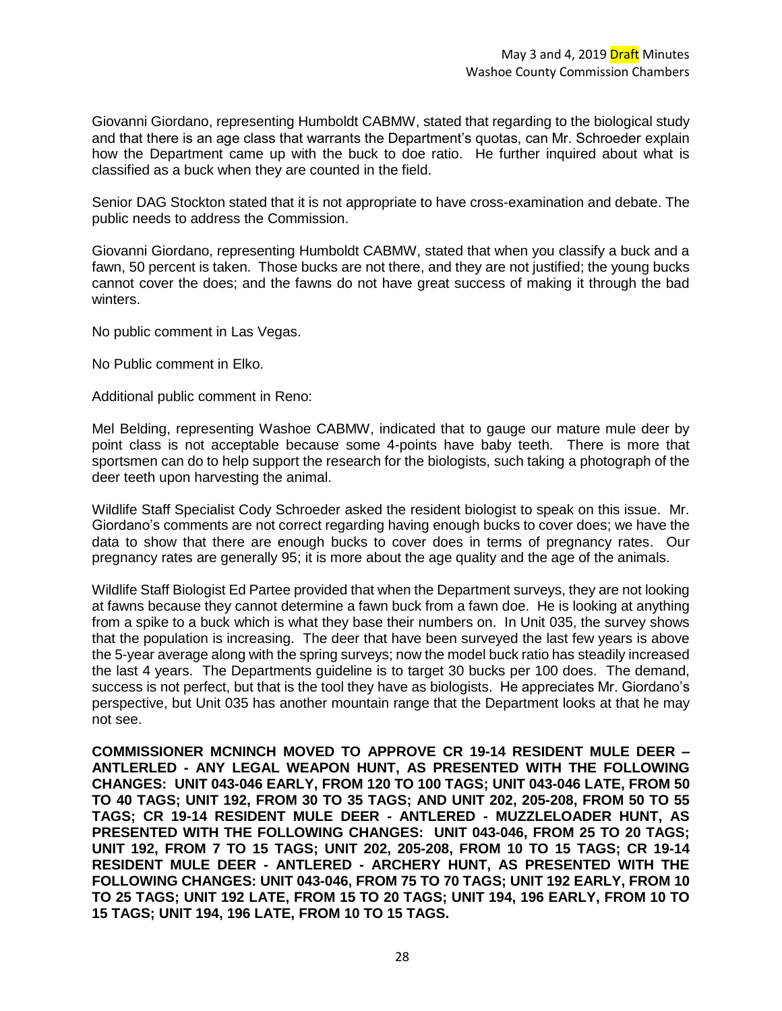Giovanni Giordano, representing Humboldt CABMW, stated that regarding to the biological study and that there is an age class that warrants the Department's quotas, can Mr. Schroeder explain how the Department came up with the buck to doe ratio. He further inquired about what is classified as a buck when they are counted in the field.

Senior DAG Stockton stated that it is not appropriate to have cross-examination and debate. The public needs to address the Commission.

Giovanni Giordano, representing Humboldt CABMW, stated that when you classify a buck and a fawn, 50 percent is taken. Those bucks are not there, and they are not justified; the young bucks cannot cover the does; and the fawns do not have great success of making it through the bad winters.

No public comment in Las Vegas.

No Public comment in Elko.

Additional public comment in Reno:

Mel Belding, representing Washoe CABMW, indicated that to gauge our mature mule deer by point class is not acceptable because some 4-points have baby teeth. There is more that sportsmen can do to help support the research for the biologists, such taking a photograph of the deer teeth upon harvesting the animal.

Wildlife Staff Specialist Cody Schroeder asked the resident biologist to speak on this issue. Mr. Giordano's comments are not correct regarding having enough bucks to cover does; we have the data to show that there are enough bucks to cover does in terms of pregnancy rates. Our pregnancy rates are generally 95; it is more about the age quality and the age of the animals.

Wildlife Staff Biologist Ed Partee provided that when the Department surveys, they are not looking at fawns because they cannot determine a fawn buck from a fawn doe. He is looking at anything from a spike to a buck which is what they base their numbers on. In Unit 035, the survey shows that the population is increasing. The deer that have been surveyed the last few years is above the 5-year average along with the spring surveys; now the model buck ratio has steadily increased the last 4 years. The Departments guideline is to target 30 bucks per 100 does. The demand, success is not perfect, but that is the tool they have as biologists. He appreciates Mr. Giordano's perspective, but Unit 035 has another mountain range that the Department looks at that he may not see.

**COMMISSIONER MCNINCH MOVED TO APPROVE CR 19-14 RESIDENT MULE DEER – ANTLERLED - ANY LEGAL WEAPON HUNT, AS PRESENTED WITH THE FOLLOWING CHANGES: UNIT 043-046 EARLY, FROM 120 TO 100 TAGS; UNIT 043-046 LATE, FROM 50 TO 40 TAGS; UNIT 192, FROM 30 TO 35 TAGS; AND UNIT 202, 205-208, FROM 50 TO 55 TAGS; CR 19-14 RESIDENT MULE DEER - ANTLERED - MUZZLELOADER HUNT, AS PRESENTED WITH THE FOLLOWING CHANGES: UNIT 043-046, FROM 25 TO 20 TAGS; UNIT 192, FROM 7 TO 15 TAGS; UNIT 202, 205-208, FROM 10 TO 15 TAGS; CR 19-14 RESIDENT MULE DEER - ANTLERED - ARCHERY HUNT, AS PRESENTED WITH THE FOLLOWING CHANGES: UNIT 043-046, FROM 75 TO 70 TAGS; UNIT 192 EARLY, FROM 10 TO 25 TAGS; UNIT 192 LATE, FROM 15 TO 20 TAGS; UNIT 194, 196 EARLY, FROM 10 TO 15 TAGS; UNIT 194, 196 LATE, FROM 10 TO 15 TAGS.**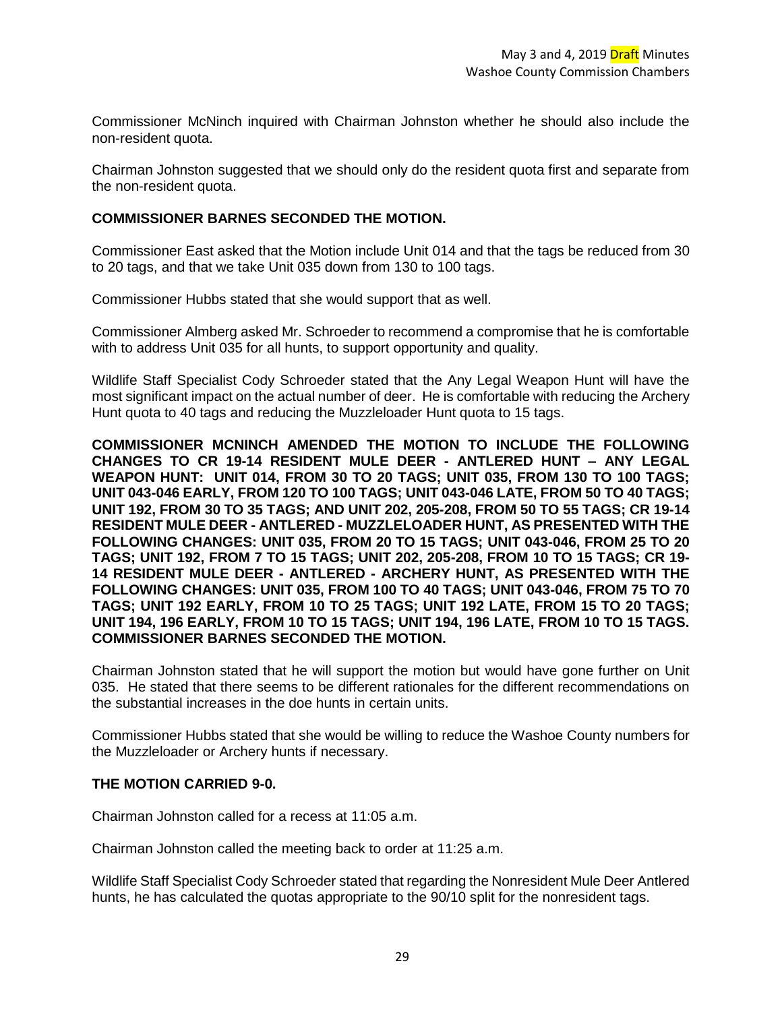Commissioner McNinch inquired with Chairman Johnston whether he should also include the non-resident quota.

Chairman Johnston suggested that we should only do the resident quota first and separate from the non-resident quota.

### **COMMISSIONER BARNES SECONDED THE MOTION.**

Commissioner East asked that the Motion include Unit 014 and that the tags be reduced from 30 to 20 tags, and that we take Unit 035 down from 130 to 100 tags.

Commissioner Hubbs stated that she would support that as well.

Commissioner Almberg asked Mr. Schroeder to recommend a compromise that he is comfortable with to address Unit 035 for all hunts, to support opportunity and quality.

Wildlife Staff Specialist Cody Schroeder stated that the Any Legal Weapon Hunt will have the most significant impact on the actual number of deer. He is comfortable with reducing the Archery Hunt quota to 40 tags and reducing the Muzzleloader Hunt quota to 15 tags.

**COMMISSIONER MCNINCH AMENDED THE MOTION TO INCLUDE THE FOLLOWING CHANGES TO CR 19-14 RESIDENT MULE DEER - ANTLERED HUNT – ANY LEGAL WEAPON HUNT: UNIT 014, FROM 30 TO 20 TAGS; UNIT 035, FROM 130 TO 100 TAGS; UNIT 043-046 EARLY, FROM 120 TO 100 TAGS; UNIT 043-046 LATE, FROM 50 TO 40 TAGS; UNIT 192, FROM 30 TO 35 TAGS; AND UNIT 202, 205-208, FROM 50 TO 55 TAGS; CR 19-14 RESIDENT MULE DEER - ANTLERED - MUZZLELOADER HUNT, AS PRESENTED WITH THE FOLLOWING CHANGES: UNIT 035, FROM 20 TO 15 TAGS; UNIT 043-046, FROM 25 TO 20 TAGS; UNIT 192, FROM 7 TO 15 TAGS; UNIT 202, 205-208, FROM 10 TO 15 TAGS; CR 19- 14 RESIDENT MULE DEER - ANTLERED - ARCHERY HUNT, AS PRESENTED WITH THE FOLLOWING CHANGES: UNIT 035, FROM 100 TO 40 TAGS; UNIT 043-046, FROM 75 TO 70 TAGS; UNIT 192 EARLY, FROM 10 TO 25 TAGS; UNIT 192 LATE, FROM 15 TO 20 TAGS; UNIT 194, 196 EARLY, FROM 10 TO 15 TAGS; UNIT 194, 196 LATE, FROM 10 TO 15 TAGS. COMMISSIONER BARNES SECONDED THE MOTION.** 

Chairman Johnston stated that he will support the motion but would have gone further on Unit 035. He stated that there seems to be different rationales for the different recommendations on the substantial increases in the doe hunts in certain units.

Commissioner Hubbs stated that she would be willing to reduce the Washoe County numbers for the Muzzleloader or Archery hunts if necessary.

### **THE MOTION CARRIED 9-0.**

Chairman Johnston called for a recess at 11:05 a.m.

Chairman Johnston called the meeting back to order at 11:25 a.m.

Wildlife Staff Specialist Cody Schroeder stated that regarding the Nonresident Mule Deer Antlered hunts, he has calculated the quotas appropriate to the 90/10 split for the nonresident tags.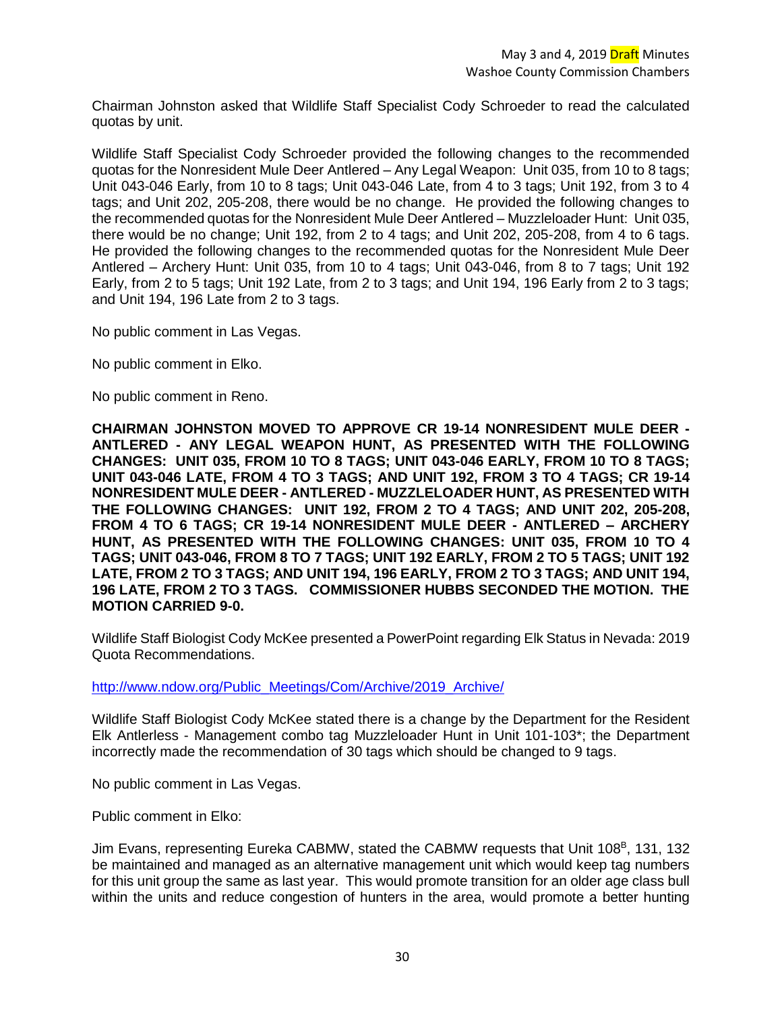Chairman Johnston asked that Wildlife Staff Specialist Cody Schroeder to read the calculated quotas by unit.

Wildlife Staff Specialist Cody Schroeder provided the following changes to the recommended quotas for the Nonresident Mule Deer Antlered – Any Legal Weapon: Unit 035, from 10 to 8 tags; Unit 043-046 Early, from 10 to 8 tags; Unit 043-046 Late, from 4 to 3 tags; Unit 192, from 3 to 4 tags; and Unit 202, 205-208, there would be no change. He provided the following changes to the recommended quotas for the Nonresident Mule Deer Antlered – Muzzleloader Hunt: Unit 035, there would be no change; Unit 192, from 2 to 4 tags; and Unit 202, 205-208, from 4 to 6 tags. He provided the following changes to the recommended quotas for the Nonresident Mule Deer Antlered – Archery Hunt: Unit 035, from 10 to 4 tags; Unit 043-046, from 8 to 7 tags; Unit 192 Early, from 2 to 5 tags; Unit 192 Late, from 2 to 3 tags; and Unit 194, 196 Early from 2 to 3 tags; and Unit 194, 196 Late from 2 to 3 tags.

No public comment in Las Vegas.

No public comment in Elko.

No public comment in Reno.

**CHAIRMAN JOHNSTON MOVED TO APPROVE CR 19-14 NONRESIDENT MULE DEER - ANTLERED - ANY LEGAL WEAPON HUNT, AS PRESENTED WITH THE FOLLOWING CHANGES: UNIT 035, FROM 10 TO 8 TAGS; UNIT 043-046 EARLY, FROM 10 TO 8 TAGS; UNIT 043-046 LATE, FROM 4 TO 3 TAGS; AND UNIT 192, FROM 3 TO 4 TAGS; CR 19-14 NONRESIDENT MULE DEER - ANTLERED - MUZZLELOADER HUNT, AS PRESENTED WITH THE FOLLOWING CHANGES: UNIT 192, FROM 2 TO 4 TAGS; AND UNIT 202, 205-208, FROM 4 TO 6 TAGS; CR 19-14 NONRESIDENT MULE DEER - ANTLERED – ARCHERY HUNT, AS PRESENTED WITH THE FOLLOWING CHANGES: UNIT 035, FROM 10 TO 4 TAGS; UNIT 043-046, FROM 8 TO 7 TAGS; UNIT 192 EARLY, FROM 2 TO 5 TAGS; UNIT 192 LATE, FROM 2 TO 3 TAGS; AND UNIT 194, 196 EARLY, FROM 2 TO 3 TAGS; AND UNIT 194, 196 LATE, FROM 2 TO 3 TAGS. COMMISSIONER HUBBS SECONDED THE MOTION. THE MOTION CARRIED 9-0.**

Wildlife Staff Biologist Cody McKee presented a PowerPoint regarding Elk Status in Nevada: 2019 Quota Recommendations.

[http://www.ndow.org/Public\\_Meetings/Com/Archive/2019\\_Archive/](http://www.ndow.org/Public_Meetings/Com/Archive/2019_Archive/)

Wildlife Staff Biologist Cody McKee stated there is a change by the Department for the Resident Elk Antlerless - Management combo tag Muzzleloader Hunt in Unit 101-103\*; the Department incorrectly made the recommendation of 30 tags which should be changed to 9 tags.

No public comment in Las Vegas.

Public comment in Elko:

Jim Evans, representing Eureka CABMW, stated the CABMW requests that Unit 108<sup>B</sup>, 131, 132 be maintained and managed as an alternative management unit which would keep tag numbers for this unit group the same as last year. This would promote transition for an older age class bull within the units and reduce congestion of hunters in the area, would promote a better hunting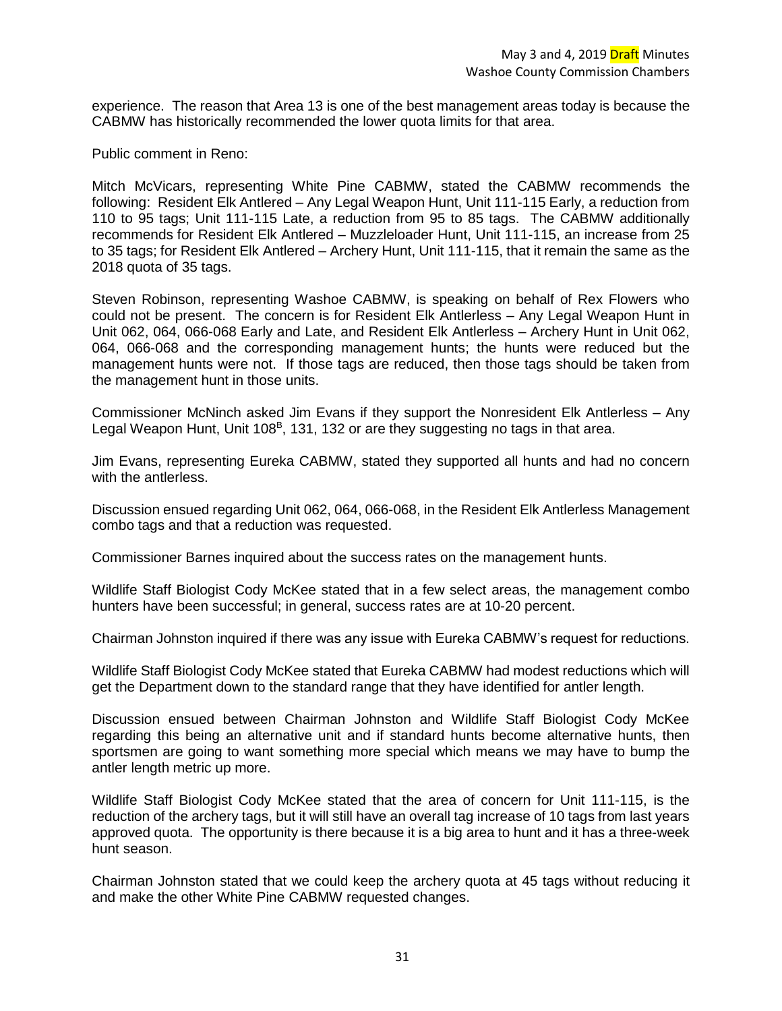experience. The reason that Area 13 is one of the best management areas today is because the CABMW has historically recommended the lower quota limits for that area.

Public comment in Reno:

Mitch McVicars, representing White Pine CABMW, stated the CABMW recommends the following: Resident Elk Antlered – Any Legal Weapon Hunt, Unit 111-115 Early, a reduction from 110 to 95 tags; Unit 111-115 Late, a reduction from 95 to 85 tags. The CABMW additionally recommends for Resident Elk Antlered – Muzzleloader Hunt, Unit 111-115, an increase from 25 to 35 tags; for Resident Elk Antlered – Archery Hunt, Unit 111-115, that it remain the same as the 2018 quota of 35 tags.

Steven Robinson, representing Washoe CABMW, is speaking on behalf of Rex Flowers who could not be present. The concern is for Resident Elk Antlerless – Any Legal Weapon Hunt in Unit 062, 064, 066-068 Early and Late, and Resident Elk Antlerless – Archery Hunt in Unit 062, 064, 066-068 and the corresponding management hunts; the hunts were reduced but the management hunts were not. If those tags are reduced, then those tags should be taken from the management hunt in those units.

Commissioner McNinch asked Jim Evans if they support the Nonresident Elk Antlerless – Any Legal Weapon Hunt, Unit 108<sup>B</sup>, 131, 132 or are they suggesting no tags in that area.

Jim Evans, representing Eureka CABMW, stated they supported all hunts and had no concern with the antlerless.

Discussion ensued regarding Unit 062, 064, 066-068, in the Resident Elk Antlerless Management combo tags and that a reduction was requested.

Commissioner Barnes inquired about the success rates on the management hunts.

Wildlife Staff Biologist Cody McKee stated that in a few select areas, the management combo hunters have been successful; in general, success rates are at 10-20 percent.

Chairman Johnston inquired if there was any issue with Eureka CABMW's request for reductions.

Wildlife Staff Biologist Cody McKee stated that Eureka CABMW had modest reductions which will get the Department down to the standard range that they have identified for antler length.

Discussion ensued between Chairman Johnston and Wildlife Staff Biologist Cody McKee regarding this being an alternative unit and if standard hunts become alternative hunts, then sportsmen are going to want something more special which means we may have to bump the antler length metric up more.

Wildlife Staff Biologist Cody McKee stated that the area of concern for Unit 111-115, is the reduction of the archery tags, but it will still have an overall tag increase of 10 tags from last years approved quota. The opportunity is there because it is a big area to hunt and it has a three-week hunt season.

Chairman Johnston stated that we could keep the archery quota at 45 tags without reducing it and make the other White Pine CABMW requested changes.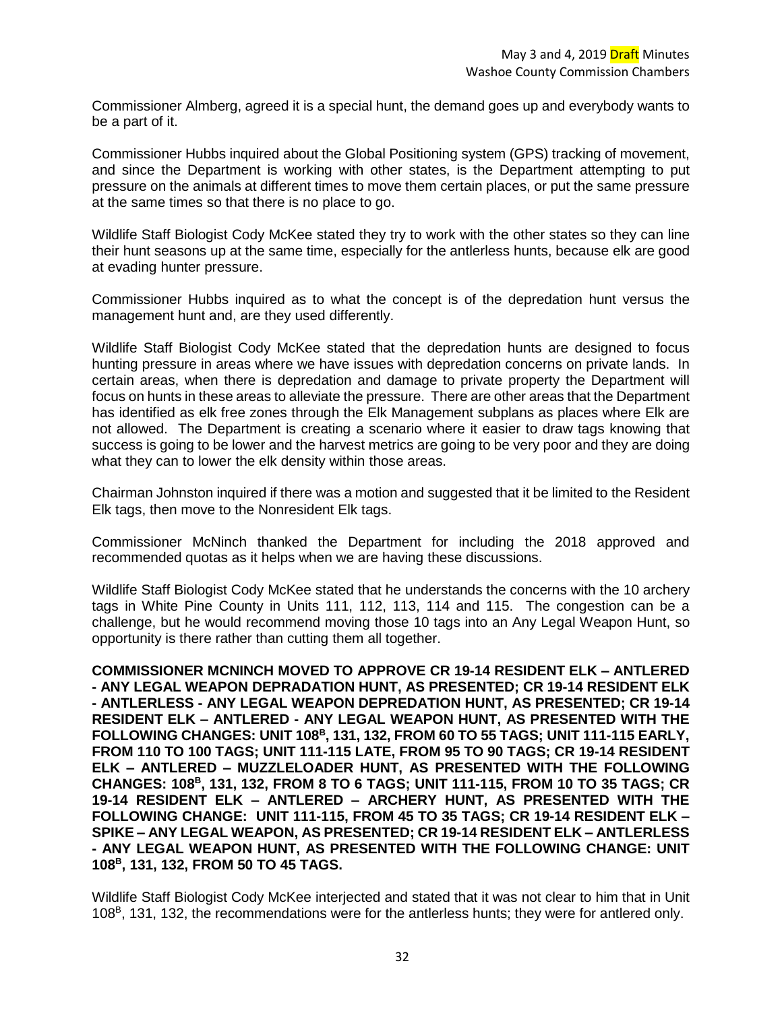Commissioner Almberg, agreed it is a special hunt, the demand goes up and everybody wants to be a part of it.

Commissioner Hubbs inquired about the Global Positioning system (GPS) tracking of movement, and since the Department is working with other states, is the Department attempting to put pressure on the animals at different times to move them certain places, or put the same pressure at the same times so that there is no place to go.

Wildlife Staff Biologist Cody McKee stated they try to work with the other states so they can line their hunt seasons up at the same time, especially for the antlerless hunts, because elk are good at evading hunter pressure.

Commissioner Hubbs inquired as to what the concept is of the depredation hunt versus the management hunt and, are they used differently.

Wildlife Staff Biologist Cody McKee stated that the depredation hunts are designed to focus hunting pressure in areas where we have issues with depredation concerns on private lands. In certain areas, when there is depredation and damage to private property the Department will focus on hunts in these areas to alleviate the pressure. There are other areas that the Department has identified as elk free zones through the Elk Management subplans as places where Elk are not allowed. The Department is creating a scenario where it easier to draw tags knowing that success is going to be lower and the harvest metrics are going to be very poor and they are doing what they can to lower the elk density within those areas.

Chairman Johnston inquired if there was a motion and suggested that it be limited to the Resident Elk tags, then move to the Nonresident Elk tags.

Commissioner McNinch thanked the Department for including the 2018 approved and recommended quotas as it helps when we are having these discussions.

Wildlife Staff Biologist Cody McKee stated that he understands the concerns with the 10 archery tags in White Pine County in Units 111, 112, 113, 114 and 115. The congestion can be a challenge, but he would recommend moving those 10 tags into an Any Legal Weapon Hunt, so opportunity is there rather than cutting them all together.

**COMMISSIONER MCNINCH MOVED TO APPROVE CR 19-14 RESIDENT ELK – ANTLERED - ANY LEGAL WEAPON DEPRADATION HUNT, AS PRESENTED; CR 19-14 RESIDENT ELK - ANTLERLESS - ANY LEGAL WEAPON DEPREDATION HUNT, AS PRESENTED; CR 19-14 RESIDENT ELK – ANTLERED - ANY LEGAL WEAPON HUNT, AS PRESENTED WITH THE FOLLOWING CHANGES: UNIT 108<sup>B</sup> , 131, 132, FROM 60 TO 55 TAGS; UNIT 111-115 EARLY, FROM 110 TO 100 TAGS; UNIT 111-115 LATE, FROM 95 TO 90 TAGS; CR 19-14 RESIDENT ELK – ANTLERED – MUZZLELOADER HUNT, AS PRESENTED WITH THE FOLLOWING CHANGES: 108<sup>B</sup> , 131, 132, FROM 8 TO 6 TAGS; UNIT 111-115, FROM 10 TO 35 TAGS; CR 19-14 RESIDENT ELK – ANTLERED – ARCHERY HUNT, AS PRESENTED WITH THE FOLLOWING CHANGE: UNIT 111-115, FROM 45 TO 35 TAGS; CR 19-14 RESIDENT ELK – SPIKE – ANY LEGAL WEAPON, AS PRESENTED; CR 19-14 RESIDENT ELK – ANTLERLESS - ANY LEGAL WEAPON HUNT, AS PRESENTED WITH THE FOLLOWING CHANGE: UNIT 108<sup>B</sup> , 131, 132, FROM 50 TO 45 TAGS.**

Wildlife Staff Biologist Cody McKee interjected and stated that it was not clear to him that in Unit 108<sup>B</sup>, 131, 132, the recommendations were for the antlerless hunts; they were for antlered only.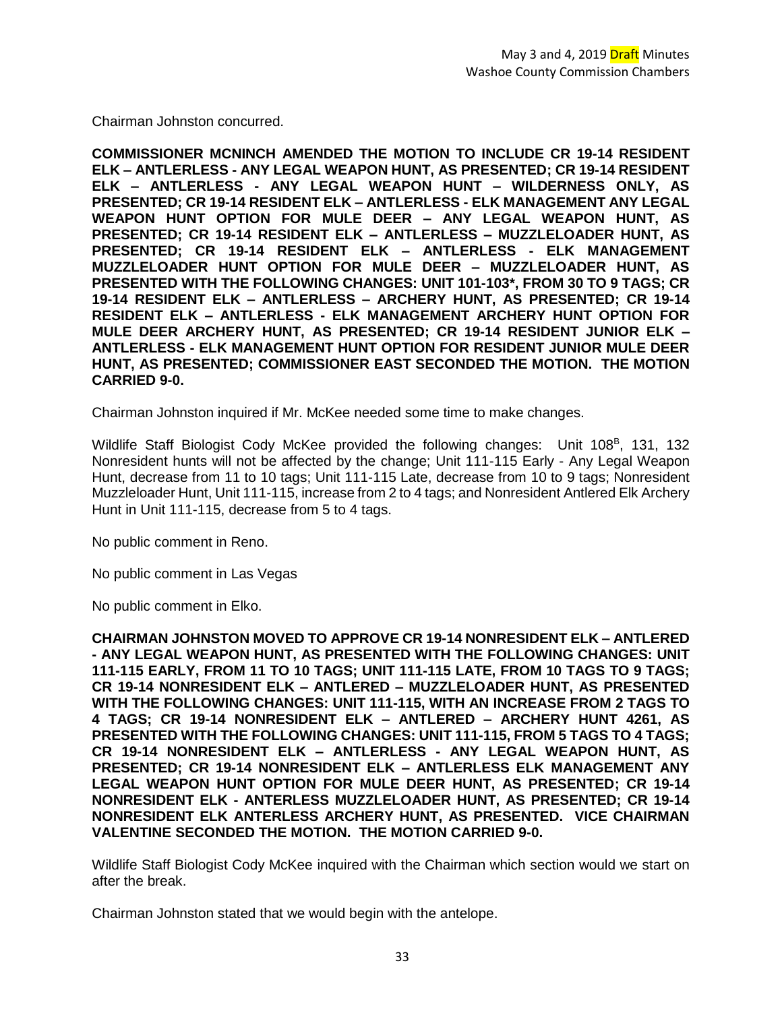Chairman Johnston concurred.

**COMMISSIONER MCNINCH AMENDED THE MOTION TO INCLUDE CR 19-14 RESIDENT ELK – ANTLERLESS - ANY LEGAL WEAPON HUNT, AS PRESENTED; CR 19-14 RESIDENT ELK – ANTLERLESS - ANY LEGAL WEAPON HUNT – WILDERNESS ONLY, AS PRESENTED; CR 19-14 RESIDENT ELK – ANTLERLESS - ELK MANAGEMENT ANY LEGAL WEAPON HUNT OPTION FOR MULE DEER – ANY LEGAL WEAPON HUNT, AS PRESENTED; CR 19-14 RESIDENT ELK – ANTLERLESS – MUZZLELOADER HUNT, AS PRESENTED; CR 19-14 RESIDENT ELK – ANTLERLESS - ELK MANAGEMENT MUZZLELOADER HUNT OPTION FOR MULE DEER – MUZZLELOADER HUNT, AS PRESENTED WITH THE FOLLOWING CHANGES: UNIT 101-103\*, FROM 30 TO 9 TAGS; CR 19-14 RESIDENT ELK – ANTLERLESS – ARCHERY HUNT, AS PRESENTED; CR 19-14 RESIDENT ELK – ANTLERLESS - ELK MANAGEMENT ARCHERY HUNT OPTION FOR MULE DEER ARCHERY HUNT, AS PRESENTED; CR 19-14 RESIDENT JUNIOR ELK – ANTLERLESS - ELK MANAGEMENT HUNT OPTION FOR RESIDENT JUNIOR MULE DEER HUNT, AS PRESENTED; COMMISSIONER EAST SECONDED THE MOTION. THE MOTION CARRIED 9-0.**

Chairman Johnston inquired if Mr. McKee needed some time to make changes.

Wildlife Staff Biologist Cody McKee provided the following changes: Unit 108<sup>B</sup>, 131, 132 Nonresident hunts will not be affected by the change; Unit 111-115 Early - Any Legal Weapon Hunt, decrease from 11 to 10 tags; Unit 111-115 Late, decrease from 10 to 9 tags; Nonresident Muzzleloader Hunt, Unit 111-115, increase from 2 to 4 tags; and Nonresident Antlered Elk Archery Hunt in Unit 111-115, decrease from 5 to 4 tags.

No public comment in Reno.

No public comment in Las Vegas

No public comment in Elko.

**CHAIRMAN JOHNSTON MOVED TO APPROVE CR 19-14 NONRESIDENT ELK – ANTLERED - ANY LEGAL WEAPON HUNT, AS PRESENTED WITH THE FOLLOWING CHANGES: UNIT 111-115 EARLY, FROM 11 TO 10 TAGS; UNIT 111-115 LATE, FROM 10 TAGS TO 9 TAGS; CR 19-14 NONRESIDENT ELK – ANTLERED – MUZZLELOADER HUNT, AS PRESENTED WITH THE FOLLOWING CHANGES: UNIT 111-115, WITH AN INCREASE FROM 2 TAGS TO 4 TAGS; CR 19-14 NONRESIDENT ELK – ANTLERED – ARCHERY HUNT 4261, AS PRESENTED WITH THE FOLLOWING CHANGES: UNIT 111-115, FROM 5 TAGS TO 4 TAGS; CR 19-14 NONRESIDENT ELK – ANTLERLESS - ANY LEGAL WEAPON HUNT, AS PRESENTED; CR 19-14 NONRESIDENT ELK – ANTLERLESS ELK MANAGEMENT ANY LEGAL WEAPON HUNT OPTION FOR MULE DEER HUNT, AS PRESENTED; CR 19-14 NONRESIDENT ELK - ANTERLESS MUZZLELOADER HUNT, AS PRESENTED; CR 19-14 NONRESIDENT ELK ANTERLESS ARCHERY HUNT, AS PRESENTED. VICE CHAIRMAN VALENTINE SECONDED THE MOTION. THE MOTION CARRIED 9-0.**

Wildlife Staff Biologist Cody McKee inquired with the Chairman which section would we start on after the break.

Chairman Johnston stated that we would begin with the antelope.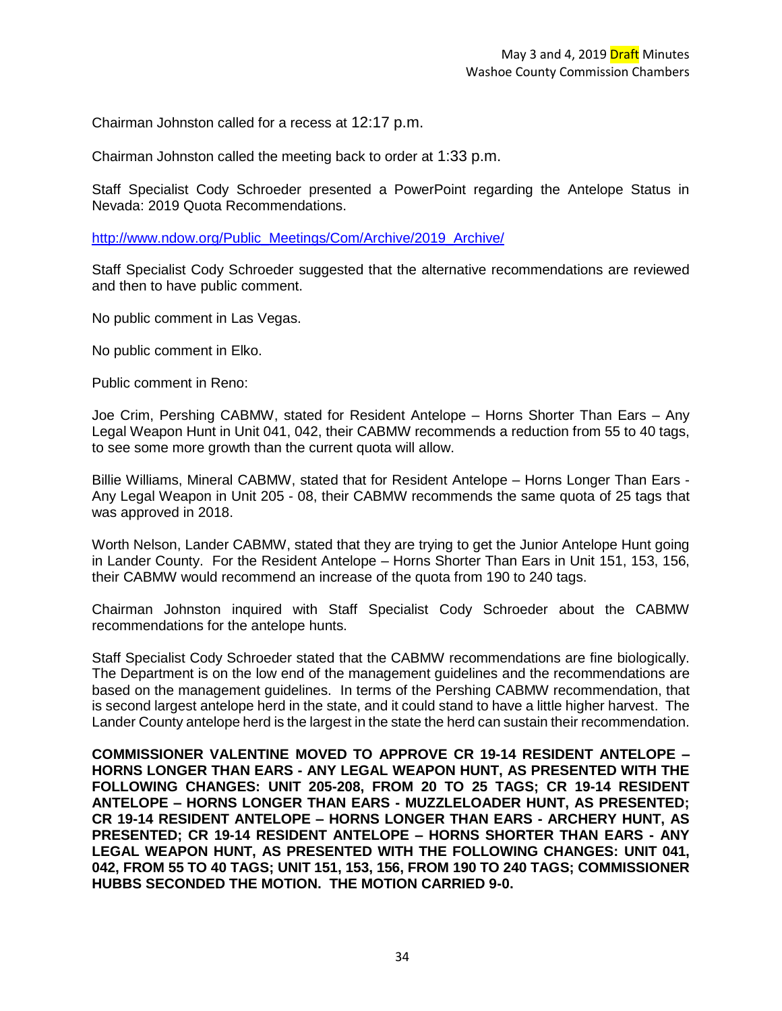Chairman Johnston called for a recess at 12:17 p.m.

Chairman Johnston called the meeting back to order at 1:33 p.m.

Staff Specialist Cody Schroeder presented a PowerPoint regarding the Antelope Status in Nevada: 2019 Quota Recommendations.

[http://www.ndow.org/Public\\_Meetings/Com/Archive/2019\\_Archive/](http://www.ndow.org/Public_Meetings/Com/Archive/2019_Archive/)

Staff Specialist Cody Schroeder suggested that the alternative recommendations are reviewed and then to have public comment.

No public comment in Las Vegas.

No public comment in Elko.

Public comment in Reno:

Joe Crim, Pershing CABMW, stated for Resident Antelope – Horns Shorter Than Ears – Any Legal Weapon Hunt in Unit 041, 042, their CABMW recommends a reduction from 55 to 40 tags, to see some more growth than the current quota will allow.

Billie Williams, Mineral CABMW, stated that for Resident Antelope – Horns Longer Than Ears - Any Legal Weapon in Unit 205 - 08, their CABMW recommends the same quota of 25 tags that was approved in 2018.

Worth Nelson, Lander CABMW, stated that they are trying to get the Junior Antelope Hunt going in Lander County. For the Resident Antelope – Horns Shorter Than Ears in Unit 151, 153, 156, their CABMW would recommend an increase of the quota from 190 to 240 tags.

Chairman Johnston inquired with Staff Specialist Cody Schroeder about the CABMW recommendations for the antelope hunts.

Staff Specialist Cody Schroeder stated that the CABMW recommendations are fine biologically. The Department is on the low end of the management guidelines and the recommendations are based on the management guidelines. In terms of the Pershing CABMW recommendation, that is second largest antelope herd in the state, and it could stand to have a little higher harvest. The Lander County antelope herd is the largest in the state the herd can sustain their recommendation.

**COMMISSIONER VALENTINE MOVED TO APPROVE CR 19-14 RESIDENT ANTELOPE – HORNS LONGER THAN EARS - ANY LEGAL WEAPON HUNT, AS PRESENTED WITH THE FOLLOWING CHANGES: UNIT 205-208, FROM 20 TO 25 TAGS; CR 19-14 RESIDENT ANTELOPE – HORNS LONGER THAN EARS - MUZZLELOADER HUNT, AS PRESENTED; CR 19-14 RESIDENT ANTELOPE – HORNS LONGER THAN EARS - ARCHERY HUNT, AS PRESENTED; CR 19-14 RESIDENT ANTELOPE – HORNS SHORTER THAN EARS - ANY LEGAL WEAPON HUNT, AS PRESENTED WITH THE FOLLOWING CHANGES: UNIT 041, 042, FROM 55 TO 40 TAGS; UNIT 151, 153, 156, FROM 190 TO 240 TAGS; COMMISSIONER HUBBS SECONDED THE MOTION. THE MOTION CARRIED 9-0.**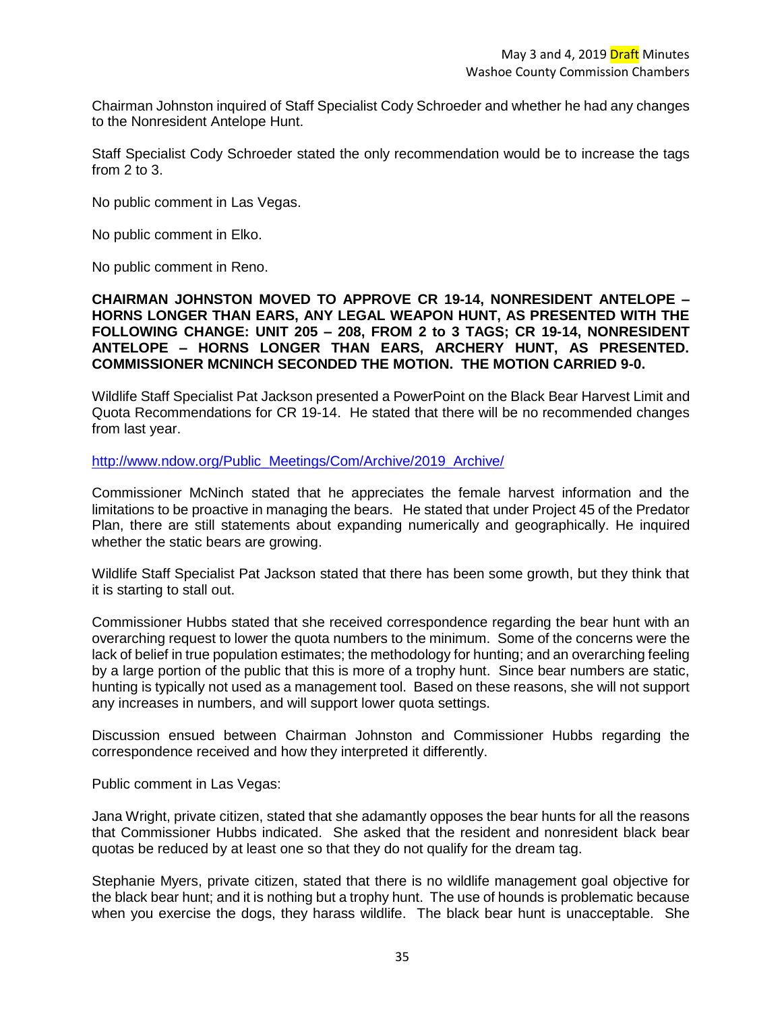Chairman Johnston inquired of Staff Specialist Cody Schroeder and whether he had any changes to the Nonresident Antelope Hunt.

Staff Specialist Cody Schroeder stated the only recommendation would be to increase the tags from 2 to 3.

No public comment in Las Vegas.

No public comment in Elko.

No public comment in Reno.

**CHAIRMAN JOHNSTON MOVED TO APPROVE CR 19-14, NONRESIDENT ANTELOPE – HORNS LONGER THAN EARS, ANY LEGAL WEAPON HUNT, AS PRESENTED WITH THE FOLLOWING CHANGE: UNIT 205 – 208, FROM 2 to 3 TAGS; CR 19-14, NONRESIDENT ANTELOPE – HORNS LONGER THAN EARS, ARCHERY HUNT, AS PRESENTED. COMMISSIONER MCNINCH SECONDED THE MOTION. THE MOTION CARRIED 9-0.** 

Wildlife Staff Specialist Pat Jackson presented a PowerPoint on the Black Bear Harvest Limit and Quota Recommendations for CR 19-14. He stated that there will be no recommended changes from last year.

[http://www.ndow.org/Public\\_Meetings/Com/Archive/2019\\_Archive/](http://www.ndow.org/Public_Meetings/Com/Archive/2019_Archive/)

Commissioner McNinch stated that he appreciates the female harvest information and the limitations to be proactive in managing the bears. He stated that under Project 45 of the Predator Plan, there are still statements about expanding numerically and geographically. He inquired whether the static bears are growing.

Wildlife Staff Specialist Pat Jackson stated that there has been some growth, but they think that it is starting to stall out.

Commissioner Hubbs stated that she received correspondence regarding the bear hunt with an overarching request to lower the quota numbers to the minimum. Some of the concerns were the lack of belief in true population estimates; the methodology for hunting; and an overarching feeling by a large portion of the public that this is more of a trophy hunt. Since bear numbers are static, hunting is typically not used as a management tool. Based on these reasons, she will not support any increases in numbers, and will support lower quota settings.

Discussion ensued between Chairman Johnston and Commissioner Hubbs regarding the correspondence received and how they interpreted it differently.

Public comment in Las Vegas:

Jana Wright, private citizen, stated that she adamantly opposes the bear hunts for all the reasons that Commissioner Hubbs indicated. She asked that the resident and nonresident black bear quotas be reduced by at least one so that they do not qualify for the dream tag.

Stephanie Myers, private citizen, stated that there is no wildlife management goal objective for the black bear hunt; and it is nothing but a trophy hunt. The use of hounds is problematic because when you exercise the dogs, they harass wildlife. The black bear hunt is unacceptable. She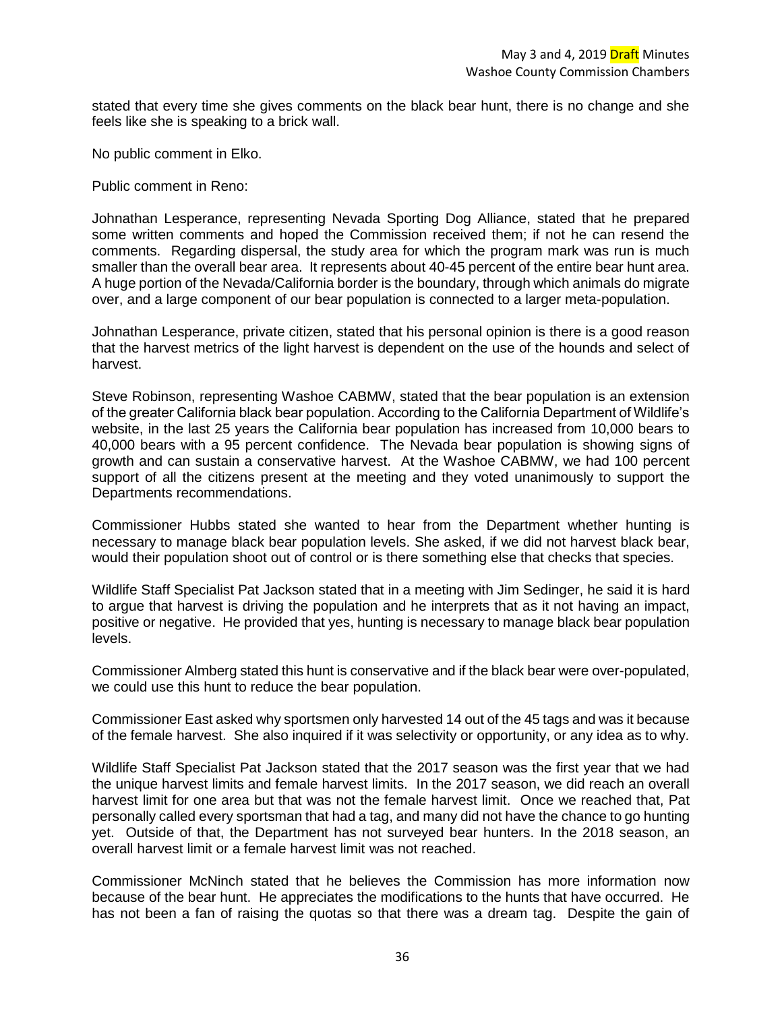stated that every time she gives comments on the black bear hunt, there is no change and she feels like she is speaking to a brick wall.

No public comment in Elko.

Public comment in Reno:

Johnathan Lesperance, representing Nevada Sporting Dog Alliance, stated that he prepared some written comments and hoped the Commission received them; if not he can resend the comments. Regarding dispersal, the study area for which the program mark was run is much smaller than the overall bear area. It represents about 40-45 percent of the entire bear hunt area. A huge portion of the Nevada/California border is the boundary, through which animals do migrate over, and a large component of our bear population is connected to a larger meta-population.

Johnathan Lesperance, private citizen, stated that his personal opinion is there is a good reason that the harvest metrics of the light harvest is dependent on the use of the hounds and select of harvest.

Steve Robinson, representing Washoe CABMW, stated that the bear population is an extension of the greater California black bear population. According to the California Department of Wildlife's website, in the last 25 years the California bear population has increased from 10,000 bears to 40,000 bears with a 95 percent confidence. The Nevada bear population is showing signs of growth and can sustain a conservative harvest. At the Washoe CABMW, we had 100 percent support of all the citizens present at the meeting and they voted unanimously to support the Departments recommendations.

Commissioner Hubbs stated she wanted to hear from the Department whether hunting is necessary to manage black bear population levels. She asked, if we did not harvest black bear, would their population shoot out of control or is there something else that checks that species.

Wildlife Staff Specialist Pat Jackson stated that in a meeting with Jim Sedinger, he said it is hard to argue that harvest is driving the population and he interprets that as it not having an impact, positive or negative. He provided that yes, hunting is necessary to manage black bear population levels.

Commissioner Almberg stated this hunt is conservative and if the black bear were over-populated, we could use this hunt to reduce the bear population.

Commissioner East asked why sportsmen only harvested 14 out of the 45 tags and was it because of the female harvest. She also inquired if it was selectivity or opportunity, or any idea as to why.

Wildlife Staff Specialist Pat Jackson stated that the 2017 season was the first year that we had the unique harvest limits and female harvest limits. In the 2017 season, we did reach an overall harvest limit for one area but that was not the female harvest limit. Once we reached that, Pat personally called every sportsman that had a tag, and many did not have the chance to go hunting yet. Outside of that, the Department has not surveyed bear hunters. In the 2018 season, an overall harvest limit or a female harvest limit was not reached.

Commissioner McNinch stated that he believes the Commission has more information now because of the bear hunt. He appreciates the modifications to the hunts that have occurred. He has not been a fan of raising the quotas so that there was a dream tag. Despite the gain of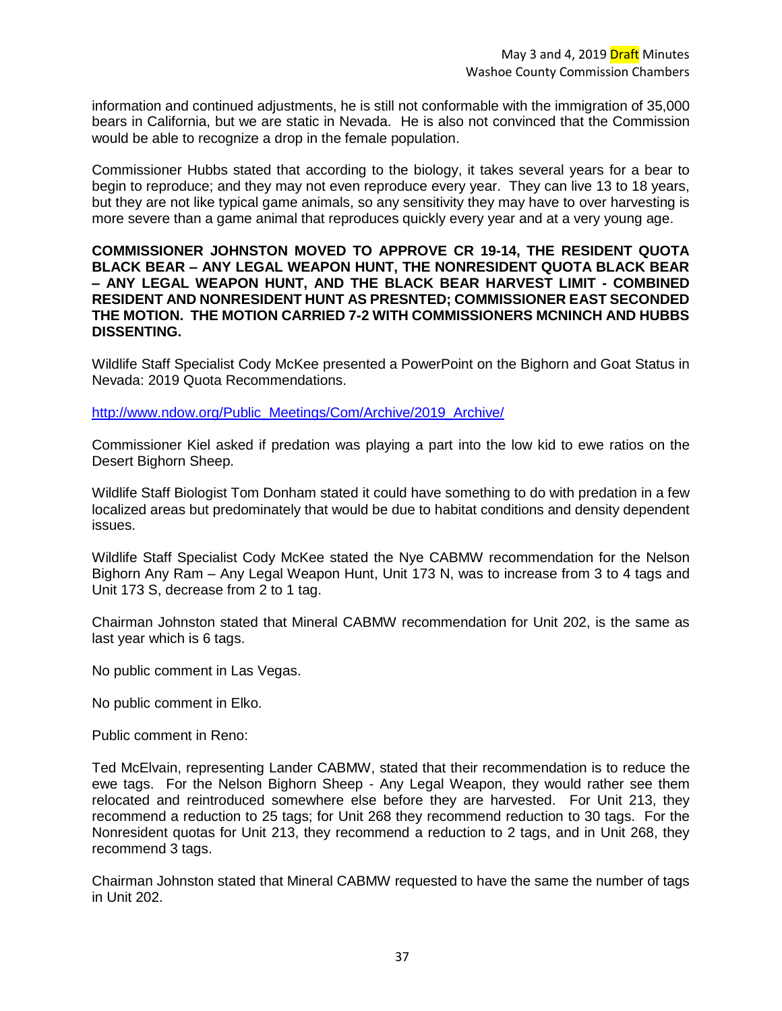information and continued adjustments, he is still not conformable with the immigration of 35,000 bears in California, but we are static in Nevada. He is also not convinced that the Commission would be able to recognize a drop in the female population.

Commissioner Hubbs stated that according to the biology, it takes several years for a bear to begin to reproduce; and they may not even reproduce every year. They can live 13 to 18 years, but they are not like typical game animals, so any sensitivity they may have to over harvesting is more severe than a game animal that reproduces quickly every year and at a very young age.

### **COMMISSIONER JOHNSTON MOVED TO APPROVE CR 19-14, THE RESIDENT QUOTA BLACK BEAR – ANY LEGAL WEAPON HUNT, THE NONRESIDENT QUOTA BLACK BEAR – ANY LEGAL WEAPON HUNT, AND THE BLACK BEAR HARVEST LIMIT - COMBINED RESIDENT AND NONRESIDENT HUNT AS PRESNTED; COMMISSIONER EAST SECONDED THE MOTION. THE MOTION CARRIED 7-2 WITH COMMISSIONERS MCNINCH AND HUBBS DISSENTING.**

Wildlife Staff Specialist Cody McKee presented a PowerPoint on the Bighorn and Goat Status in Nevada: 2019 Quota Recommendations.

[http://www.ndow.org/Public\\_Meetings/Com/Archive/2019\\_Archive/](http://www.ndow.org/Public_Meetings/Com/Archive/2019_Archive/)

Commissioner Kiel asked if predation was playing a part into the low kid to ewe ratios on the Desert Bighorn Sheep.

Wildlife Staff Biologist Tom Donham stated it could have something to do with predation in a few localized areas but predominately that would be due to habitat conditions and density dependent issues.

Wildlife Staff Specialist Cody McKee stated the Nye CABMW recommendation for the Nelson Bighorn Any Ram – Any Legal Weapon Hunt, Unit 173 N, was to increase from 3 to 4 tags and Unit 173 S, decrease from 2 to 1 tag.

Chairman Johnston stated that Mineral CABMW recommendation for Unit 202, is the same as last year which is 6 tags.

No public comment in Las Vegas.

No public comment in Elko.

Public comment in Reno:

Ted McElvain, representing Lander CABMW, stated that their recommendation is to reduce the ewe tags. For the Nelson Bighorn Sheep - Any Legal Weapon, they would rather see them relocated and reintroduced somewhere else before they are harvested. For Unit 213, they recommend a reduction to 25 tags; for Unit 268 they recommend reduction to 30 tags. For the Nonresident quotas for Unit 213, they recommend a reduction to 2 tags, and in Unit 268, they recommend 3 tags.

Chairman Johnston stated that Mineral CABMW requested to have the same the number of tags in Unit 202.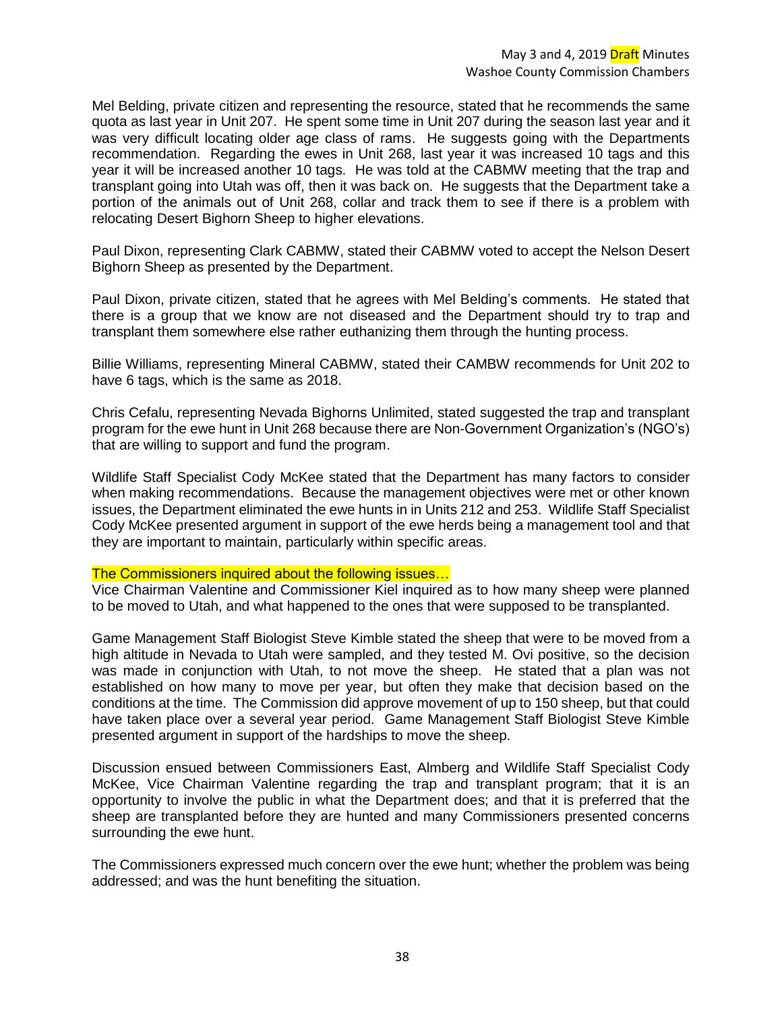Mel Belding, private citizen and representing the resource, stated that he recommends the same quota as last year in Unit 207. He spent some time in Unit 207 during the season last year and it was very difficult locating older age class of rams. He suggests going with the Departments recommendation. Regarding the ewes in Unit 268, last year it was increased 10 tags and this year it will be increased another 10 tags. He was told at the CABMW meeting that the trap and transplant going into Utah was off, then it was back on. He suggests that the Department take a portion of the animals out of Unit 268, collar and track them to see if there is a problem with relocating Desert Bighorn Sheep to higher elevations.

Paul Dixon, representing Clark CABMW, stated their CABMW voted to accept the Nelson Desert Bighorn Sheep as presented by the Department.

Paul Dixon, private citizen, stated that he agrees with Mel Belding's comments. He stated that there is a group that we know are not diseased and the Department should try to trap and transplant them somewhere else rather euthanizing them through the hunting process.

Billie Williams, representing Mineral CABMW, stated their CAMBW recommends for Unit 202 to have 6 tags, which is the same as 2018.

Chris Cefalu, representing Nevada Bighorns Unlimited, stated suggested the trap and transplant program for the ewe hunt in Unit 268 because there are Non-Government Organization's (NGO's) that are willing to support and fund the program.

Wildlife Staff Specialist Cody McKee stated that the Department has many factors to consider when making recommendations. Because the management objectives were met or other known issues, the Department eliminated the ewe hunts in in Units 212 and 253. Wildlife Staff Specialist Cody McKee presented argument in support of the ewe herds being a management tool and that they are important to maintain, particularly within specific areas.

### The Commissioners inquired about the following issues…

Vice Chairman Valentine and Commissioner Kiel inquired as to how many sheep were planned to be moved to Utah, and what happened to the ones that were supposed to be transplanted.

Game Management Staff Biologist Steve Kimble stated the sheep that were to be moved from a high altitude in Nevada to Utah were sampled, and they tested M. Ovi positive, so the decision was made in conjunction with Utah, to not move the sheep. He stated that a plan was not established on how many to move per year, but often they make that decision based on the conditions at the time. The Commission did approve movement of up to 150 sheep, but that could have taken place over a several year period. Game Management Staff Biologist Steve Kimble presented argument in support of the hardships to move the sheep.

Discussion ensued between Commissioners East, Almberg and Wildlife Staff Specialist Cody McKee, Vice Chairman Valentine regarding the trap and transplant program; that it is an opportunity to involve the public in what the Department does; and that it is preferred that the sheep are transplanted before they are hunted and many Commissioners presented concerns surrounding the ewe hunt.

The Commissioners expressed much concern over the ewe hunt; whether the problem was being addressed; and was the hunt benefiting the situation.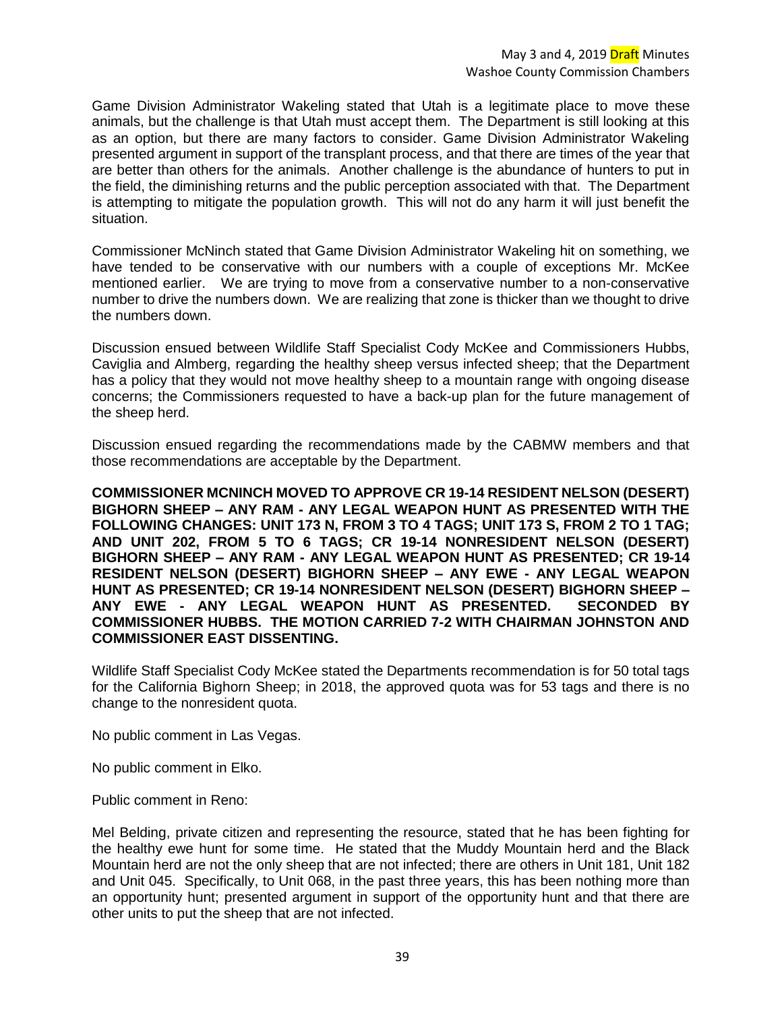Game Division Administrator Wakeling stated that Utah is a legitimate place to move these animals, but the challenge is that Utah must accept them. The Department is still looking at this as an option, but there are many factors to consider. Game Division Administrator Wakeling presented argument in support of the transplant process, and that there are times of the year that are better than others for the animals. Another challenge is the abundance of hunters to put in the field, the diminishing returns and the public perception associated with that. The Department is attempting to mitigate the population growth. This will not do any harm it will just benefit the situation.

Commissioner McNinch stated that Game Division Administrator Wakeling hit on something, we have tended to be conservative with our numbers with a couple of exceptions Mr. McKee mentioned earlier. We are trying to move from a conservative number to a non-conservative number to drive the numbers down. We are realizing that zone is thicker than we thought to drive the numbers down.

Discussion ensued between Wildlife Staff Specialist Cody McKee and Commissioners Hubbs, Caviglia and Almberg, regarding the healthy sheep versus infected sheep; that the Department has a policy that they would not move healthy sheep to a mountain range with ongoing disease concerns; the Commissioners requested to have a back-up plan for the future management of the sheep herd.

Discussion ensued regarding the recommendations made by the CABMW members and that those recommendations are acceptable by the Department.

**COMMISSIONER MCNINCH MOVED TO APPROVE CR 19-14 RESIDENT NELSON (DESERT) BIGHORN SHEEP – ANY RAM - ANY LEGAL WEAPON HUNT AS PRESENTED WITH THE FOLLOWING CHANGES: UNIT 173 N, FROM 3 TO 4 TAGS; UNIT 173 S, FROM 2 TO 1 TAG; AND UNIT 202, FROM 5 TO 6 TAGS; CR 19-14 NONRESIDENT NELSON (DESERT) BIGHORN SHEEP – ANY RAM - ANY LEGAL WEAPON HUNT AS PRESENTED; CR 19-14 RESIDENT NELSON (DESERT) BIGHORN SHEEP – ANY EWE - ANY LEGAL WEAPON HUNT AS PRESENTED; CR 19-14 NONRESIDENT NELSON (DESERT) BIGHORN SHEEP – ANY EWE - ANY LEGAL WEAPON HUNT AS PRESENTED. SECONDED BY COMMISSIONER HUBBS. THE MOTION CARRIED 7-2 WITH CHAIRMAN JOHNSTON AND COMMISSIONER EAST DISSENTING.** 

Wildlife Staff Specialist Cody McKee stated the Departments recommendation is for 50 total tags for the California Bighorn Sheep; in 2018, the approved quota was for 53 tags and there is no change to the nonresident quota.

No public comment in Las Vegas.

No public comment in Elko.

Public comment in Reno:

Mel Belding, private citizen and representing the resource, stated that he has been fighting for the healthy ewe hunt for some time. He stated that the Muddy Mountain herd and the Black Mountain herd are not the only sheep that are not infected; there are others in Unit 181, Unit 182 and Unit 045. Specifically, to Unit 068, in the past three years, this has been nothing more than an opportunity hunt; presented argument in support of the opportunity hunt and that there are other units to put the sheep that are not infected.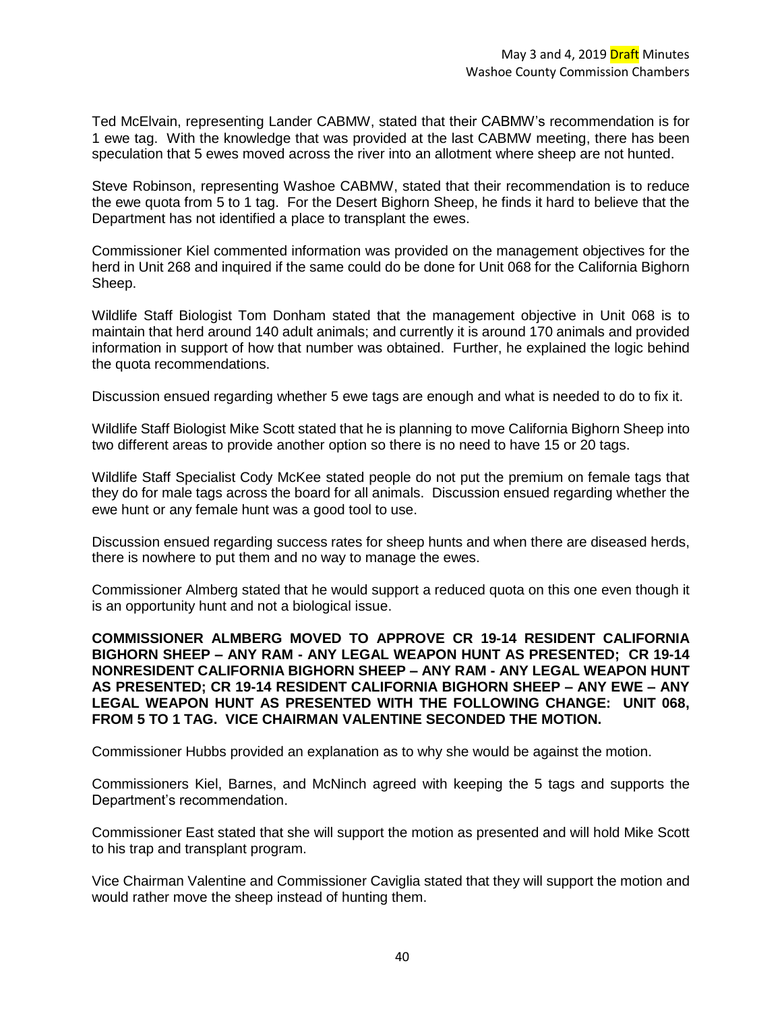Ted McElvain, representing Lander CABMW, stated that their CABMW's recommendation is for 1 ewe tag. With the knowledge that was provided at the last CABMW meeting, there has been speculation that 5 ewes moved across the river into an allotment where sheep are not hunted.

Steve Robinson, representing Washoe CABMW, stated that their recommendation is to reduce the ewe quota from 5 to 1 tag. For the Desert Bighorn Sheep, he finds it hard to believe that the Department has not identified a place to transplant the ewes.

Commissioner Kiel commented information was provided on the management objectives for the herd in Unit 268 and inquired if the same could do be done for Unit 068 for the California Bighorn Sheep.

Wildlife Staff Biologist Tom Donham stated that the management objective in Unit 068 is to maintain that herd around 140 adult animals; and currently it is around 170 animals and provided information in support of how that number was obtained. Further, he explained the logic behind the quota recommendations.

Discussion ensued regarding whether 5 ewe tags are enough and what is needed to do to fix it.

Wildlife Staff Biologist Mike Scott stated that he is planning to move California Bighorn Sheep into two different areas to provide another option so there is no need to have 15 or 20 tags.

Wildlife Staff Specialist Cody McKee stated people do not put the premium on female tags that they do for male tags across the board for all animals. Discussion ensued regarding whether the ewe hunt or any female hunt was a good tool to use.

Discussion ensued regarding success rates for sheep hunts and when there are diseased herds, there is nowhere to put them and no way to manage the ewes.

Commissioner Almberg stated that he would support a reduced quota on this one even though it is an opportunity hunt and not a biological issue.

**COMMISSIONER ALMBERG MOVED TO APPROVE CR 19-14 RESIDENT CALIFORNIA BIGHORN SHEEP – ANY RAM - ANY LEGAL WEAPON HUNT AS PRESENTED; CR 19-14 NONRESIDENT CALIFORNIA BIGHORN SHEEP – ANY RAM - ANY LEGAL WEAPON HUNT AS PRESENTED; CR 19-14 RESIDENT CALIFORNIA BIGHORN SHEEP – ANY EWE – ANY LEGAL WEAPON HUNT AS PRESENTED WITH THE FOLLOWING CHANGE: UNIT 068, FROM 5 TO 1 TAG. VICE CHAIRMAN VALENTINE SECONDED THE MOTION.** 

Commissioner Hubbs provided an explanation as to why she would be against the motion.

Commissioners Kiel, Barnes, and McNinch agreed with keeping the 5 tags and supports the Department's recommendation.

Commissioner East stated that she will support the motion as presented and will hold Mike Scott to his trap and transplant program.

Vice Chairman Valentine and Commissioner Caviglia stated that they will support the motion and would rather move the sheep instead of hunting them.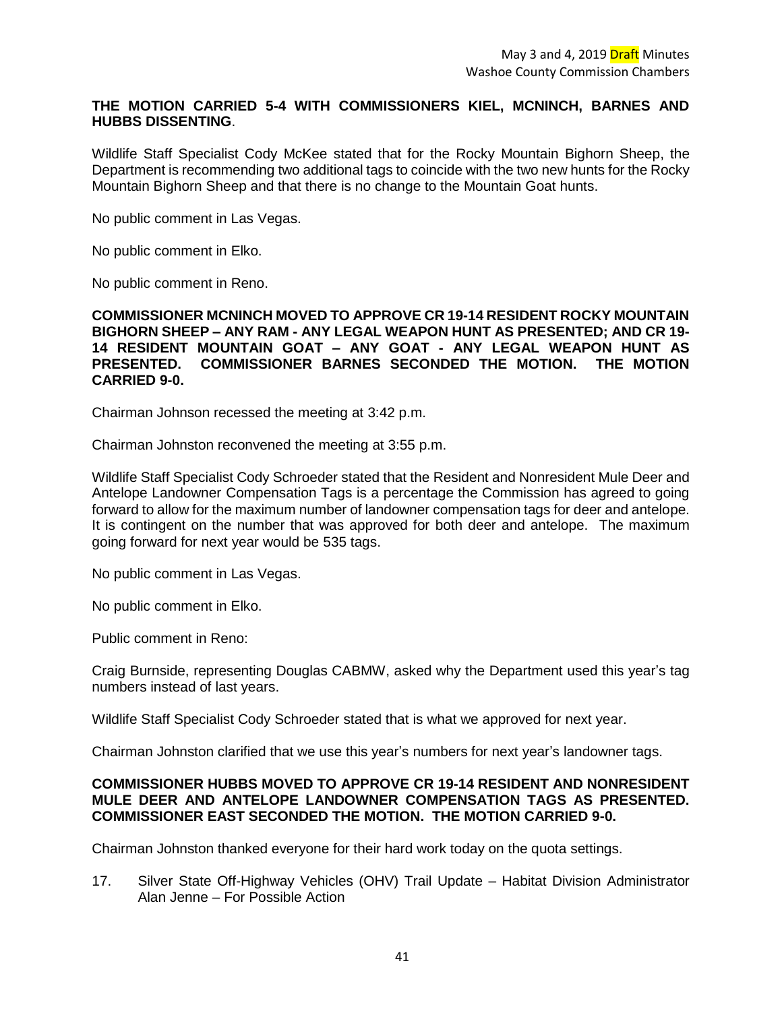# **THE MOTION CARRIED 5-4 WITH COMMISSIONERS KIEL, MCNINCH, BARNES AND HUBBS DISSENTING**.

Wildlife Staff Specialist Cody McKee stated that for the Rocky Mountain Bighorn Sheep, the Department is recommending two additional tags to coincide with the two new hunts for the Rocky Mountain Bighorn Sheep and that there is no change to the Mountain Goat hunts.

No public comment in Las Vegas.

No public comment in Elko.

No public comment in Reno.

**COMMISSIONER MCNINCH MOVED TO APPROVE CR 19-14 RESIDENT ROCKY MOUNTAIN BIGHORN SHEEP – ANY RAM - ANY LEGAL WEAPON HUNT AS PRESENTED; AND CR 19- 14 RESIDENT MOUNTAIN GOAT – ANY GOAT - ANY LEGAL WEAPON HUNT AS PRESENTED. COMMISSIONER BARNES SECONDED THE MOTION. THE MOTION CARRIED 9-0.**

Chairman Johnson recessed the meeting at 3:42 p.m.

Chairman Johnston reconvened the meeting at 3:55 p.m.

Wildlife Staff Specialist Cody Schroeder stated that the Resident and Nonresident Mule Deer and Antelope Landowner Compensation Tags is a percentage the Commission has agreed to going forward to allow for the maximum number of landowner compensation tags for deer and antelope. It is contingent on the number that was approved for both deer and antelope. The maximum going forward for next year would be 535 tags.

No public comment in Las Vegas.

No public comment in Elko.

Public comment in Reno:

Craig Burnside, representing Douglas CABMW, asked why the Department used this year's tag numbers instead of last years.

Wildlife Staff Specialist Cody Schroeder stated that is what we approved for next year.

Chairman Johnston clarified that we use this year's numbers for next year's landowner tags.

### **COMMISSIONER HUBBS MOVED TO APPROVE CR 19-14 RESIDENT AND NONRESIDENT MULE DEER AND ANTELOPE LANDOWNER COMPENSATION TAGS AS PRESENTED. COMMISSIONER EAST SECONDED THE MOTION. THE MOTION CARRIED 9-0.**

Chairman Johnston thanked everyone for their hard work today on the quota settings.

17. Silver State Off-Highway Vehicles (OHV) Trail Update – Habitat Division Administrator Alan Jenne – For Possible Action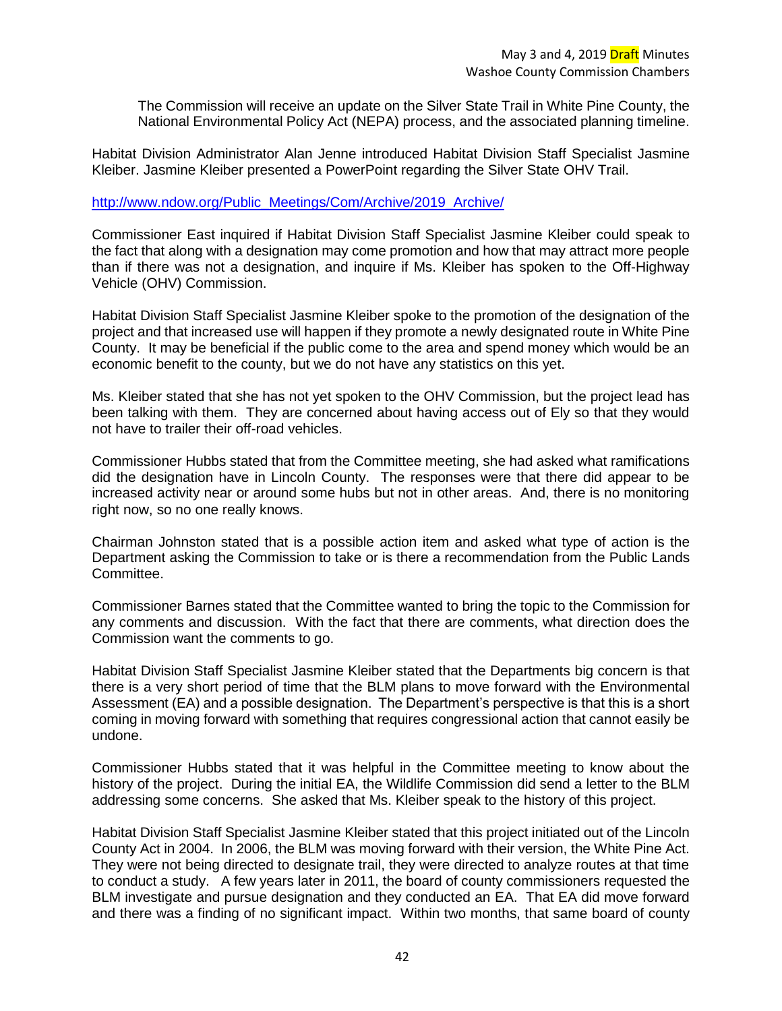The Commission will receive an update on the Silver State Trail in White Pine County, the National Environmental Policy Act (NEPA) process, and the associated planning timeline.

Habitat Division Administrator Alan Jenne introduced Habitat Division Staff Specialist Jasmine Kleiber. Jasmine Kleiber presented a PowerPoint regarding the Silver State OHV Trail.

#### [http://www.ndow.org/Public\\_Meetings/Com/Archive/2019\\_Archive/](http://www.ndow.org/Public_Meetings/Com/Archive/2019_Archive/)

Commissioner East inquired if Habitat Division Staff Specialist Jasmine Kleiber could speak to the fact that along with a designation may come promotion and how that may attract more people than if there was not a designation, and inquire if Ms. Kleiber has spoken to the Off-Highway Vehicle (OHV) Commission.

Habitat Division Staff Specialist Jasmine Kleiber spoke to the promotion of the designation of the project and that increased use will happen if they promote a newly designated route in White Pine County. It may be beneficial if the public come to the area and spend money which would be an economic benefit to the county, but we do not have any statistics on this yet.

Ms. Kleiber stated that she has not yet spoken to the OHV Commission, but the project lead has been talking with them. They are concerned about having access out of Ely so that they would not have to trailer their off-road vehicles.

Commissioner Hubbs stated that from the Committee meeting, she had asked what ramifications did the designation have in Lincoln County. The responses were that there did appear to be increased activity near or around some hubs but not in other areas. And, there is no monitoring right now, so no one really knows.

Chairman Johnston stated that is a possible action item and asked what type of action is the Department asking the Commission to take or is there a recommendation from the Public Lands Committee.

Commissioner Barnes stated that the Committee wanted to bring the topic to the Commission for any comments and discussion. With the fact that there are comments, what direction does the Commission want the comments to go.

Habitat Division Staff Specialist Jasmine Kleiber stated that the Departments big concern is that there is a very short period of time that the BLM plans to move forward with the Environmental Assessment (EA) and a possible designation. The Department's perspective is that this is a short coming in moving forward with something that requires congressional action that cannot easily be undone.

Commissioner Hubbs stated that it was helpful in the Committee meeting to know about the history of the project. During the initial EA, the Wildlife Commission did send a letter to the BLM addressing some concerns. She asked that Ms. Kleiber speak to the history of this project.

Habitat Division Staff Specialist Jasmine Kleiber stated that this project initiated out of the Lincoln County Act in 2004. In 2006, the BLM was moving forward with their version, the White Pine Act. They were not being directed to designate trail, they were directed to analyze routes at that time to conduct a study. A few years later in 2011, the board of county commissioners requested the BLM investigate and pursue designation and they conducted an EA. That EA did move forward and there was a finding of no significant impact. Within two months, that same board of county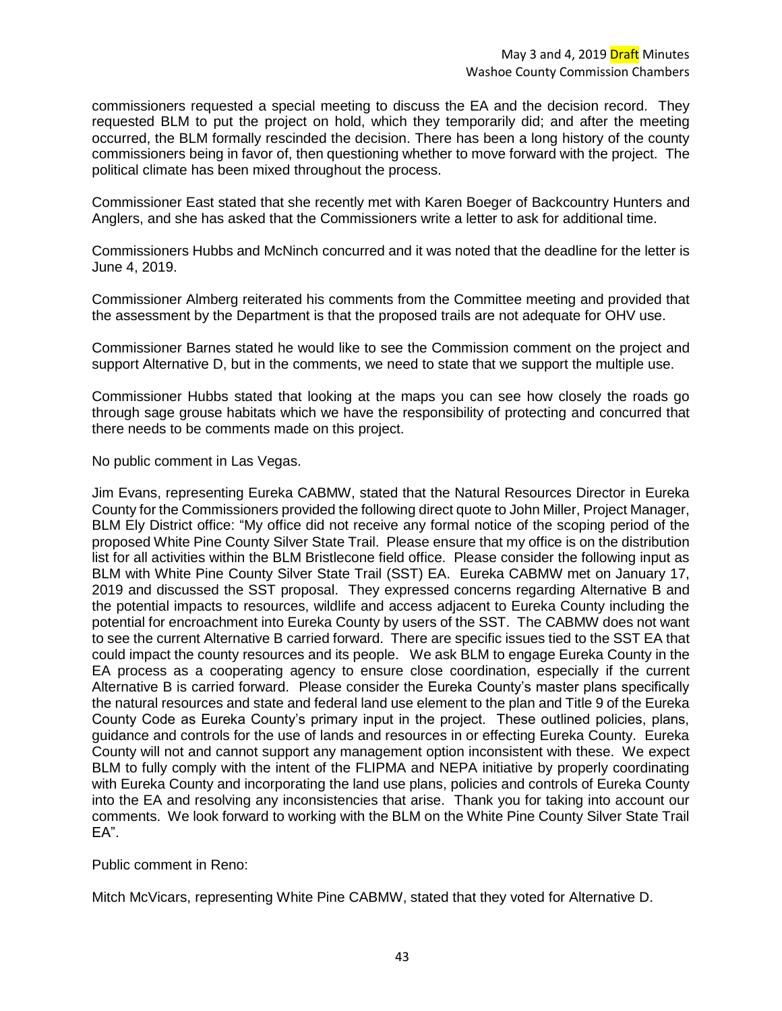commissioners requested a special meeting to discuss the EA and the decision record. They requested BLM to put the project on hold, which they temporarily did; and after the meeting occurred, the BLM formally rescinded the decision. There has been a long history of the county commissioners being in favor of, then questioning whether to move forward with the project. The political climate has been mixed throughout the process.

Commissioner East stated that she recently met with Karen Boeger of Backcountry Hunters and Anglers, and she has asked that the Commissioners write a letter to ask for additional time.

Commissioners Hubbs and McNinch concurred and it was noted that the deadline for the letter is June 4, 2019.

Commissioner Almberg reiterated his comments from the Committee meeting and provided that the assessment by the Department is that the proposed trails are not adequate for OHV use.

Commissioner Barnes stated he would like to see the Commission comment on the project and support Alternative D, but in the comments, we need to state that we support the multiple use.

Commissioner Hubbs stated that looking at the maps you can see how closely the roads go through sage grouse habitats which we have the responsibility of protecting and concurred that there needs to be comments made on this project.

No public comment in Las Vegas.

Jim Evans, representing Eureka CABMW, stated that the Natural Resources Director in Eureka County for the Commissioners provided the following direct quote to John Miller, Project Manager, BLM Ely District office: "My office did not receive any formal notice of the scoping period of the proposed White Pine County Silver State Trail. Please ensure that my office is on the distribution list for all activities within the BLM Bristlecone field office. Please consider the following input as BLM with White Pine County Silver State Trail (SST) EA. Eureka CABMW met on January 17, 2019 and discussed the SST proposal. They expressed concerns regarding Alternative B and the potential impacts to resources, wildlife and access adjacent to Eureka County including the potential for encroachment into Eureka County by users of the SST. The CABMW does not want to see the current Alternative B carried forward. There are specific issues tied to the SST EA that could impact the county resources and its people. We ask BLM to engage Eureka County in the EA process as a cooperating agency to ensure close coordination, especially if the current Alternative B is carried forward. Please consider the Eureka County's master plans specifically the natural resources and state and federal land use element to the plan and Title 9 of the Eureka County Code as Eureka County's primary input in the project. These outlined policies, plans, guidance and controls for the use of lands and resources in or effecting Eureka County. Eureka County will not and cannot support any management option inconsistent with these. We expect BLM to fully comply with the intent of the FLIPMA and NEPA initiative by properly coordinating with Eureka County and incorporating the land use plans, policies and controls of Eureka County into the EA and resolving any inconsistencies that arise. Thank you for taking into account our comments. We look forward to working with the BLM on the White Pine County Silver State Trail EA".

Public comment in Reno:

Mitch McVicars, representing White Pine CABMW, stated that they voted for Alternative D.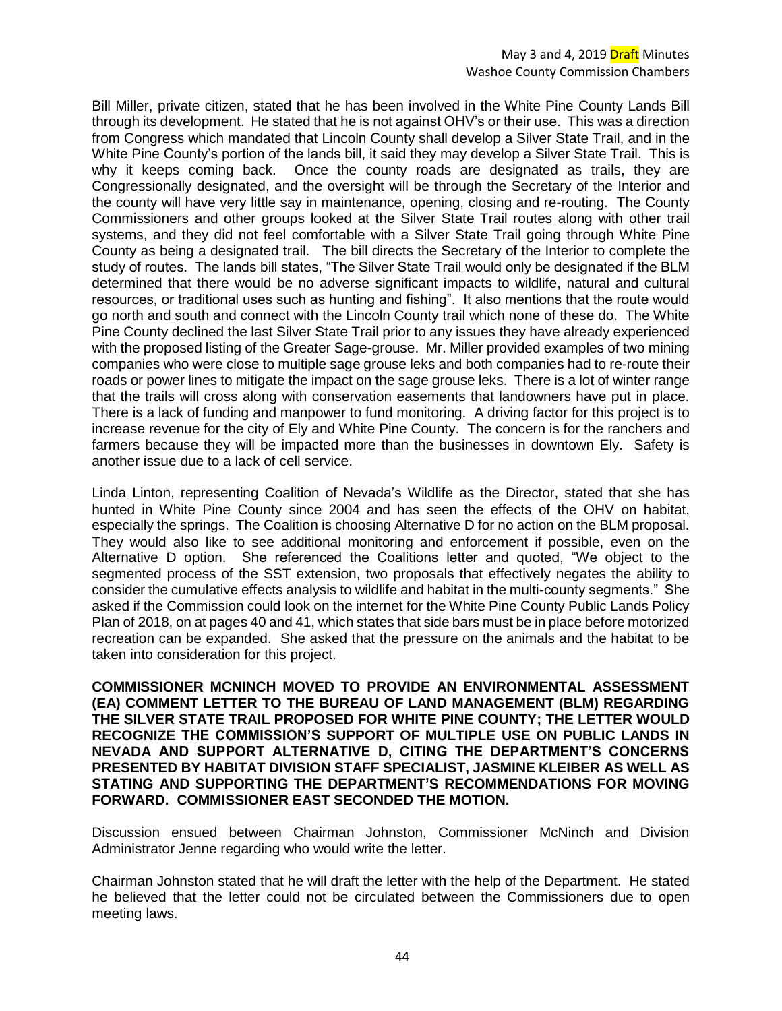### May 3 and 4, 2019 Draft Minutes Washoe County Commission Chambers

Bill Miller, private citizen, stated that he has been involved in the White Pine County Lands Bill through its development. He stated that he is not against OHV's or their use. This was a direction from Congress which mandated that Lincoln County shall develop a Silver State Trail, and in the White Pine County's portion of the lands bill, it said they may develop a Silver State Trail. This is why it keeps coming back. Once the county roads are designated as trails, they are Congressionally designated, and the oversight will be through the Secretary of the Interior and the county will have very little say in maintenance, opening, closing and re-routing. The County Commissioners and other groups looked at the Silver State Trail routes along with other trail systems, and they did not feel comfortable with a Silver State Trail going through White Pine County as being a designated trail. The bill directs the Secretary of the Interior to complete the study of routes. The lands bill states, "The Silver State Trail would only be designated if the BLM determined that there would be no adverse significant impacts to wildlife, natural and cultural resources, or traditional uses such as hunting and fishing". It also mentions that the route would go north and south and connect with the Lincoln County trail which none of these do. The White Pine County declined the last Silver State Trail prior to any issues they have already experienced with the proposed listing of the Greater Sage-grouse. Mr. Miller provided examples of two mining companies who were close to multiple sage grouse leks and both companies had to re-route their roads or power lines to mitigate the impact on the sage grouse leks. There is a lot of winter range that the trails will cross along with conservation easements that landowners have put in place. There is a lack of funding and manpower to fund monitoring. A driving factor for this project is to increase revenue for the city of Ely and White Pine County. The concern is for the ranchers and farmers because they will be impacted more than the businesses in downtown Ely. Safety is another issue due to a lack of cell service.

Linda Linton, representing Coalition of Nevada's Wildlife as the Director, stated that she has hunted in White Pine County since 2004 and has seen the effects of the OHV on habitat, especially the springs. The Coalition is choosing Alternative D for no action on the BLM proposal. They would also like to see additional monitoring and enforcement if possible, even on the Alternative D option. She referenced the Coalitions letter and quoted, "We object to the segmented process of the SST extension, two proposals that effectively negates the ability to consider the cumulative effects analysis to wildlife and habitat in the multi-county segments." She asked if the Commission could look on the internet for the White Pine County Public Lands Policy Plan of 2018, on at pages 40 and 41, which states that side bars must be in place before motorized recreation can be expanded. She asked that the pressure on the animals and the habitat to be taken into consideration for this project.

**COMMISSIONER MCNINCH MOVED TO PROVIDE AN ENVIRONMENTAL ASSESSMENT (EA) COMMENT LETTER TO THE BUREAU OF LAND MANAGEMENT (BLM) REGARDING THE SILVER STATE TRAIL PROPOSED FOR WHITE PINE COUNTY; THE LETTER WOULD RECOGNIZE THE COMMISSION'S SUPPORT OF MULTIPLE USE ON PUBLIC LANDS IN NEVADA AND SUPPORT ALTERNATIVE D, CITING THE DEPARTMENT'S CONCERNS PRESENTED BY HABITAT DIVISION STAFF SPECIALIST, JASMINE KLEIBER AS WELL AS STATING AND SUPPORTING THE DEPARTMENT'S RECOMMENDATIONS FOR MOVING FORWARD. COMMISSIONER EAST SECONDED THE MOTION.** 

Discussion ensued between Chairman Johnston, Commissioner McNinch and Division Administrator Jenne regarding who would write the letter.

Chairman Johnston stated that he will draft the letter with the help of the Department. He stated he believed that the letter could not be circulated between the Commissioners due to open meeting laws.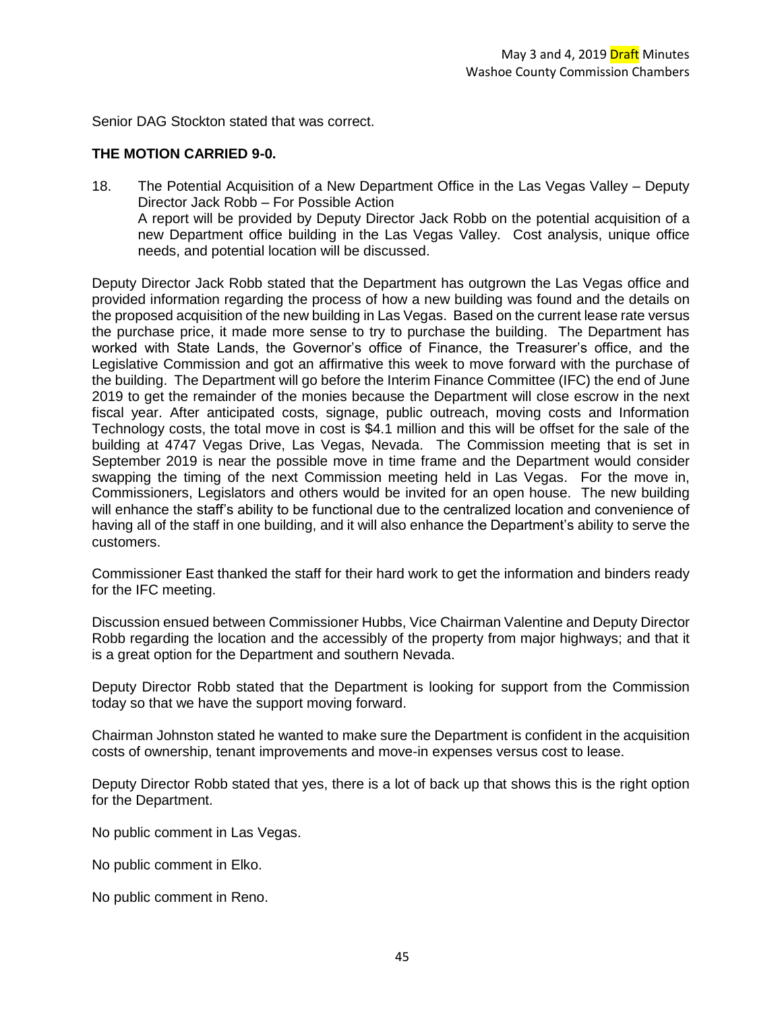Senior DAG Stockton stated that was correct.

### **THE MOTION CARRIED 9-0.**

18. The Potential Acquisition of a New Department Office in the Las Vegas Valley – Deputy Director Jack Robb – For Possible Action A report will be provided by Deputy Director Jack Robb on the potential acquisition of a new Department office building in the Las Vegas Valley. Cost analysis, unique office needs, and potential location will be discussed.

Deputy Director Jack Robb stated that the Department has outgrown the Las Vegas office and provided information regarding the process of how a new building was found and the details on the proposed acquisition of the new building in Las Vegas. Based on the current lease rate versus the purchase price, it made more sense to try to purchase the building. The Department has worked with State Lands, the Governor's office of Finance, the Treasurer's office, and the Legislative Commission and got an affirmative this week to move forward with the purchase of the building. The Department will go before the Interim Finance Committee (IFC) the end of June 2019 to get the remainder of the monies because the Department will close escrow in the next fiscal year. After anticipated costs, signage, public outreach, moving costs and Information Technology costs, the total move in cost is \$4.1 million and this will be offset for the sale of the building at 4747 Vegas Drive, Las Vegas, Nevada. The Commission meeting that is set in September 2019 is near the possible move in time frame and the Department would consider swapping the timing of the next Commission meeting held in Las Vegas. For the move in, Commissioners, Legislators and others would be invited for an open house. The new building will enhance the staff's ability to be functional due to the centralized location and convenience of having all of the staff in one building, and it will also enhance the Department's ability to serve the customers.

Commissioner East thanked the staff for their hard work to get the information and binders ready for the IFC meeting.

Discussion ensued between Commissioner Hubbs, Vice Chairman Valentine and Deputy Director Robb regarding the location and the accessibly of the property from major highways; and that it is a great option for the Department and southern Nevada.

Deputy Director Robb stated that the Department is looking for support from the Commission today so that we have the support moving forward.

Chairman Johnston stated he wanted to make sure the Department is confident in the acquisition costs of ownership, tenant improvements and move-in expenses versus cost to lease.

Deputy Director Robb stated that yes, there is a lot of back up that shows this is the right option for the Department.

No public comment in Las Vegas.

No public comment in Elko.

No public comment in Reno.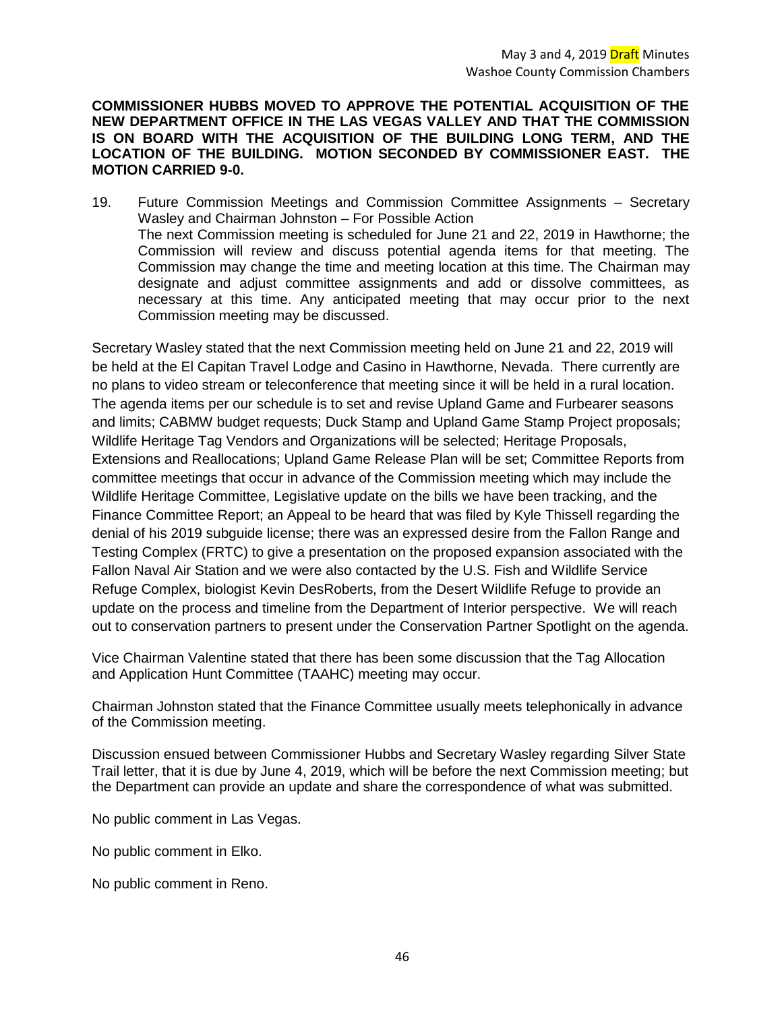**COMMISSIONER HUBBS MOVED TO APPROVE THE POTENTIAL ACQUISITION OF THE NEW DEPARTMENT OFFICE IN THE LAS VEGAS VALLEY AND THAT THE COMMISSION IS ON BOARD WITH THE ACQUISITION OF THE BUILDING LONG TERM, AND THE LOCATION OF THE BUILDING. MOTION SECONDED BY COMMISSIONER EAST. THE MOTION CARRIED 9-0.** 

19. Future Commission Meetings and Commission Committee Assignments – Secretary Wasley and Chairman Johnston – For Possible Action The next Commission meeting is scheduled for June 21 and 22, 2019 in Hawthorne; the Commission will review and discuss potential agenda items for that meeting. The Commission may change the time and meeting location at this time. The Chairman may designate and adjust committee assignments and add or dissolve committees, as necessary at this time. Any anticipated meeting that may occur prior to the next Commission meeting may be discussed.

Secretary Wasley stated that the next Commission meeting held on June 21 and 22, 2019 will be held at the El Capitan Travel Lodge and Casino in Hawthorne, Nevada. There currently are no plans to video stream or teleconference that meeting since it will be held in a rural location. The agenda items per our schedule is to set and revise Upland Game and Furbearer seasons and limits; CABMW budget requests; Duck Stamp and Upland Game Stamp Project proposals; Wildlife Heritage Tag Vendors and Organizations will be selected; Heritage Proposals, Extensions and Reallocations; Upland Game Release Plan will be set; Committee Reports from committee meetings that occur in advance of the Commission meeting which may include the Wildlife Heritage Committee, Legislative update on the bills we have been tracking, and the Finance Committee Report; an Appeal to be heard that was filed by Kyle Thissell regarding the denial of his 2019 subguide license; there was an expressed desire from the Fallon Range and Testing Complex (FRTC) to give a presentation on the proposed expansion associated with the Fallon Naval Air Station and we were also contacted by the U.S. Fish and Wildlife Service Refuge Complex, biologist Kevin DesRoberts, from the Desert Wildlife Refuge to provide an update on the process and timeline from the Department of Interior perspective. We will reach out to conservation partners to present under the Conservation Partner Spotlight on the agenda.

Vice Chairman Valentine stated that there has been some discussion that the Tag Allocation and Application Hunt Committee (TAAHC) meeting may occur.

Chairman Johnston stated that the Finance Committee usually meets telephonically in advance of the Commission meeting.

Discussion ensued between Commissioner Hubbs and Secretary Wasley regarding Silver State Trail letter, that it is due by June 4, 2019, which will be before the next Commission meeting; but the Department can provide an update and share the correspondence of what was submitted.

No public comment in Las Vegas.

No public comment in Elko.

No public comment in Reno.